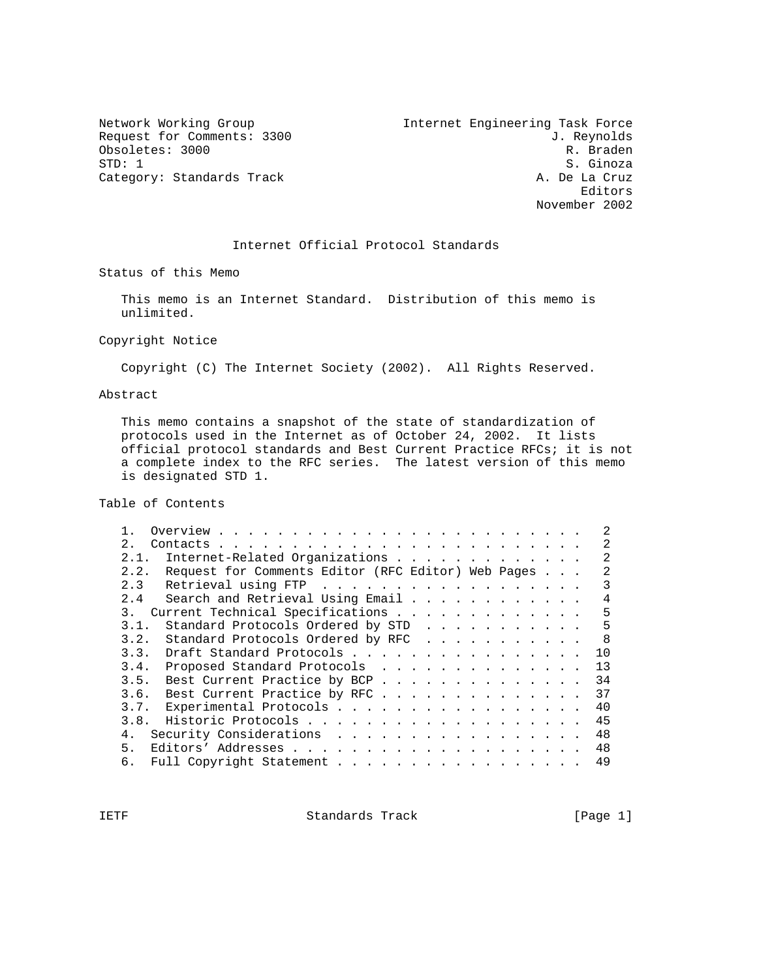Obsoletes: 3000<br>STD: 1 Category: Standards Track

Network Working Group 10 11 and 10 Internet Engineering Task Force Request for Comments: 3300 J. Reynolds<br>
Obsoletes: 3000 R. Braden S. Ginoza<br>A. De La Cruz Editors November 2002

#### Internet Official Protocol Standards

Status of this Memo

 This memo is an Internet Standard. Distribution of this memo is unlimited.

Copyright Notice

Copyright (C) The Internet Society (2002). All Rights Reserved.

#### Abstract

 This memo contains a snapshot of the state of standardization of protocols used in the Internet as of October 24, 2002. It lists official protocol standards and Best Current Practice RFCs; it is not a complete index to the RFC series. The latest version of this memo is designated STD 1.

Table of Contents

| 2.1                                                        |  |    |  |
|------------------------------------------------------------|--|----|--|
| Internet-Related Organizations<br>2.1.                     |  |    |  |
| Request for Comments Editor (RFC Editor) Web Pages<br>2.2. |  |    |  |
| Retrieval using FTP<br>2.3                                 |  |    |  |
| Search and Retrieval Using Email<br>2.4                    |  | 4  |  |
| Current Technical Specifications<br>3 <sub>1</sub>         |  | 5  |  |
| Standard Protocols Ordered by STD<br>3.1.                  |  | 5  |  |
| Standard Protocols Ordered by RFC<br>3.2.                  |  | 8  |  |
| Draft Standard Protocols<br>3.3.                           |  | 10 |  |
| Proposed Standard Protocols<br>3.4.                        |  | 13 |  |
| Best Current Practice by BCP<br>3.5.                       |  | 34 |  |
| Best Current Practice by RFC<br>3.6.                       |  | 37 |  |
| 3.7. Experimental Protocols                                |  | 40 |  |
| 3.8.                                                       |  | 45 |  |
| Security Considerations<br>4.                              |  | 48 |  |
| 5 <sub>1</sub>                                             |  | 48 |  |
| б.<br>Full Copyright Statement                             |  | 49 |  |
|                                                            |  |    |  |

IETF Standards Track [Page 1]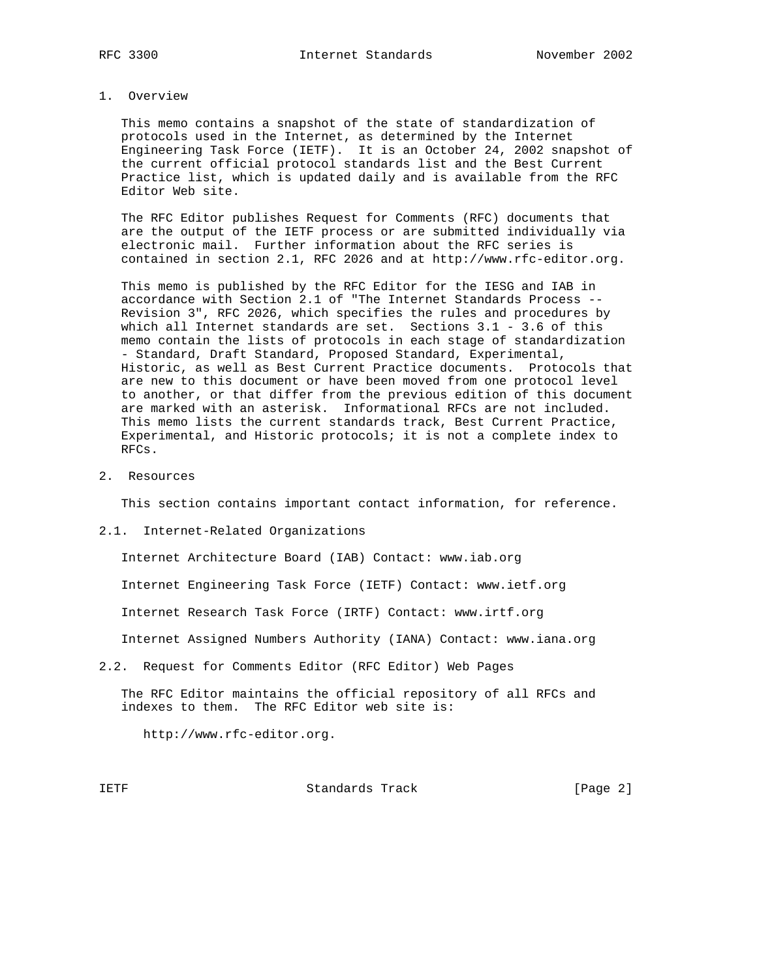#### 1. Overview

 This memo contains a snapshot of the state of standardization of protocols used in the Internet, as determined by the Internet Engineering Task Force (IETF). It is an October 24, 2002 snapshot of the current official protocol standards list and the Best Current Practice list, which is updated daily and is available from the RFC Editor Web site.

 The RFC Editor publishes Request for Comments (RFC) documents that are the output of the IETF process or are submitted individually via electronic mail. Further information about the RFC series is contained in section 2.1, RFC 2026 and at http://www.rfc-editor.org.

 This memo is published by the RFC Editor for the IESG and IAB in accordance with Section 2.1 of "The Internet Standards Process -- Revision 3", RFC 2026, which specifies the rules and procedures by which all Internet standards are set. Sections 3.1 - 3.6 of this memo contain the lists of protocols in each stage of standardization - Standard, Draft Standard, Proposed Standard, Experimental, Historic, as well as Best Current Practice documents. Protocols that are new to this document or have been moved from one protocol level to another, or that differ from the previous edition of this document are marked with an asterisk. Informational RFCs are not included. This memo lists the current standards track, Best Current Practice, Experimental, and Historic protocols; it is not a complete index to RFCs.

2. Resources

This section contains important contact information, for reference.

2.1. Internet-Related Organizations

Internet Architecture Board (IAB) Contact: www.iab.org

Internet Engineering Task Force (IETF) Contact: www.ietf.org

Internet Research Task Force (IRTF) Contact: www.irtf.org

Internet Assigned Numbers Authority (IANA) Contact: www.iana.org

2.2. Request for Comments Editor (RFC Editor) Web Pages

 The RFC Editor maintains the official repository of all RFCs and indexes to them. The RFC Editor web site is:

http://www.rfc-editor.org.

IETF Standards Track (Page 2)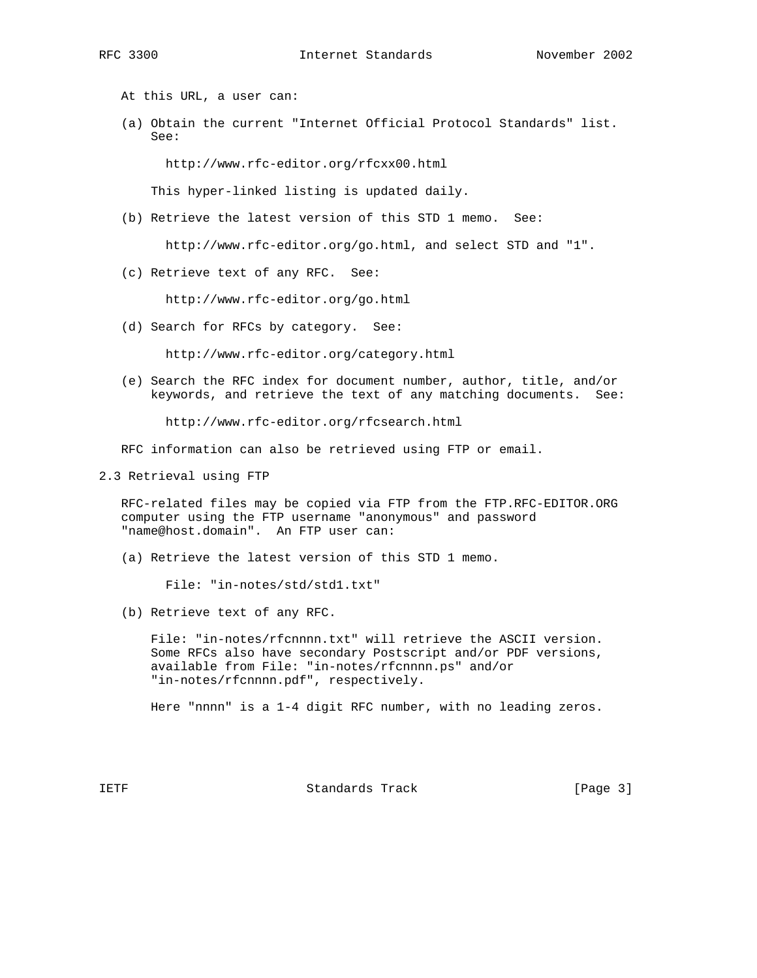At this URL, a user can:

 (a) Obtain the current "Internet Official Protocol Standards" list. See:

http://www.rfc-editor.org/rfcxx00.html

This hyper-linked listing is updated daily.

(b) Retrieve the latest version of this STD 1 memo. See:

http://www.rfc-editor.org/go.html, and select STD and "1".

(c) Retrieve text of any RFC. See:

http://www.rfc-editor.org/go.html

(d) Search for RFCs by category. See:

http://www.rfc-editor.org/category.html

 (e) Search the RFC index for document number, author, title, and/or keywords, and retrieve the text of any matching documents. See:

http://www.rfc-editor.org/rfcsearch.html

RFC information can also be retrieved using FTP or email.

2.3 Retrieval using FTP

 RFC-related files may be copied via FTP from the FTP.RFC-EDITOR.ORG computer using the FTP username "anonymous" and password "name@host.domain". An FTP user can:

(a) Retrieve the latest version of this STD 1 memo.

File: "in-notes/std/std1.txt"

(b) Retrieve text of any RFC.

 File: "in-notes/rfcnnnn.txt" will retrieve the ASCII version. Some RFCs also have secondary Postscript and/or PDF versions, available from File: "in-notes/rfcnnnn.ps" and/or "in-notes/rfcnnnn.pdf", respectively.

Here "nnnn" is a 1-4 digit RFC number, with no leading zeros.

IETF Standards Track [Page 3]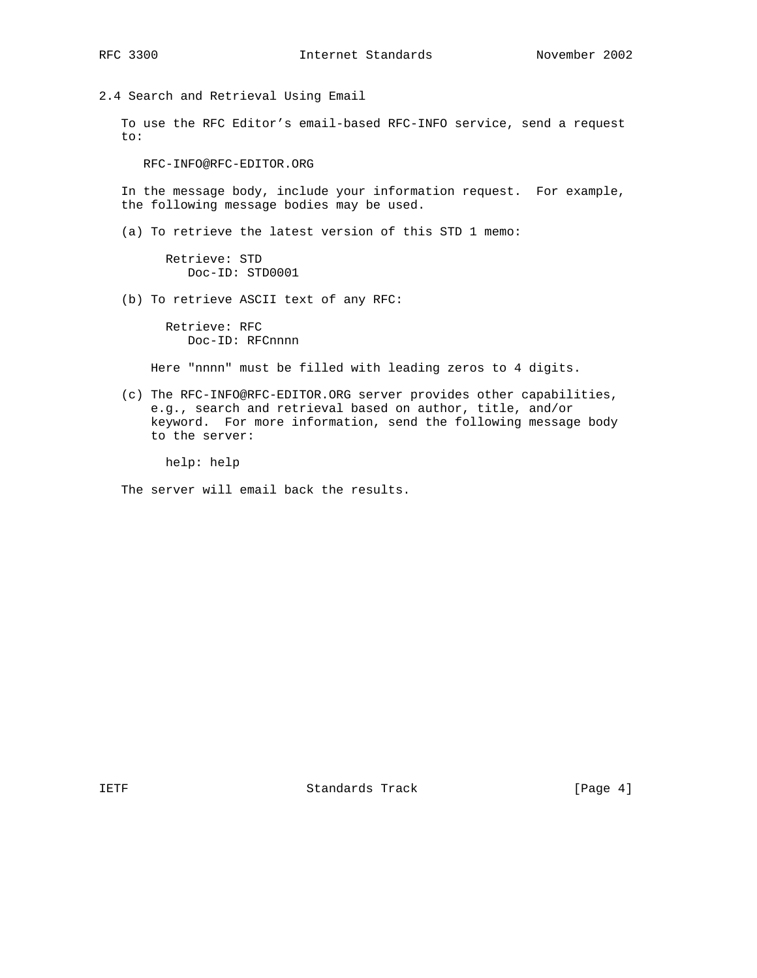2.4 Search and Retrieval Using Email

 To use the RFC Editor's email-based RFC-INFO service, send a request to:

RFC-INFO@RFC-EDITOR.ORG

 In the message body, include your information request. For example, the following message bodies may be used.

(a) To retrieve the latest version of this STD 1 memo:

 Retrieve: STD Doc-ID: STD0001

(b) To retrieve ASCII text of any RFC:

 Retrieve: RFC Doc-ID: RFCnnnn

Here "nnnn" must be filled with leading zeros to 4 digits.

 (c) The RFC-INFO@RFC-EDITOR.ORG server provides other capabilities, e.g., search and retrieval based on author, title, and/or keyword. For more information, send the following message body to the server:

help: help

The server will email back the results.

IETF Standards Track (Page 4)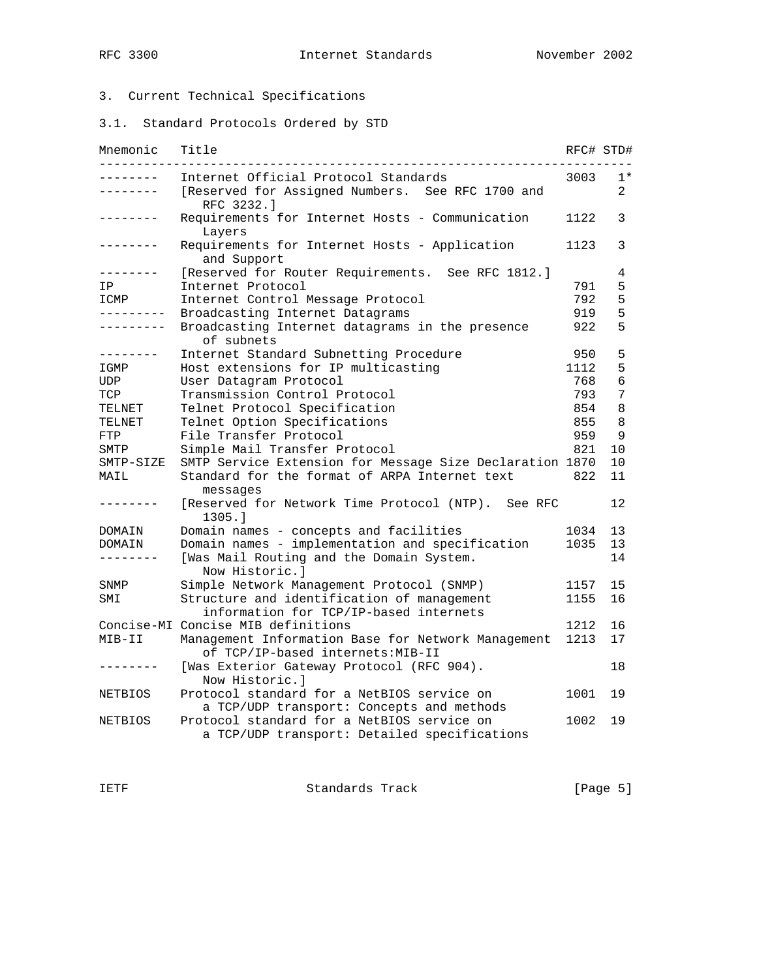# 3. Current Technical Specifications

3.1. Standard Protocols Ordered by STD

| Mnemonic        | Title                                                                                      | RFC# STD# |               |
|-----------------|--------------------------------------------------------------------------------------------|-----------|---------------|
|                 | Internet Official Protocol Standards                                                       | 3003      | $1*$          |
| -------         | [Reserved for Assigned Numbers. See RFC 1700 and<br>RFC 3232.1                             |           | $\mathcal{L}$ |
| $- - - - - - -$ | Requirements for Internet Hosts - Communication<br>Layers                                  | 1122      | 3             |
|                 | Requirements for Internet Hosts - Application<br>and Support                               | 1123      | 3             |
| $- - - - - - -$ | [Reserved for Router Requirements. See RFC 1812.]                                          |           | 4             |
| ΙP              | Internet Protocol                                                                          | 791       | 5             |
| ICMP            | Internet Control Message Protocol                                                          | 792       | 5             |
| ---------       | Broadcasting Internet Datagrams                                                            | 919       | 5             |
|                 | Broadcasting Internet datagrams in the presence<br>of subnets                              | 922       | 5             |
| --------        | Internet Standard Subnetting Procedure                                                     | 950       | 5             |
| IGMP            | Host extensions for IP multicasting                                                        | 1112      | 5             |
| UDP             | User Datagram Protocol                                                                     | 768       | 6             |
| TCP             | Transmission Control Protocol                                                              | 793       | 7             |
| TELNET          | Telnet Protocol Specification                                                              | 854       | 8             |
| TELNET          | Telnet Option Specifications                                                               | 855       | 8             |
| FTP             | File Transfer Protocol                                                                     | 959       | 9             |
| SMTP            | Simple Mail Transfer Protocol                                                              | 821       | 10            |
| SMTP-SIZE       | SMTP Service Extension for Message Size Declaration 1870                                   |           | 10            |
| MAIL            | Standard for the format of ARPA Internet text<br>messages                                  | 822       | 11            |
|                 | [Reserved for Network Time Protocol (NTP). See RFC<br>1305.1                               |           | 12            |
| DOMAIN          | Domain names - concepts and facilities                                                     | 1034      | 13            |
| DOMAIN          | Domain names - implementation and specification                                            | 1035      | 13            |
| $- - - - - - -$ | [Was Mail Routing and the Domain System.<br>Now Historic.l                                 |           | 14            |
| SNMP            | Simple Network Management Protocol (SNMP)                                                  | 1157      | 15            |
| SMI             | Structure and identification of management                                                 | 1155      | 16            |
|                 | information for TCP/IP-based internets                                                     |           |               |
|                 | Concise-MI Concise MIB definitions                                                         | 1212      | 16            |
| MIB-II          | Management Information Base for Network Management<br>of TCP/IP-based internets: MIB-II    | 1213      | 17            |
|                 | [Was Exterior Gateway Protocol (RFC 904).<br>Now Historic.l                                |           | 18            |
| <b>NETBIOS</b>  | Protocol standard for a NetBIOS service on<br>a TCP/UDP transport: Concepts and methods    | 1001      | 19            |
| NETBIOS         | Protocol standard for a NetBIOS service on<br>a TCP/UDP transport: Detailed specifications | 1002      | 19            |

IETF Standards Track [Page 5]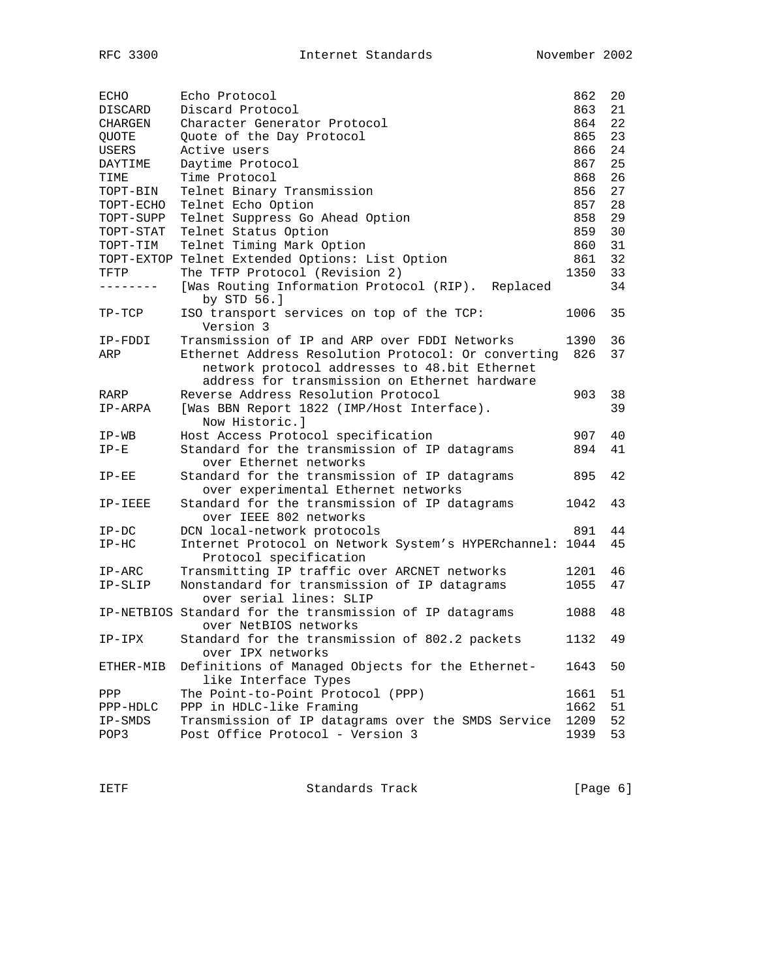| ECHO         | Echo Protocol                                                                      | 862  | 20 |
|--------------|------------------------------------------------------------------------------------|------|----|
| DISCARD      | Discard Protocol                                                                   | 863  | 21 |
| CHARGEN      | Character Generator Protocol                                                       | 864  | 22 |
| <b>QUOTE</b> | Quote of the Day Protocol                                                          | 865  | 23 |
| USERS        | Active users                                                                       | 866  | 24 |
| DAYTIME      | Daytime Protocol                                                                   | 867  | 25 |
| TIME         | Time Protocol                                                                      | 868  | 26 |
| TOPT-BIN     | Telnet Binary Transmission                                                         | 856  | 27 |
| TOPT-ECHO    | Telnet Echo Option                                                                 | 857  | 28 |
| TOPT-SUPP    | Telnet Suppress Go Ahead Option                                                    | 858  | 29 |
| TOPT-STAT    | Telnet Status Option                                                               | 859  | 30 |
| TOPT-TIM     | Telnet Timing Mark Option                                                          | 860  | 31 |
|              | TOPT-EXTOP Telnet Extended Options: List Option                                    | 861  | 32 |
| TFTP         | The TFTP Protocol (Revision 2)                                                     | 1350 | 33 |
|              | [Was Routing Information Protocol (RIP). Replaced<br>by STD 56.]                   |      | 34 |
| $TP-TCP$     | ISO transport services on top of the TCP:<br>Version 3                             | 1006 | 35 |
| IP-FDDI      | Transmission of IP and ARP over FDDI Networks                                      | 1390 | 36 |
| ARP          | Ethernet Address Resolution Protocol: Or converting                                | 826  | 37 |
|              | network protocol addresses to 48.bit Ethernet                                      |      |    |
|              | address for transmission on Ethernet hardware                                      |      |    |
| RARP         | Reverse Address Resolution Protocol                                                | 903  | 38 |
| IP-ARPA      | [Was BBN Report 1822 (IMP/Host Interface).<br>Now Historic.]                       |      | 39 |
| $IP-WB$      | Host Access Protocol specification                                                 | 907  | 40 |
| $IP-E$       | Standard for the transmission of IP datagrams                                      | 894  | 41 |
|              | over Ethernet networks                                                             |      |    |
| $IP-EE$      | Standard for the transmission of IP datagrams                                      | 895  | 42 |
|              | over experimental Ethernet networks                                                |      |    |
| $IP-IEEE$    | Standard for the transmission of IP datagrams<br>over IEEE 802 networks            | 1042 | 43 |
| $IP-DC$      | DCN local-network protocols                                                        | 891  | 44 |
| $IP-HC$      | Internet Protocol on Network System's HYPERchannel: 1044<br>Protocol specification |      | 45 |
| $IP-ARC$     | Transmitting IP traffic over ARCNET networks                                       | 1201 | 46 |
| IP-SLIP      | Nonstandard for transmission of IP datagrams                                       | 1055 | 47 |
|              | over serial lines: SLIP                                                            |      |    |
|              | IP-NETBIOS Standard for the transmission of IP datagrams<br>over NetBIOS networks  | 1088 | 48 |
| IP-IPX       | Standard for the transmission of 802.2 packets<br>over IPX networks                | 1132 | 49 |
| ETHER-MIB    | Definitions of Managed Objects for the Ethernet-<br>like Interface Types           | 1643 | 50 |
| PPP          | The Point-to-Point Protocol (PPP)                                                  | 1661 | 51 |
| PPP-HDLC     | PPP in HDLC-like Framing                                                           | 1662 | 51 |
| IP-SMDS      | Transmission of IP datagrams over the SMDS Service                                 | 1209 | 52 |
| POP3         | Post Office Protocol - Version 3                                                   | 1939 | 53 |

IETF Standards Track [Page 6]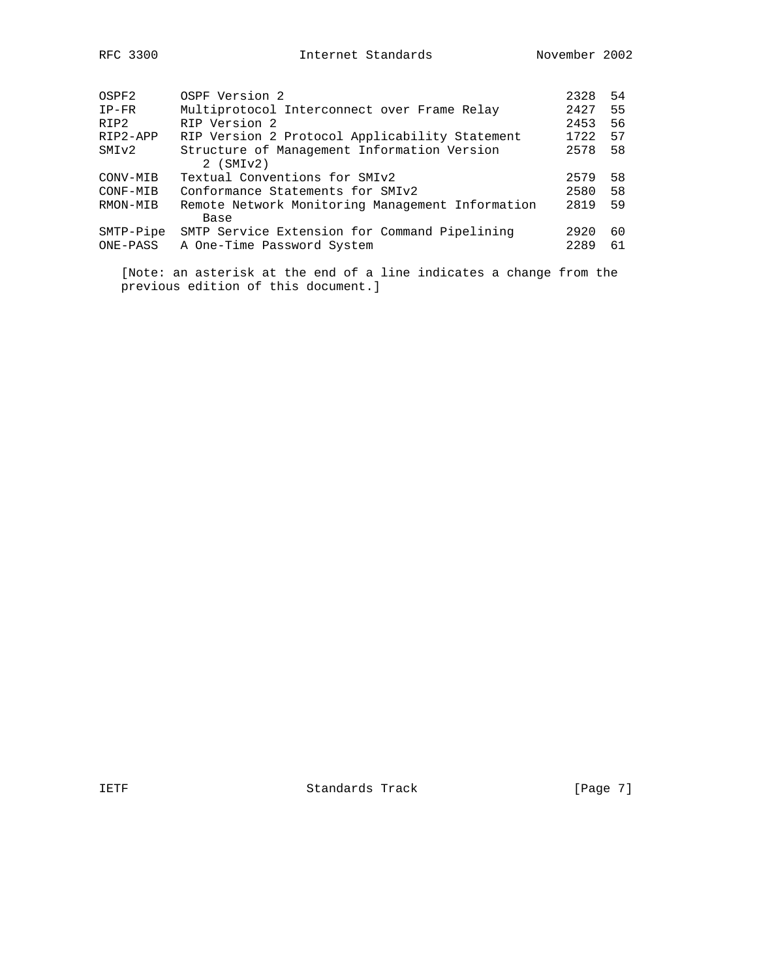| OSPF2     | OSPF Version 2                                   | 2328 | 54 |
|-----------|--------------------------------------------------|------|----|
| $IP-FR$   | Multiprotocol Interconnect over Frame Relay      | 2427 | 55 |
| RIP2      | RIP Version 2                                    | 2453 | 56 |
| RIP2-APP  | RIP Version 2 Protocol Applicability Statement   | 1722 | 57 |
| SMIv2     | Structure of Management Information Version      | 2578 | 58 |
|           | $2$ (SMI $v2$ )                                  |      |    |
| CONV-MIB  | Textual Conventions for SMIv2                    | 2579 | 58 |
| CONF-MIB  | Conformance Statements for SMIv2                 | 2580 | 58 |
| RMON-MIB  | Remote Network Monitoring Management Information | 2819 | 59 |
|           | Base                                             |      |    |
| SMTP-Pipe | SMTP Service Extension for Command Pipelining    | 2920 | 60 |
| ONE-PASS  | A One-Time Password System                       | 2289 | 61 |
|           |                                                  |      |    |
|           |                                                  |      |    |

 [Note: an asterisk at the end of a line indicates a change from the previous edition of this document.]

IETF Standards Track [Page 7]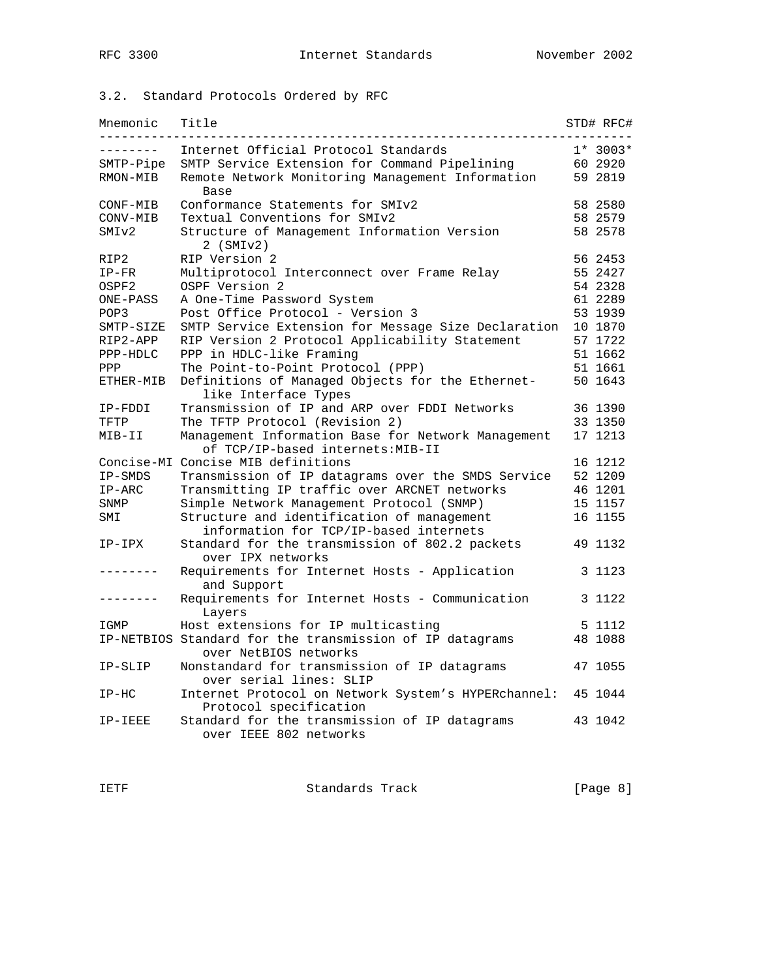# 3.2. Standard Protocols Ordered by RFC

| Mnemonic        | Title                                                                             | STD# RFC#  |
|-----------------|-----------------------------------------------------------------------------------|------------|
| $- - - - - - -$ | Internet Official Protocol Standards                                              | $1* 3003*$ |
| SMTP-Pipe       | SMTP Service Extension for Command Pipelining                                     | 60 2920    |
| RMON-MIB        | Remote Network Monitoring Management Information<br>Base                          | 59 2819    |
| CONF-MIB        | Conformance Statements for SMIv2                                                  | 58 2580    |
| CONV-MIB        | Textual Conventions for SMIv2                                                     | 58 2579    |
| SMIv2           | Structure of Management Information Version<br>2 (SMIv2)                          | 58 2578    |
| RIP2            | RIP Version 2                                                                     | 56 2453    |
| $IP-FR$         | Multiprotocol Interconnect over Frame Relay                                       | 55 2427    |
| OSPF2           | OSPF Version 2                                                                    | 54 2328    |
| ONE-PASS        | A One-Time Password System                                                        | 61 2289    |
| POP3            | Post Office Protocol - Version 3                                                  | 53 1939    |
| SMTP-SIZE       | SMTP Service Extension for Message Size Declaration                               | 10 1870    |
| RIP2-APP        | RIP Version 2 Protocol Applicability Statement                                    | 57 1722    |
| PPP-HDLC        | PPP in HDLC-like Framing                                                          | 51 1662    |
| PPP             | The Point-to-Point Protocol (PPP)                                                 | 51 1661    |
| ETHER-MIB       | Definitions of Managed Objects for the Ethernet-<br>like Interface Types          | 50 1643    |
| IP-FDDI         | Transmission of IP and ARP over FDDI Networks                                     | 36 1390    |
| TFTP            | The TFTP Protocol (Revision 2)                                                    | 33 1350    |
| MIB-II          | Management Information Base for Network Management                                | 17 1213    |
|                 | of TCP/IP-based internets: MIB-II                                                 |            |
|                 | Concise-MI Concise MIB definitions                                                | 16 1212    |
| IP-SMDS         | Transmission of IP datagrams over the SMDS Service                                | 52 1209    |
| $IP-ARC$        | Transmitting IP traffic over ARCNET networks                                      | 46 1201    |
| SNMP            | Simple Network Management Protocol (SNMP)                                         | 15 1157    |
| SMI             | Structure and identification of management                                        | 16 1155    |
|                 | information for TCP/IP-based internets                                            |            |
| $IP-IPX$        |                                                                                   | 49 1132    |
|                 | Standard for the transmission of 802.2 packets<br>over IPX networks               |            |
|                 | Requirements for Internet Hosts - Application<br>and Support                      | 3 1123     |
|                 | Requirements for Internet Hosts - Communication<br>Layers                         | 3 1122     |
| IGMP            | Host extensions for IP multicasting                                               | 5 1112     |
|                 | IP-NETBIOS Standard for the transmission of IP datagrams<br>over NetBIOS networks | 48 1088    |
| IP-SLIP         | Nonstandard for transmission of IP datagrams<br>over serial lines: SLIP           | 47 1055    |
| $IP-HC$         | Internet Protocol on Network System's HYPERchannel:<br>Protocol specification     | 45 1044    |
| IP-IEEE         | Standard for the transmission of IP datagrams<br>over IEEE 802 networks           | 43 1042    |
|                 |                                                                                   |            |

IETF Standards Track [Page 8]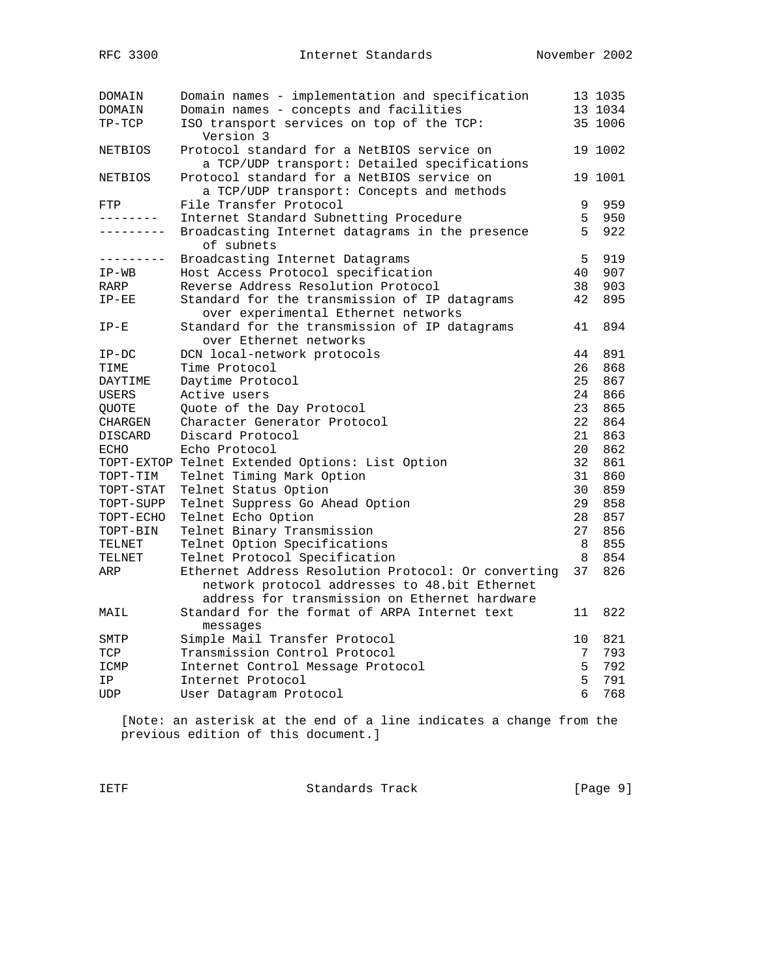| <b>DOMAIN</b>  | Domain names - implementation and specification     |    | 13 1035 |
|----------------|-----------------------------------------------------|----|---------|
| DOMAIN         | Domain names - concepts and facilities              |    | 13 1034 |
| $TP-TCP$       | ISO transport services on top of the TCP:           |    | 35 1006 |
|                | Version 3                                           |    |         |
| <b>NETBIOS</b> | Protocol standard for a NetBIOS service on          |    | 19 1002 |
|                | a TCP/UDP transport: Detailed specifications        |    |         |
| NETBIOS        | Protocol standard for a NetBIOS service on          |    | 19 1001 |
|                | a TCP/UDP transport: Concepts and methods           |    |         |
| FTP            | File Transfer Protocol                              | 9  | 959     |
| .              | Internet Standard Subnetting Procedure              | 5  | 950     |
| --------       | Broadcasting Internet datagrams in the presence     | 5  | 922     |
|                | of subnets                                          |    |         |
|                | Broadcasting Internet Datagrams                     | 5  | 919     |
| $IP-WB$        | Host Access Protocol specification                  | 40 | 907     |
| RARP           | Reverse Address Resolution Protocol                 | 38 | 903     |
| $IP-EE$        | Standard for the transmission of IP datagrams       | 42 | 895     |
|                | over experimental Ethernet networks                 |    |         |
| $IP-E$         | Standard for the transmission of IP datagrams       | 41 | 894     |
|                | over Ethernet networks                              |    |         |
| $IP-DC$        | DCN local-network protocols                         | 44 | 891     |
| TIME           | Time Protocol                                       | 26 | 868     |
| DAYTIME        | Daytime Protocol                                    | 25 | 867     |
| USERS          | Active users                                        | 24 | 866     |
| QUOTE          | Quote of the Day Protocol                           | 23 | 865     |
| CHARGEN        | Character Generator Protocol                        | 22 | 864     |
| DISCARD        | Discard Protocol                                    | 21 | 863     |
| ECHO           | Echo Protocol                                       | 20 | 862     |
|                | TOPT-EXTOP Telnet Extended Options: List Option     | 32 | 861     |
| TOPT-TIM       | Telnet Timing Mark Option                           | 31 | 860     |
| TOPT-STAT      | Telnet Status Option                                | 30 | 859     |
| TOPT-SUPP      | Telnet Suppress Go Ahead Option                     | 29 | 858     |
| TOPT-ECHO      | Telnet Echo Option                                  | 28 | 857     |
| TOPT-BIN       | Telnet Binary Transmission                          | 27 | 856     |
| TELNET         | Telnet Option Specifications                        | 8  | 855     |
| TELNET         | Telnet Protocol Specification                       | 8  | 854     |
| ARP            | Ethernet Address Resolution Protocol: Or converting | 37 | 826     |
|                | network protocol addresses to 48.bit Ethernet       |    |         |
|                | address for transmission on Ethernet hardware       |    |         |
| MAIL           | Standard for the format of ARPA Internet text       | 11 | 822     |
|                | messages                                            |    |         |
| SMTP           | Simple Mail Transfer Protocol                       | 10 | 821     |
| TCP            | Transmission Control Protocol                       | 7  | 793     |
| ICMP           | Internet Control Message Protocol                   | 5  | 792     |
| ΙP             | Internet Protocol                                   | 5  | 791     |
| <b>UDP</b>     | User Datagram Protocol                              | 6  | 768     |

 [Note: an asterisk at the end of a line indicates a change from the previous edition of this document.]

IETF Standards Track [Page 9]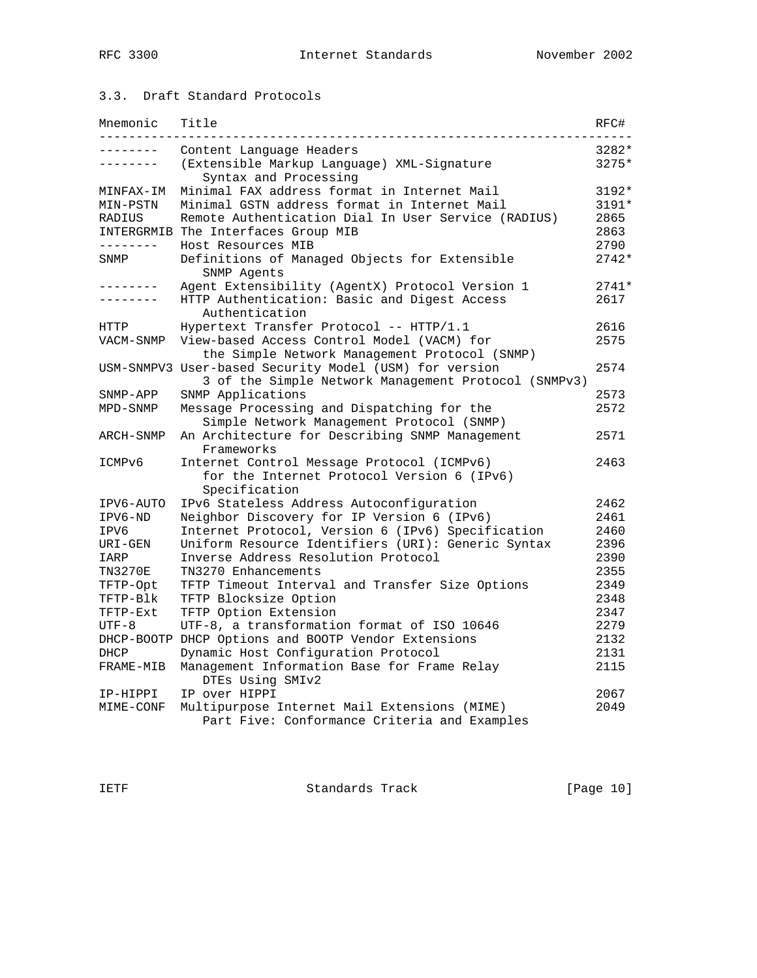### 3.3. Draft Standard Protocols

| Mnemonic       | Title                                                                                                          | RFC#    |
|----------------|----------------------------------------------------------------------------------------------------------------|---------|
|                | Content Language Headers                                                                                       | 3282*   |
| --------       | (Extensible Markup Language) XML-Signature<br>Syntax and Processing                                            | $3275*$ |
| MINFAX-IM      | Minimal FAX address format in Internet Mail                                                                    | $3192*$ |
| MIN-PSTN       | Minimal GSTN address format in Internet Mail                                                                   | $3191*$ |
| RADIUS         | Remote Authentication Dial In User Service (RADIUS)                                                            | 2865    |
|                | INTERGRMIB The Interfaces Group MIB                                                                            | 2863    |
| .              | Host Resources MIB                                                                                             | 2790    |
| SNMP           | Definitions of Managed Objects for Extensible<br>SNMP Agents                                                   | $2742*$ |
|                | Agent Extensibility (AgentX) Protocol Version 1                                                                | $2741*$ |
|                | HTTP Authentication: Basic and Digest Access<br>Authentication                                                 | 2617    |
| HTTP           | Hypertext Transfer Protocol -- HTTP/1.1                                                                        | 2616    |
| VACM-SNMP      | View-based Access Control Model (VACM) for                                                                     | 2575    |
|                | the Simple Network Management Protocol (SNMP)                                                                  |         |
|                | USM-SNMPV3 User-based Security Model (USM) for version<br>3 of the Simple Network Management Protocol (SNMPv3) | 2574    |
| SNMP-APP       | SNMP Applications                                                                                              | 2573    |
| MPD-SNMP       | Message Processing and Dispatching for the<br>Simple Network Management Protocol (SNMP)                        | 2572    |
| ARCH-SNMP      | An Architecture for Describing SNMP Management<br>Frameworks                                                   | 2571    |
| ICMPv6         | Internet Control Message Protocol (ICMPv6)                                                                     | 2463    |
|                | for the Internet Protocol Version 6 (IPv6)<br>Specification                                                    |         |
| IPV6-AUTO      | IPv6 Stateless Address Autoconfiguration                                                                       | 2462    |
| IPV6-ND        | Neighbor Discovery for IP Version 6 (IPv6)                                                                     | 2461    |
| IPV6           | Internet Protocol, Version 6 (IPv6) Specification                                                              | 2460    |
| URI-GEN        | Uniform Resource Identifiers (URI): Generic Syntax                                                             | 2396    |
| IARP           | Inverse Address Resolution Protocol                                                                            | 2390    |
| <b>TN3270E</b> | TN3270 Enhancements                                                                                            | 2355    |
| TFTP-Opt       | TFTP Timeout Interval and Transfer Size Options                                                                | 2349    |
| TFTP-Blk       | TFTP Blocksize Option                                                                                          | 2348    |
| TFTP-Ext       | TFTP Option Extension                                                                                          | 2347    |
| $UTF-8$        | UTF-8, a transformation format of ISO 10646                                                                    | 2279    |
|                | DHCP-BOOTP DHCP Options and BOOTP Vendor Extensions                                                            | 2132    |
| DHCP           | Dynamic Host Configuration Protocol                                                                            | 2131    |
| FRAME-MIB      | Management Information Base for Frame Relay<br>DTEs Using SMIv2                                                | 2115    |
| IP-HIPPI       | IP over HIPPI                                                                                                  | 2067    |
| MIME-CONF      | Multipurpose Internet Mail Extensions (MIME)<br>Part Five: Conformance Criteria and Examples                   | 2049    |

IETF Standards Track [Page 10]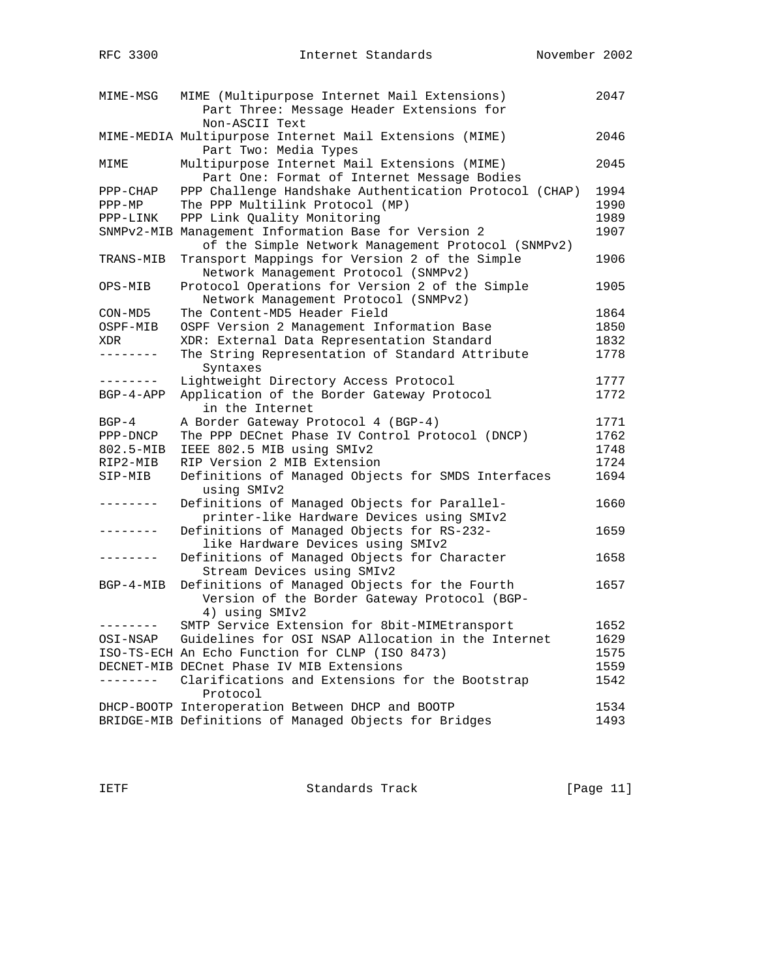| MIME-MSG      | MIME (Multipurpose Internet Mail Extensions)<br>Part Three: Message Header Extensions for<br>Non-ASCII Text | 2047 |
|---------------|-------------------------------------------------------------------------------------------------------------|------|
|               | MIME-MEDIA Multipurpose Internet Mail Extensions (MIME)<br>Part Two: Media Types                            | 2046 |
| MIME          | Multipurpose Internet Mail Extensions (MIME)<br>Part One: Format of Internet Message Bodies                 | 2045 |
| $PPP-CHAP$    | PPP Challenge Handshake Authentication Protocol (CHAP)                                                      | 1994 |
| PPP-MP        | The PPP Multilink Protocol (MP)                                                                             | 1990 |
| PPP-LINK      | PPP Link Quality Monitoring                                                                                 | 1989 |
|               | SNMPv2-MIB Management Information Base for Version 2                                                        | 1907 |
|               | of the Simple Network Management Protocol (SNMPv2)                                                          |      |
| TRANS-MIB     | Transport Mappings for Version 2 of the Simple<br>Network Management Protocol (SNMPv2)                      | 1906 |
| OPS-MIB       | Protocol Operations for Version 2 of the Simple<br>Network Management Protocol (SNMPv2)                     | 1905 |
|               | The Content-MD5 Header Field                                                                                | 1864 |
| CON-MD5       |                                                                                                             |      |
| OSPF-MIB      | OSPF Version 2 Management Information Base                                                                  | 1850 |
| XDR           | XDR: External Data Representation Standard                                                                  | 1832 |
| --------      | The String Representation of Standard Attribute<br>Syntaxes                                                 | 1778 |
| - - - - - - - | Lightweight Directory Access Protocol                                                                       | 1777 |
| BGP-4-APP     | Application of the Border Gateway Protocol<br>in the Internet                                               | 1772 |
|               |                                                                                                             | 1771 |
| BGP-4         | A Border Gateway Protocol 4 (BGP-4)                                                                         |      |
| PPP-DNCP      | The PPP DECnet Phase IV Control Protocol (DNCP)                                                             | 1762 |
| 802.5-MIB     | IEEE 802.5 MIB using SMIv2                                                                                  | 1748 |
| RIP2-MIB      | RIP Version 2 MIB Extension                                                                                 | 1724 |
| SIP-MIB       | Definitions of Managed Objects for SMDS Interfaces<br>using SMIv2                                           | 1694 |
| --------      | Definitions of Managed Objects for Parallel-                                                                | 1660 |
|               | printer-like Hardware Devices using SMIv2                                                                   |      |
|               | Definitions of Managed Objects for RS-232-                                                                  | 1659 |
|               | like Hardware Devices using SMIv2                                                                           |      |
|               | Definitions of Managed Objects for Character                                                                | 1658 |
|               | Stream Devices using SMIv2                                                                                  |      |
| BGP-4-MIB     | Definitions of Managed Objects for the Fourth<br>Version of the Border Gateway Protocol (BGP-               | 1657 |
|               | 4) using SMIv2                                                                                              |      |
| --------      | SMTP Service Extension for 8bit-MIMEtransport                                                               | 1652 |
| OSI-NSAP      | Guidelines for OSI NSAP Allocation in the Internet                                                          | 1629 |
|               | ISO-TS-ECH An Echo Function for CLNP (ISO 8473)                                                             | 1575 |
|               | DECNET-MIB DECnet Phase IV MIB Extensions                                                                   | 1559 |
| $- - - - - -$ | Clarifications and Extensions for the Bootstrap<br>Protocol                                                 | 1542 |
|               |                                                                                                             |      |
|               | DHCP-BOOTP Interoperation Between DHCP and BOOTP                                                            | 1534 |
|               | BRIDGE-MIB Definitions of Managed Objects for Bridges                                                       | 1493 |

IETF Standards Track [Page 11]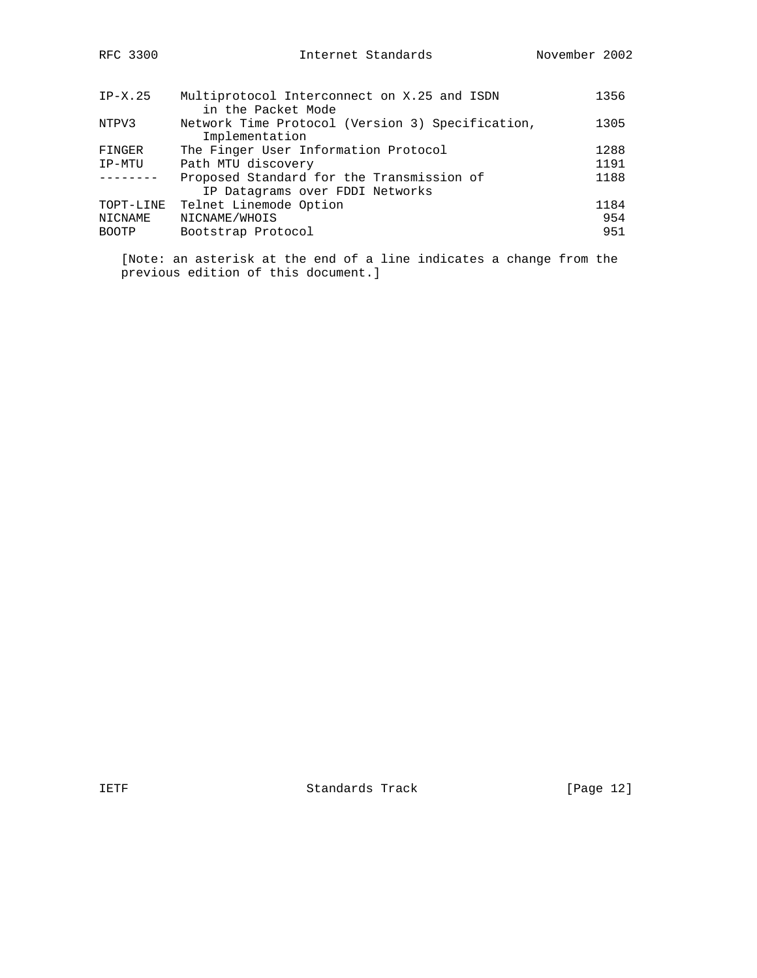| $IP-X.25$    | Multiprotocol Interconnect on X.25 and ISDN<br>in the Packet Mode            | 1356 |
|--------------|------------------------------------------------------------------------------|------|
| NTPV3        | Network Time Protocol (Version 3) Specification,<br>Implementation           | 1305 |
| FINGER       | The Finger User Information Protocol                                         | 1288 |
| IP-MTU       | Path MTU discovery                                                           | 1191 |
|              | Proposed Standard for the Transmission of<br>IP Datagrams over FDDI Networks | 1188 |
| TOPT-LINE    | Telnet Linemode Option                                                       | 1184 |
| NICNAME      | NICNAME/WHOIS                                                                | 954  |
| <b>BOOTP</b> | Bootstrap Protocol                                                           | 951  |

 [Note: an asterisk at the end of a line indicates a change from the previous edition of this document.]

IETF Standards Track [Page 12]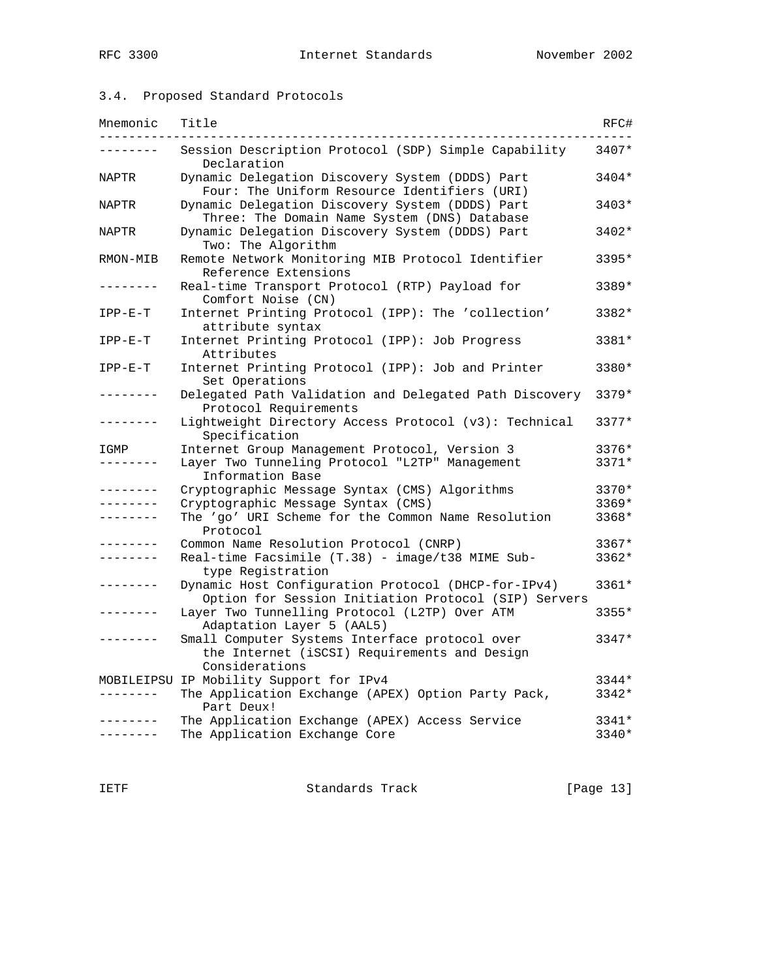# 3.4. Proposed Standard Protocols

| Mnemonic        | Title                                                                                                            | RFC#    |
|-----------------|------------------------------------------------------------------------------------------------------------------|---------|
| ------          | Session Description Protocol (SDP) Simple Capability<br>Declaration                                              | 3407*   |
| NAPTR           | Dynamic Delegation Discovery System (DDDS) Part<br>Four: The Uniform Resource Identifiers (URI)                  | $3404*$ |
| NAPTR           | Dynamic Delegation Discovery System (DDDS) Part<br>Three: The Domain Name System (DNS) Database                  | $3403*$ |
| NAPTR           | Dynamic Delegation Discovery System (DDDS) Part<br>Two: The Algorithm                                            | $3402*$ |
| RMON-MIB        | Remote Network Monitoring MIB Protocol Identifier<br>Reference Extensions                                        | 3395*   |
|                 | Real-time Transport Protocol (RTP) Payload for<br>Comfort Noise (CN)                                             | 3389*   |
| $IPP-E-T$       | Internet Printing Protocol (IPP): The 'collection'<br>attribute syntax                                           | 3382*   |
| $IPP-E-T$       | Internet Printing Protocol (IPP): Job Progress<br>Attributes                                                     | 3381*   |
| $IPP-E-T$       | Internet Printing Protocol (IPP): Job and Printer<br>Set Operations                                              | 3380*   |
|                 | Delegated Path Validation and Delegated Path Discovery<br>Protocol Requirements                                  | 3379*   |
| .               | Lightweight Directory Access Protocol (v3): Technical<br>Specification                                           | $3377*$ |
| IGMP            | Internet Group Management Protocol, Version 3                                                                    | 3376*   |
|                 | Layer Two Tunneling Protocol "L2TP" Management<br>Information Base                                               | 3371*   |
| $\frac{1}{2}$   | Cryptographic Message Syntax (CMS) Algorithms                                                                    | $3370*$ |
| .               | Cryptographic Message Syntax (CMS)                                                                               | $3369*$ |
| .               | The 'go' URI Scheme for the Common Name Resolution<br>Protocol                                                   | 3368*   |
|                 | Common Name Resolution Protocol (CNRP)                                                                           | $3367*$ |
| -------         | Real-time Facsimile (T.38) - image/t38 MIME Sub-<br>type Registration                                            | $3362*$ |
| $- - - - - - -$ | Dynamic Host Configuration Protocol (DHCP-for-IPv4)<br>Option for Session Initiation Protocol (SIP) Servers      | 3361*   |
|                 | Layer Two Tunnelling Protocol (L2TP) Over ATM<br>Adaptation Layer 5 (AAL5)                                       | 3355*   |
| -------         | Small Computer Systems Interface protocol over<br>the Internet (iSCSI) Requirements and Design<br>Considerations | $3347*$ |
|                 | MOBILEIPSU IP Mobility Support for IPv4                                                                          | 3344*   |
| ---------       | The Application Exchange (APEX) Option Party Pack,<br>Part Deux!                                                 | $3342*$ |
|                 | The Application Exchange (APEX) Access Service                                                                   | 3341*   |
| -------         | The Application Exchange Core                                                                                    | 3340*   |

IETF Standards Track [Page 13]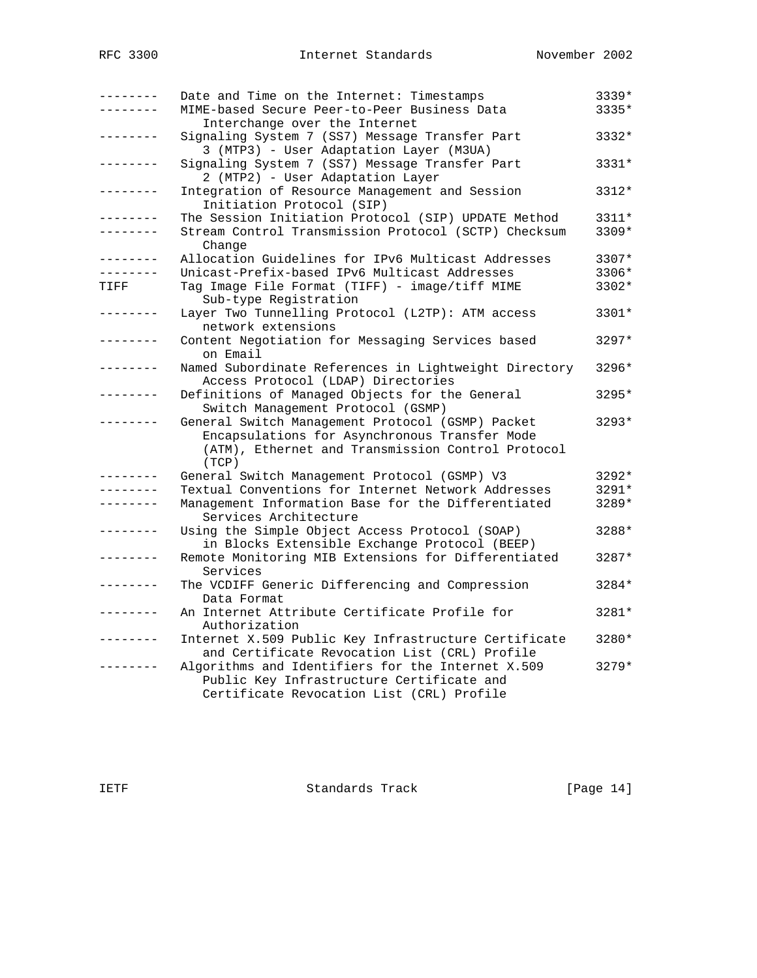|                   | Date and Time on the Internet: Timestamps                                                   | $3339*$ |
|-------------------|---------------------------------------------------------------------------------------------|---------|
|                   | MIME-based Secure Peer-to-Peer Business Data                                                | 3335*   |
|                   | Interchange over the Internet                                                               |         |
| كالمالية كالمالية | Signaling System 7 (SS7) Message Transfer Part                                              | 3332*   |
|                   | 3 (MTP3) - User Adaptation Layer (M3UA)                                                     |         |
|                   | Signaling System 7 (SS7) Message Transfer Part                                              | 3331*   |
|                   | 2 (MTP2) - User Adaptation Layer                                                            |         |
|                   | Integration of Resource Management and Session<br>Initiation Protocol (SIP)                 | $3312*$ |
|                   | The Session Initiation Protocol (SIP) UPDATE Method                                         | $3311*$ |
|                   | Stream Control Transmission Protocol (SCTP) Checksum                                        | 3309*   |
|                   | Change                                                                                      |         |
|                   | Allocation Guidelines for IPv6 Multicast Addresses                                          | 3307*   |
|                   | Unicast-Prefix-based IPv6 Multicast Addresses                                               | 3306*   |
| TIFF              | Tag Image File Format (TIFF) - image/tiff MIME<br>Sub-type Registration                     | 3302*   |
|                   | Layer Two Tunnelling Protocol (L2TP): ATM access                                            | 3301*   |
|                   | network extensions                                                                          |         |
|                   | Content Negotiation for Messaging Services based<br>on Email                                | $3297*$ |
|                   | Named Subordinate References in Lightweight Directory<br>Access Protocol (LDAP) Directories | 3296*   |
|                   | Definitions of Managed Objects for the General                                              | 3295*   |
|                   | Switch Management Protocol (GSMP)                                                           |         |
|                   | General Switch Management Protocol (GSMP) Packet                                            | $3293*$ |
|                   | Encapsulations for Asynchronous Transfer Mode                                               |         |
|                   | (ATM), Ethernet and Transmission Control Protocol                                           |         |
|                   | (TCP)                                                                                       |         |
|                   | General Switch Management Protocol (GSMP) V3                                                | $3292*$ |
|                   | Textual Conventions for Internet Network Addresses                                          | 3291*   |
|                   | Management Information Base for the Differentiated                                          | 3289*   |
|                   | Services Architecture                                                                       |         |
|                   | Using the Simple Object Access Protocol (SOAP)                                              | 3288*   |
|                   | in Blocks Extensible Exchange Protocol (BEEP)                                               |         |
|                   | Remote Monitoring MIB Extensions for Differentiated                                         | 3287*   |
|                   | Services                                                                                    |         |
|                   | The VCDIFF Generic Differencing and Compression                                             | 3284*   |
|                   | Data Format                                                                                 |         |
|                   | An Internet Attribute Certificate Profile for                                               | 3281*   |
|                   | Authorization                                                                               |         |
|                   | Internet X.509 Public Key Infrastructure Certificate                                        | 3280*   |
|                   | and Certificate Revocation List (CRL) Profile                                               |         |
|                   | Algorithms and Identifiers for the Internet X.509                                           | $3279*$ |
|                   | Public Key Infrastructure Certificate and                                                   |         |
|                   | Certificate Revocation List (CRL) Profile                                                   |         |

IETF Standards Track [Page 14]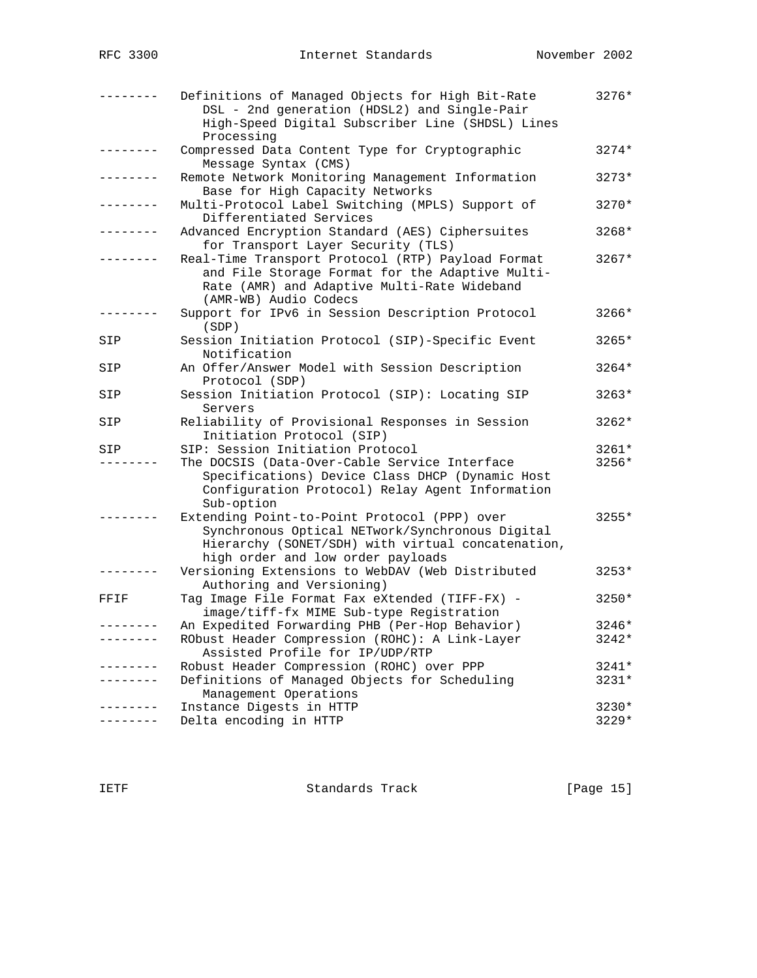|          | Definitions of Managed Objects for High Bit-Rate<br>DSL - 2nd generation (HDSL2) and Single-Pair<br>High-Speed Digital Subscriber Line (SHDSL) Lines<br>Processing                        | 3276*   |
|----------|-------------------------------------------------------------------------------------------------------------------------------------------------------------------------------------------|---------|
|          | Compressed Data Content Type for Cryptographic<br>Message Syntax (CMS)                                                                                                                    | $3274*$ |
|          | Remote Network Monitoring Management Information<br>Base for High Capacity Networks                                                                                                       | $3273*$ |
|          | Multi-Protocol Label Switching (MPLS) Support of<br>Differentiated Services                                                                                                               | $3270*$ |
|          | Advanced Encryption Standard (AES) Ciphersuites<br>for Transport Layer Security (TLS)                                                                                                     | $3268*$ |
|          | Real-Time Transport Protocol (RTP) Payload Format<br>and File Storage Format for the Adaptive Multi-<br>Rate (AMR) and Adaptive Multi-Rate Wideband<br>(AMR-WB) Audio Codecs              | $3267*$ |
|          | Support for IPv6 in Session Description Protocol<br>(SDP)                                                                                                                                 | $3266*$ |
| SIP      | Session Initiation Protocol (SIP)-Specific Event<br>Notification                                                                                                                          | 3265*   |
| SIP      | An Offer/Answer Model with Session Description<br>Protocol (SDP)                                                                                                                          | $3264*$ |
| SIP      | Session Initiation Protocol (SIP): Locating SIP<br>Servers                                                                                                                                | $3263*$ |
| SIP      | Reliability of Provisional Responses in Session<br>Initiation Protocol (SIP)                                                                                                              | $3262*$ |
| SIP      | SIP: Session Initiation Protocol                                                                                                                                                          | 3261*   |
|          | The DOCSIS (Data-Over-Cable Service Interface<br>Specifications) Device Class DHCP (Dynamic Host<br>Configuration Protocol) Relay Agent Information<br>Sub-option                         | 3256*   |
|          | Extending Point-to-Point Protocol (PPP) over<br>Synchronous Optical NETwork/Synchronous Digital<br>Hierarchy (SONET/SDH) with virtual concatenation,<br>high order and low order payloads | $3255*$ |
|          | Versioning Extensions to WebDAV (Web Distributed<br>Authoring and Versioning)                                                                                                             | $3253*$ |
| FFIF     | Tag Image File Format Fax eXtended (TIFF-FX) -<br>image/tiff-fx MIME Sub-type Registration                                                                                                | $3250*$ |
|          | An Expedited Forwarding PHB (Per-Hop Behavior)                                                                                                                                            | $3246*$ |
|          | RObust Header Compression (ROHC): A Link-Layer<br>Assisted Profile for IP/UDP/RTP                                                                                                         | 3242*   |
|          | Robust Header Compression (ROHC) over PPP                                                                                                                                                 | $3241*$ |
|          | Definitions of Managed Objects for Scheduling<br>Management Operations                                                                                                                    | 3231*   |
|          | Instance Digests in HTTP                                                                                                                                                                  | 3230*   |
| -------- | Delta encoding in HTTP                                                                                                                                                                    | 3229*   |

IETF Standards Track [Page 15]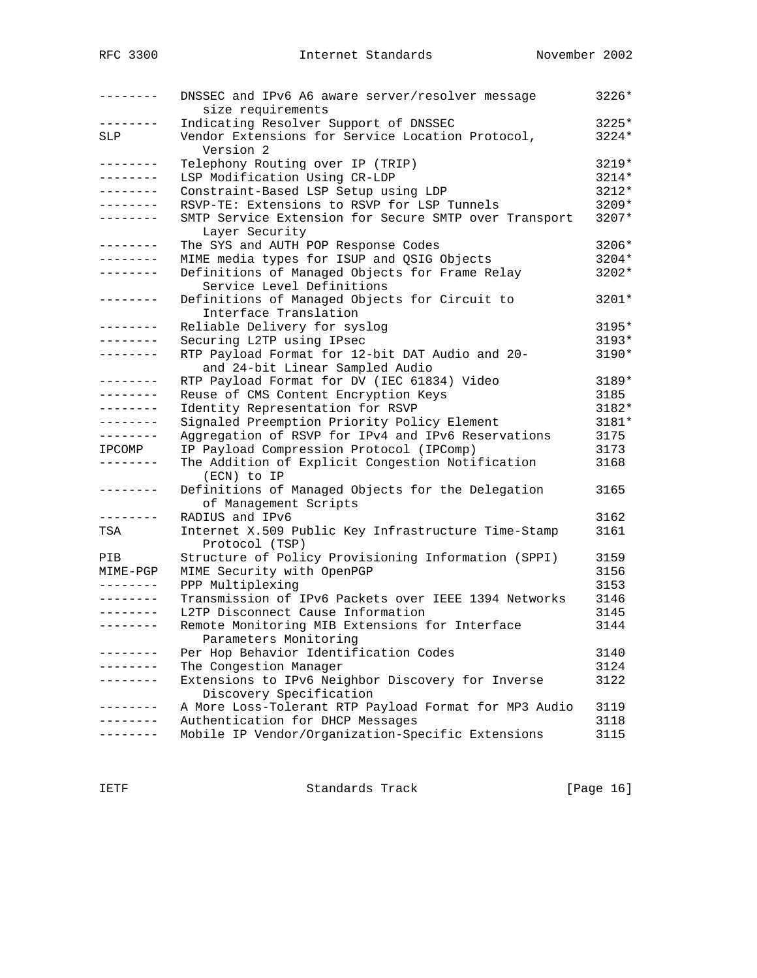| ---------         | DNSSEC and IPv6 A6 aware server/resolver message<br>size requirements | 3226*   |
|-------------------|-----------------------------------------------------------------------|---------|
| .                 | Indicating Resolver Support of DNSSEC                                 | 3225*   |
| SLP               | Vendor Extensions for Service Location Protocol,<br>Version 2         | $3224*$ |
| --------          | Telephony Routing over IP (TRIP)                                      | $3219*$ |
| $- - - - - - - -$ | LSP Modification Using CR-LDP                                         | 3214*   |
| --------          | Constraint-Based LSP Setup using LDP                                  | $3212*$ |
| --------          | RSVP-TE: Extensions to RSVP for LSP Tunnels                           | 3209*   |
| $- - - - - - - -$ | SMTP Service Extension for Secure SMTP over Transport                 | 3207*   |
|                   | Layer Security                                                        |         |
| $- - - - - - - -$ | The SYS and AUTH POP Response Codes                                   | 3206*   |
| --------          | MIME media types for ISUP and QSIG Objects                            | 3204*   |
|                   | Definitions of Managed Objects for Frame Relay                        | 3202*   |
|                   | Service Level Definitions                                             |         |
| $- - - - - - - -$ | Definitions of Managed Objects for Circuit to                         | 3201*   |
|                   | Interface Translation                                                 |         |
| --------          | Reliable Delivery for syslog                                          | 3195*   |
| --------          | Securing L2TP using IPsec                                             | 3193*   |
| --------          | RTP Payload Format for 12-bit DAT Audio and 20-                       | $3190*$ |
|                   | and 24-bit Linear Sampled Audio                                       |         |
| $- - - - - - - -$ | RTP Payload Format for DV (IEC 61834) Video                           | 3189*   |
| --------          | Reuse of CMS Content Encryption Keys                                  | 3185    |
| --------          | Identity Representation for RSVP                                      | 3182*   |
| --------          | Signaled Preemption Priority Policy Element                           | 3181*   |
|                   | Aggregation of RSVP for IPv4 and IPv6 Reservations                    | 3175    |
| IPCOMP            | IP Payload Compression Protocol (IPComp)                              | 3173    |
| --------          | The Addition of Explicit Congestion Notification                      | 3168    |
|                   | (ECN) to IP                                                           |         |
| $- - - - - - - -$ | Definitions of Managed Objects for the Delegation                     | 3165    |
|                   | of Management Scripts                                                 |         |
|                   | RADIUS and IPv6                                                       | 3162    |
| TSA               | Internet X.509 Public Key Infrastructure Time-Stamp                   | 3161    |
|                   | Protocol (TSP)                                                        |         |
| PIB               | Structure of Policy Provisioning Information (SPPI)                   | 3159    |
| MIME-PGP          | MIME Security with OpenPGP                                            | 3156    |
| --------          | PPP Multiplexing                                                      | 3153    |
| . - - - - - - -   | Transmission of IPv6 Packets over IEEE 1394 Networks                  | 3146    |
| --------          | L2TP Disconnect Cause Information                                     | 3145    |
| $- - - - - - - -$ | Remote Monitoring MIB Extensions for Interface                        | 3144    |
|                   | Parameters Monitoring                                                 |         |
| -------           | Per Hop Behavior Identification Codes                                 | 3140    |
|                   | The Congestion Manager                                                | 3124    |
|                   | Extensions to IPv6 Neighbor Discovery for Inverse                     | 3122    |
|                   | Discovery Specification                                               |         |
| . – – – – – – –   | A More Loss-Tolerant RTP Payload Format for MP3 Audio                 | 3119    |
|                   | Authentication for DHCP Messages                                      | 3118    |
|                   | Mobile IP Vendor/Organization-Specific Extensions                     | 3115    |
|                   |                                                                       |         |

IETF Standards Track [Page 16]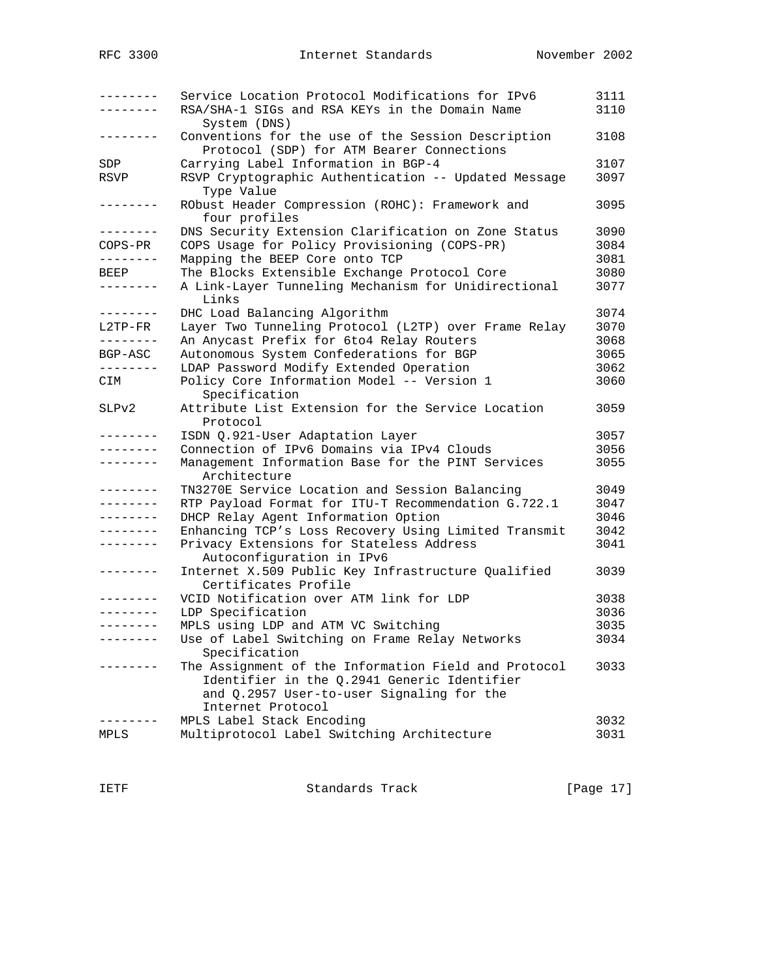| - - - - - - - -   | Service Location Protocol Modifications for IPv6                                                                                                                      | 3111 |
|-------------------|-----------------------------------------------------------------------------------------------------------------------------------------------------------------------|------|
| .                 | RSA/SHA-1 SIGs and RSA KEYs in the Domain Name<br>System (DNS)                                                                                                        | 3110 |
| . - - - - - - -   | Conventions for the use of the Session Description<br>Protocol (SDP) for ATM Bearer Connections                                                                       | 3108 |
| SDP               | Carrying Label Information in BGP-4                                                                                                                                   | 3107 |
| RSVP              | RSVP Cryptographic Authentication -- Updated Message<br>Type Value                                                                                                    | 3097 |
| --------          | RObust Header Compression (ROHC): Framework and<br>four profiles                                                                                                      | 3095 |
| --------          | DNS Security Extension Clarification on Zone Status                                                                                                                   | 3090 |
| COPS-PR           | COPS Usage for Policy Provisioning (COPS-PR)                                                                                                                          | 3084 |
| --------          | Mapping the BEEP Core onto TCP                                                                                                                                        | 3081 |
| BEEP              | The Blocks Extensible Exchange Protocol Core                                                                                                                          | 3080 |
| --------          | A Link-Layer Tunneling Mechanism for Unidirectional<br>Links                                                                                                          | 3077 |
| --------          | DHC Load Balancing Algorithm                                                                                                                                          | 3074 |
| L2TP-FR           | Layer Two Tunneling Protocol (L2TP) over Frame Relay                                                                                                                  | 3070 |
| --------          | An Anycast Prefix for 6to4 Relay Routers                                                                                                                              | 3068 |
| BGP-ASC           | Autonomous System Confederations for BGP                                                                                                                              | 3065 |
| ---------         | LDAP Password Modify Extended Operation                                                                                                                               | 3062 |
| CIM               | Policy Core Information Model -- Version 1<br>Specification                                                                                                           | 3060 |
| SLPv2             | Attribute List Extension for the Service Location<br>Protocol                                                                                                         | 3059 |
| .                 | ISDN Q.921-User Adaptation Layer                                                                                                                                      | 3057 |
| --------          | Connection of IPv6 Domains via IPv4 Clouds                                                                                                                            | 3056 |
| --------          | Management Information Base for the PINT Services<br>Architecture                                                                                                     | 3055 |
| ---------         | TN3270E Service Location and Session Balancing                                                                                                                        | 3049 |
| --------          | RTP Payload Format for ITU-T Recommendation G.722.1                                                                                                                   | 3047 |
| --------          | DHCP Relay Agent Information Option                                                                                                                                   | 3046 |
| --------          | Enhancing TCP's Loss Recovery Using Limited Transmit                                                                                                                  | 3042 |
| $- - - - - - - -$ | Privacy Extensions for Stateless Address<br>Autoconfiguration in IPv6                                                                                                 | 3041 |
| --------          | Internet X.509 Public Key Infrastructure Qualified<br>Certificates Profile                                                                                            | 3039 |
| --------          | VCID Notification over ATM link for LDP                                                                                                                               | 3038 |
| $- - - - - - - -$ | LDP Specification                                                                                                                                                     | 3036 |
| $- - - - - - - -$ | MPLS using LDP and ATM VC Switching                                                                                                                                   | 3035 |
| $- - - - - - - -$ | Use of Label Switching on Frame Relay Networks<br>Specification                                                                                                       | 3034 |
|                   | The Assignment of the Information Field and Protocol<br>Identifier in the Q.2941 Generic Identifier<br>and Q.2957 User-to-user Signaling for the<br>Internet Protocol | 3033 |
|                   | MPLS Label Stack Encoding                                                                                                                                             | 3032 |
| MPLS              | Multiprotocol Label Switching Architecture                                                                                                                            | 3031 |

IETF Standards Track [Page 17]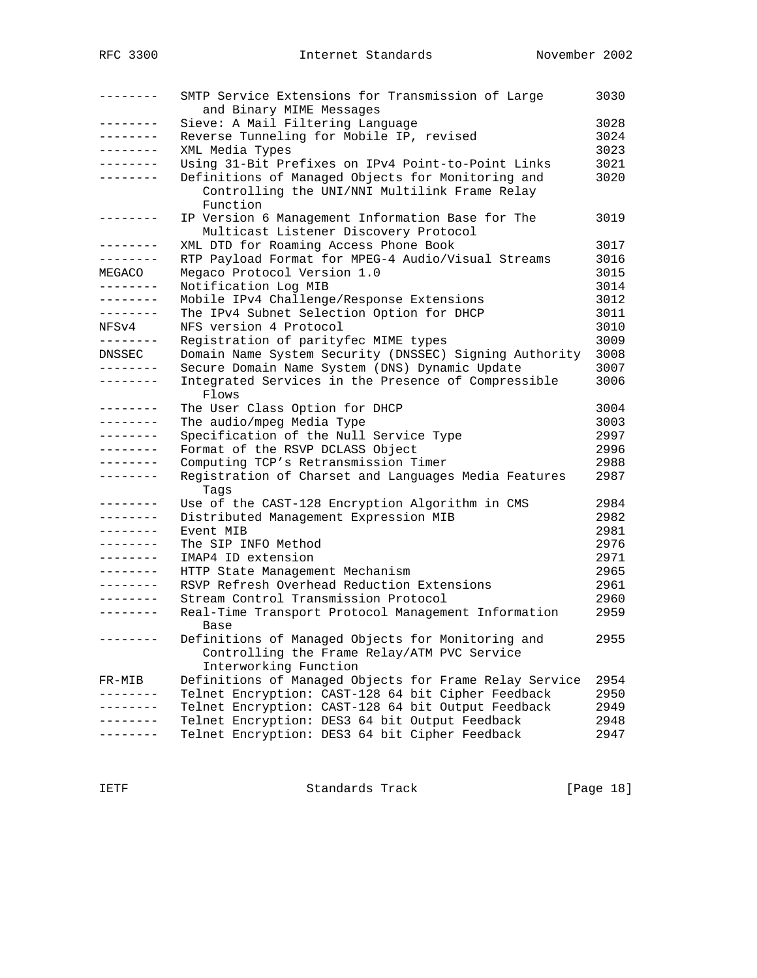| --------          | SMTP Service Extensions for Transmission of Large<br>and Binary MIME Messages | 3030 |
|-------------------|-------------------------------------------------------------------------------|------|
| - - - - - - - - - | Sieve: A Mail Filtering Language                                              | 3028 |
| --------          | Reverse Tunneling for Mobile IP, revised                                      | 3024 |
| --------          | XML Media Types                                                               | 3023 |
| - - - - - - - -   | Using 31-Bit Prefixes on IPv4 Point-to-Point Links                            | 3021 |
| --------          | Definitions of Managed Objects for Monitoring and                             | 3020 |
|                   | Controlling the UNI/NNI Multilink Frame Relay                                 |      |
|                   | Function                                                                      |      |
| --------          | IP Version 6 Management Information Base for The                              | 3019 |
|                   | Multicast Listener Discovery Protocol                                         |      |
| --------          | XML DTD for Roaming Access Phone Book                                         | 3017 |
| ---------         | RTP Payload Format for MPEG-4 Audio/Visual Streams                            | 3016 |
| MEGACO            | Megaco Protocol Version 1.0                                                   | 3015 |
| --------          | Notification Log MIB                                                          | 3014 |
| --------          | Mobile IPv4 Challenge/Response Extensions                                     | 3012 |
| --------          | The IPv4 Subnet Selection Option for DHCP                                     | 3011 |
| NFSv4             | NFS version 4 Protocol                                                        | 3010 |
| --------          | Registration of parityfec MIME types                                          | 3009 |
| DNSSEC            | Domain Name System Security (DNSSEC) Signing Authority                        | 3008 |
| .                 | Secure Domain Name System (DNS) Dynamic Update                                | 3007 |
| --------          | Integrated Services in the Presence of Compressible<br>Flows                  | 3006 |
| --------          |                                                                               | 3004 |
| --------          | The User Class Option for DHCP<br>The audio/mpeg Media Type                   | 3003 |
| .                 | Specification of the Null Service Type                                        | 2997 |
| . – – – – – – –   | Format of the RSVP DCLASS Object                                              | 2996 |
| --------          | Computing TCP's Retransmission Timer                                          | 2988 |
| - - - - - - - -   | Registration of Charset and Languages Media Features                          | 2987 |
|                   | Taqs                                                                          |      |
| --------          | Use of the CAST-128 Encryption Algorithm in CMS                               | 2984 |
| --------          | Distributed Management Expression MIB                                         | 2982 |
| --------          | Event MIB                                                                     | 2981 |
| --------          | The SIP INFO Method                                                           | 2976 |
| --------          | IMAP4 ID extension                                                            | 2971 |
| ---------         | HTTP State Management Mechanism                                               | 2965 |
| --------          | RSVP Refresh Overhead Reduction Extensions                                    | 2961 |
|                   | Stream Control Transmission Protocol                                          | 2960 |
| --------          | Real-Time Transport Protocol Management Information                           | 2959 |
|                   | Base                                                                          |      |
|                   | Definitions of Managed Objects for Monitoring and                             | 2955 |
|                   | Controlling the Frame Relay/ATM PVC Service                                   |      |
|                   | Interworking Function                                                         |      |
| FR-MIB            | Definitions of Managed Objects for Frame Relay Service                        | 2954 |
| - - - - - -       | Telnet Encryption: CAST-128 64 bit Cipher Feedback                            | 2950 |
| --------          | Telnet Encryption: CAST-128 64 bit Output Feedback                            | 2949 |
|                   | Telnet Encryption: DES3 64 bit Output Feedback                                | 2948 |
|                   | Telnet Encryption: DES3 64 bit Cipher Feedback                                | 2947 |
|                   |                                                                               |      |

IETF Standards Track [Page 18]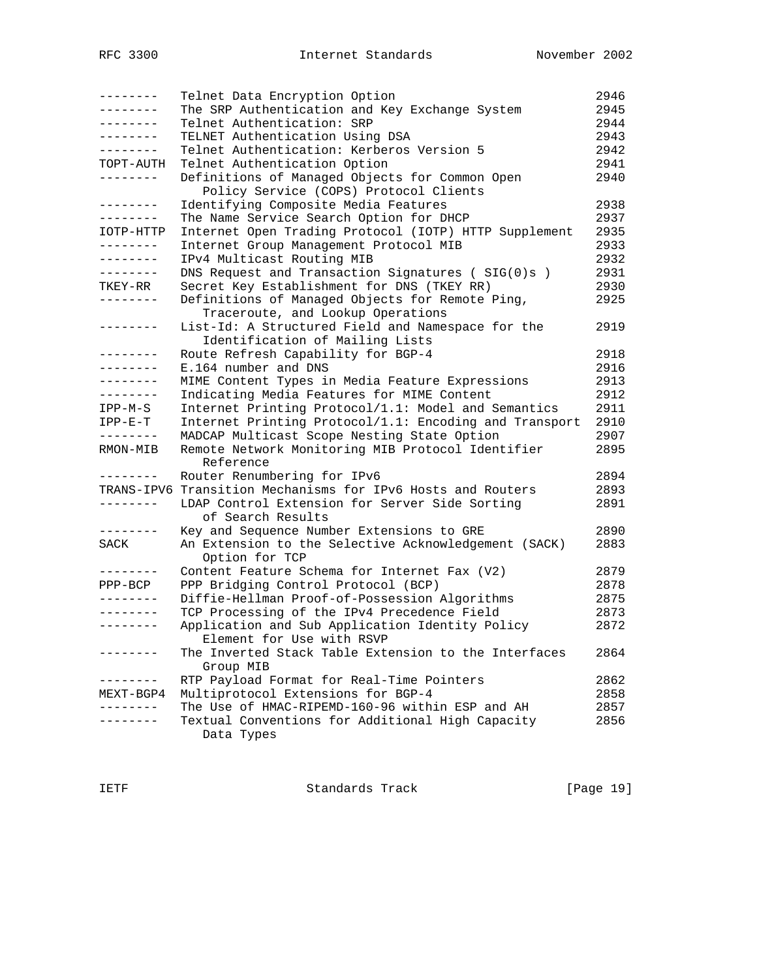| . _ _ _ _ _ _ _     | Telnet Data Encryption Option                                          | 2946 |
|---------------------|------------------------------------------------------------------------|------|
| $- - - - - - - - -$ | The SRP Authentication and Key Exchange System                         | 2945 |
| --------            | Telnet Authentication: SRP                                             | 2944 |
| --------            | TELNET Authentication Using DSA                                        | 2943 |
| $- - - - - - - -$   | Telnet Authentication: Kerberos Version 5                              | 2942 |
| TOPT-AUTH           | Telnet Authentication Option                                           | 2941 |
| --------            | Definitions of Managed Objects for Common Open                         | 2940 |
|                     | Policy Service (COPS) Protocol Clients                                 |      |
| --------            | Identifying Composite Media Features                                   | 2938 |
| $- - - - - - - -$   | The Name Service Search Option for DHCP                                | 2937 |
| IOTP-HTTP           | Internet Open Trading Protocol (IOTP) HTTP Supplement                  | 2935 |
| --------            | Internet Group Management Protocol MIB                                 | 2933 |
| --------            | IPv4 Multicast Routing MIB                                             | 2932 |
| --------            | DNS Request and Transaction Signatures (SIG(0)s)                       | 2931 |
| TKEY-RR             | Secret Key Establishment for DNS (TKEY RR)                             | 2930 |
|                     | Definitions of Managed Objects for Remote Ping,                        | 2925 |
|                     | Traceroute, and Lookup Operations                                      |      |
| --------            | List-Id: A Structured Field and Namespace for the                      | 2919 |
|                     | Identification of Mailing Lists                                        |      |
| . – – – – – – –     | Route Refresh Capability for BGP-4                                     | 2918 |
| --------            | E.164 number and DNS                                                   | 2916 |
| --------            | MIME Content Types in Media Feature Expressions                        | 2913 |
| --------            | Indicating Media Features for MIME Content                             | 2912 |
| IPP-M-S             | Internet Printing Protocol/1.1: Model and Semantics                    | 2911 |
| $IPP-E-T$           | Internet Printing Protocol/1.1: Encoding and Transport                 | 2910 |
|                     | MADCAP Multicast Scope Nesting State Option                            | 2907 |
| RMON-MIB            | Remote Network Monitoring MIB Protocol Identifier<br>Reference         | 2895 |
| $- - - - - - - -$   | Router Renumbering for IPv6                                            | 2894 |
|                     | TRANS-IPV6 Transition Mechanisms for IPv6 Hosts and Routers            | 2893 |
| --------            | LDAP Control Extension for Server Side Sorting                         | 2891 |
|                     | of Search Results                                                      |      |
| --------            | Key and Sequence Number Extensions to GRE                              | 2890 |
| SACK                | An Extension to the Selective Acknowledgement (SACK)<br>Option for TCP | 2883 |
|                     | Content Feature Schema for Internet Fax (V2)                           | 2879 |
| $PPP-BCP$           | PPP Bridging Control Protocol (BCP)                                    | 2878 |
| --------            | Diffie-Hellman Proof-of-Possession Algorithms                          | 2875 |
| . - - - - - - -     | TCP Processing of the IPv4 Precedence Field                            | 2873 |
| --------            | Application and Sub Application Identity Policy                        | 2872 |
|                     | Element for Use with RSVP                                              |      |
| .                   | The Inverted Stack Table Extension to the Interfaces<br>Group MIB      | 2864 |
|                     | RTP Payload Format for Real-Time Pointers                              | 2862 |
| MEXT-BGP4           | Multiprotocol Extensions for BGP-4                                     | 2858 |
| .                   | The Use of HMAC-RIPEMD-160-96 within ESP and AH                        | 2857 |
|                     | Textual Conventions for Additional High Capacity                       | 2856 |
|                     | Data Types                                                             |      |

IETF Standards Track [Page 19]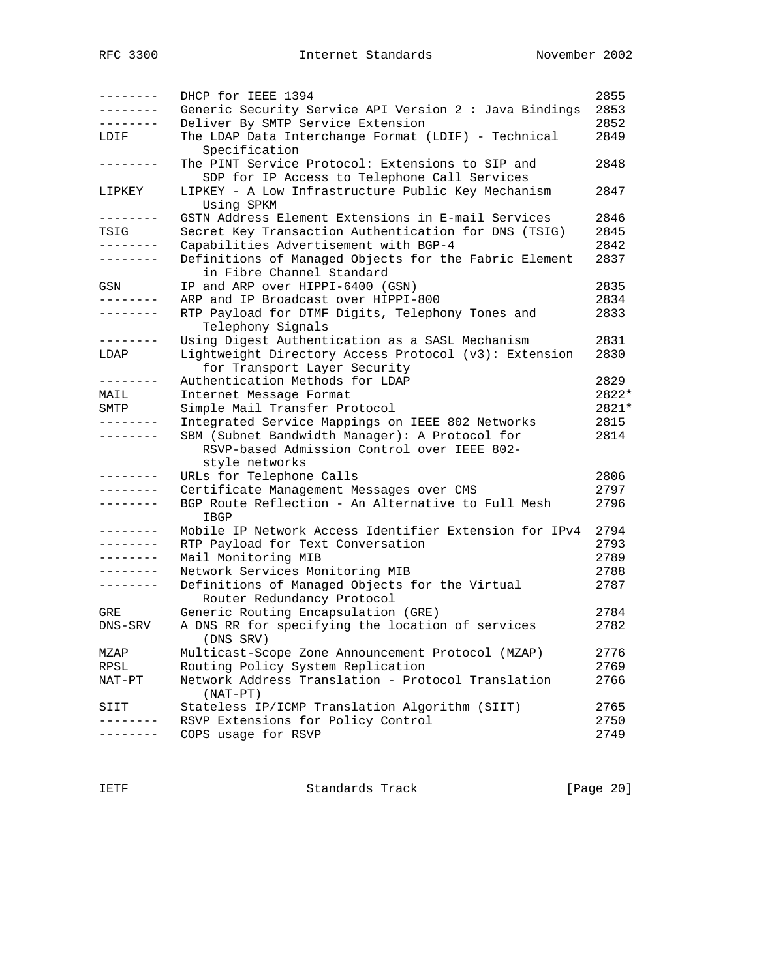| --------            | DHCP for IEEE 1394                                                                               | 2855  |
|---------------------|--------------------------------------------------------------------------------------------------|-------|
| . - - - - - - -     | Generic Security Service API Version 2 : Java Bindings                                           | 2853  |
| .                   | Deliver By SMTP Service Extension                                                                | 2852  |
| LDIF                | The LDAP Data Interchange Format (LDIF) - Technical                                              | 2849  |
|                     | Specification                                                                                    |       |
| -------             | The PINT Service Protocol: Extensions to SIP and<br>SDP for IP Access to Telephone Call Services | 2848  |
| LIPKEY              | LIPKEY - A Low Infrastructure Public Key Mechanism                                               | 2847  |
|                     | Using SPKM                                                                                       |       |
| --------            | GSTN Address Element Extensions in E-mail Services                                               | 2846  |
| TSIG                | Secret Key Transaction Authentication for DNS (TSIG)                                             | 2845  |
| --------            | Capabilities Advertisement with BGP-4                                                            | 2842  |
| --------            | Definitions of Managed Objects for the Fabric Element                                            | 2837  |
|                     | in Fibre Channel Standard                                                                        |       |
| GSN                 | IP and ARP over HIPPI-6400 (GSN)                                                                 | 2835  |
| - - - - - - - -     | ARP and IP Broadcast over HIPPI-800                                                              | 2834  |
| . - - - - - - -     | RTP Payload for DTMF Digits, Telephony Tones and                                                 | 2833  |
|                     | Telephony Signals                                                                                |       |
| كالماليات كالماليات | Using Digest Authentication as a SASL Mechanism                                                  | 2831  |
| LDAP                | Lightweight Directory Access Protocol (v3): Extension                                            | 2830  |
|                     | for Transport Layer Security                                                                     |       |
| ---------           | Authentication Methods for LDAP                                                                  | 2829  |
| MAIL                | Internet Message Format                                                                          | 2822* |
| SMTP                | Simple Mail Transfer Protocol                                                                    | 2821* |
| --------            | Integrated Service Mappings on IEEE 802 Networks                                                 | 2815  |
| $- - - - - - -$     | SBM (Subnet Bandwidth Manager): A Protocol for                                                   | 2814  |
|                     | RSVP-based Admission Control over IEEE 802-                                                      |       |
|                     | style networks                                                                                   |       |
| .                   | URLs for Telephone Calls                                                                         | 2806  |
| --------            | Certificate Management Messages over CMS                                                         | 2797  |
| .                   | BGP Route Reflection - An Alternative to Full Mesh<br>IBGP                                       | 2796  |
| .                   | Mobile IP Network Access Identifier Extension for IPv4                                           | 2794  |
| --------            | RTP Payload for Text Conversation                                                                | 2793  |
| --------            | Mail Monitoring MIB                                                                              | 2789  |
| --------            | Network Services Monitoring MIB                                                                  | 2788  |
| $- - - - - - - -$   | Definitions of Managed Objects for the Virtual<br>Router Redundancy Protocol                     | 2787  |
| GRE                 | Generic Routing Encapsulation (GRE)                                                              | 2784  |
| DNS-SRV             | A DNS RR for specifying the location of services                                                 | 2782  |
|                     | (DNS SRV)                                                                                        |       |
| MZAP                | Multicast-Scope Zone Announcement Protocol (MZAP)                                                | 2776  |
| RPSL                | Routing Policy System Replication                                                                | 2769  |
| $NAT-PT$            | Network Address Translation - Protocol Translation                                               | 2766  |
|                     | $(NAT-PT)$                                                                                       |       |
| SIIT                | Stateless IP/ICMP Translation Algorithm (SIIT)                                                   | 2765  |
|                     | RSVP Extensions for Policy Control                                                               | 2750  |
|                     | COPS usage for RSVP                                                                              | 2749  |
|                     |                                                                                                  |       |

IETF Standards Track [Page 20]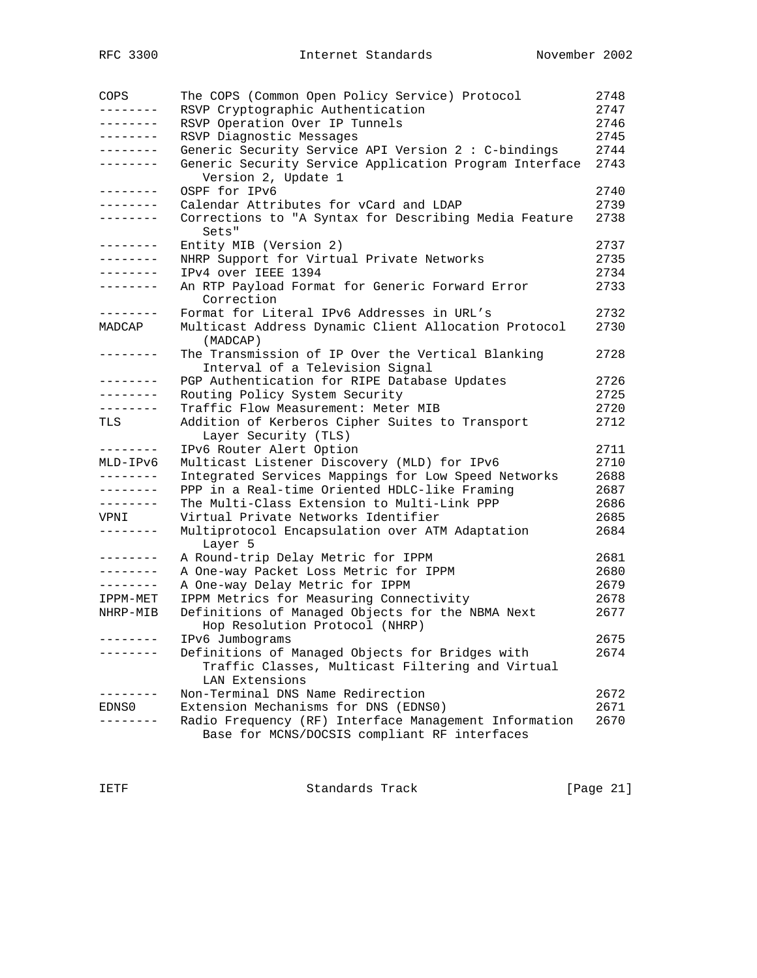| COPS            | The COPS (Common Open Policy Service) Protocol                                       | 2748 |
|-----------------|--------------------------------------------------------------------------------------|------|
| .               | RSVP Cryptographic Authentication                                                    | 2747 |
| .               | RSVP Operation Over IP Tunnels                                                       | 2746 |
| --------        | RSVP Diagnostic Messages                                                             | 2745 |
| --------        | Generic Security Service API Version 2 : C-bindings                                  | 2744 |
| --------        | Generic Security Service Application Program Interface<br>Version 2, Update 1        | 2743 |
| - - - - - - - - | OSPF for IPv6                                                                        | 2740 |
| --------        | Calendar Attributes for vCard and LDAP                                               | 2739 |
| --------        | Corrections to "A Syntax for Describing Media Feature<br>Sets"                       | 2738 |
| --------        | Entity MIB (Version 2)                                                               | 2737 |
| --------        | NHRP Support for Virtual Private Networks                                            | 2735 |
| . – – – – – – – | IPv4 over IEEE 1394                                                                  | 2734 |
| --------        | An RTP Payload Format for Generic Forward Error<br>Correction                        | 2733 |
| --------        | Format for Literal IPv6 Addresses in URL's                                           | 2732 |
| MADCAP          | Multicast Address Dynamic Client Allocation Protocol<br>(MADCAP)                     | 2730 |
| --------        | The Transmission of IP Over the Vertical Blanking<br>Interval of a Television Signal | 2728 |
| --------        | PGP Authentication for RIPE Database Updates                                         | 2726 |
| --------        | Routing Policy System Security                                                       | 2725 |
| --------        | Traffic Flow Measurement: Meter MIB                                                  | 2720 |
| TLS             | Addition of Kerberos Cipher Suites to Transport<br>Layer Security (TLS)              | 2712 |
| --------        | IPv6 Router Alert Option                                                             | 2711 |
| MLD-IPv6        | Multicast Listener Discovery (MLD) for IPv6                                          | 2710 |
| --------        | Integrated Services Mappings for Low Speed Networks                                  | 2688 |
| --------        | PPP in a Real-time Oriented HDLC-like Framing                                        | 2687 |
| --------        | The Multi-Class Extension to Multi-Link PPP                                          | 2686 |
| VPNI            | Virtual Private Networks Identifier                                                  | 2685 |
| --------        | Multiprotocol Encapsulation over ATM Adaptation<br>Layer 5                           | 2684 |
| .               | A Round-trip Delay Metric for IPPM                                                   | 2681 |
| .               | A One-way Packet Loss Metric for IPPM                                                | 2680 |
| . <u>.</u>      | A One-way Delay Metric for IPPM                                                      | 2679 |
| IPPM-MET        | IPPM Metrics for Measuring Connectivity                                              | 2678 |
| NHRP-MIB        | Definitions of Managed Objects for the NBMA Next<br>Hop Resolution Protocol (NHRP)   | 2677 |
|                 | IPv6 Jumbograms                                                                      | 2675 |
|                 | Definitions of Managed Objects for Bridges with                                      | 2674 |
|                 | Traffic Classes, Multicast Filtering and Virtual<br>LAN Extensions                   |      |
|                 | Non-Terminal DNS Name Redirection                                                    | 2672 |
| EDNS0           | Extension Mechanisms for DNS (EDNS0)                                                 | 2671 |
|                 | Radio Frequency (RF) Interface Management Information                                | 2670 |
|                 | Base for MCNS/DOCSIS compliant RF interfaces                                         |      |

IETF Standards Track [Page 21]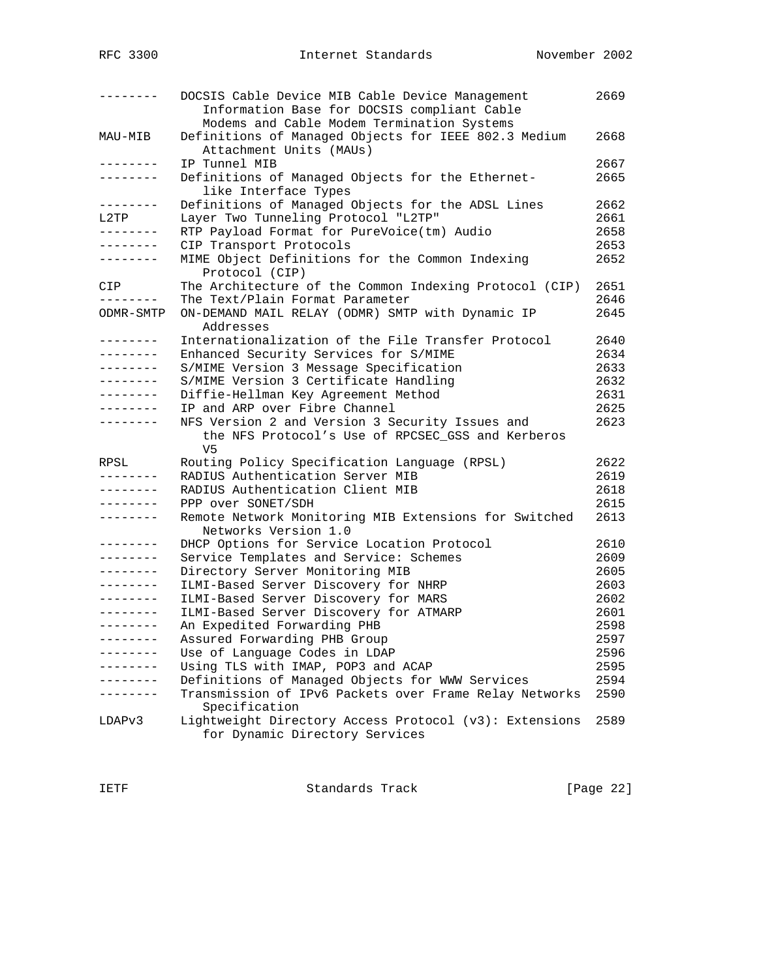| --------          | DOCSIS Cable Device MIB Cable Device Management<br>Information Base for DOCSIS compliant Cable | 2669 |
|-------------------|------------------------------------------------------------------------------------------------|------|
|                   | Modems and Cable Modem Termination Systems                                                     |      |
| MAU-MIB           | Definitions of Managed Objects for IEEE 802.3 Medium<br>Attachment Units (MAUs)                | 2668 |
| --------          | IP Tunnel MIB                                                                                  | 2667 |
| --------          | Definitions of Managed Objects for the Ethernet-                                               | 2665 |
|                   | like Interface Types                                                                           |      |
| ---------         | Definitions of Managed Objects for the ADSL Lines                                              | 2662 |
| L2TP              | Layer Two Tunneling Protocol "L2TP"                                                            | 2661 |
| --------          | RTP Payload Format for PureVoice(tm) Audio                                                     | 2658 |
| --------          | CIP Transport Protocols                                                                        | 2653 |
| --------          | MIME Object Definitions for the Common Indexing<br>Protocol (CIP)                              | 2652 |
| CIP               | The Architecture of the Common Indexing Protocol (CIP)                                         | 2651 |
| . <u>.</u> .      | The Text/Plain Format Parameter                                                                | 2646 |
| ODMR-SMTP         | ON-DEMAND MAIL RELAY (ODMR) SMTP with Dynamic IP<br>Addresses                                  | 2645 |
| - - - - - - - - - | Internationalization of the File Transfer Protocol                                             | 2640 |
| --------          | Enhanced Security Services for S/MIME                                                          | 2634 |
| --------          | S/MIME Version 3 Message Specification                                                         | 2633 |
| --------          | S/MIME Version 3 Certificate Handling                                                          | 2632 |
| --------          | Diffie-Hellman Key Agreement Method                                                            | 2631 |
| --------          | IP and ARP over Fibre Channel                                                                  | 2625 |
| . <u>.</u> .      | NFS Version 2 and Version 3 Security Issues and                                                | 2623 |
|                   | the NFS Protocol's Use of RPCSEC_GSS and Kerberos                                              |      |
|                   | V5                                                                                             |      |
| RPSL<br>--------- | Routing Policy Specification Language (RPSL)                                                   | 2622 |
|                   | RADIUS Authentication Server MIB                                                               | 2619 |
| --------          | RADIUS Authentication Client MIB                                                               | 2618 |
| --------          | PPP over SONET/SDH                                                                             | 2615 |
| --------          | Remote Network Monitoring MIB Extensions for Switched<br>Networks Version 1.0                  | 2613 |
| --------          | DHCP Options for Service Location Protocol                                                     | 2610 |
| .                 | Service Templates and Service: Schemes                                                         | 2609 |
| .                 | Directory Server Monitoring MIB                                                                | 2605 |
| --------          | ILMI-Based Server Discovery for NHRP                                                           | 2603 |
| .                 | ILMI-Based Server Discovery for MARS                                                           | 2602 |
| --------          | ILMI-Based Server Discovery for ATMARP                                                         | 2601 |
| $- - - - - - - -$ | An Expedited Forwarding PHB                                                                    | 2598 |
| --------          | Assured Forwarding PHB Group                                                                   | 2597 |
| $- - - - - - -$   | Use of Language Codes in LDAP                                                                  | 2596 |
|                   | Using TLS with IMAP, POP3 and ACAP                                                             | 2595 |
|                   | Definitions of Managed Objects for WWW Services                                                | 2594 |
|                   | Transmission of IPv6 Packets over Frame Relay Networks                                         | 2590 |
|                   | Specification                                                                                  |      |
| LDAPv3            | Lightweight Directory Access Protocol (v3): Extensions                                         | 2589 |
|                   | for Dynamic Directory Services                                                                 |      |

IETF Standards Track [Page 22]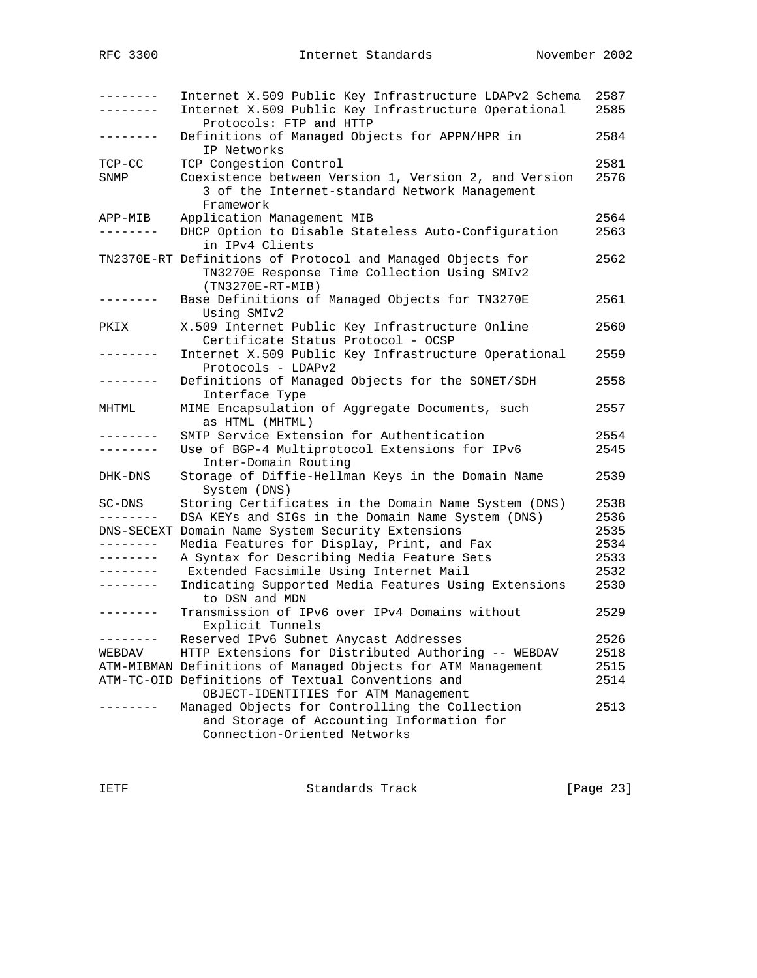| --------         | Internet X.509 Public Key Infrastructure LDAPv2 Schema<br>Internet X.509 Public Key Infrastructure Operational<br>Protocols: FTP and HTTP     | 2587<br>2585 |
|------------------|-----------------------------------------------------------------------------------------------------------------------------------------------|--------------|
| . <u>.</u>       | Definitions of Managed Objects for APPN/HPR in<br>IP Networks                                                                                 | 2584         |
| $TCP-CC$<br>SNMP | TCP Congestion Control<br>Coexistence between Version 1, Version 2, and Version<br>3 of the Internet-standard Network Management<br>Framework | 2581<br>2576 |
| APP-MIB          | Application Management MIB                                                                                                                    | 2564         |
|                  | DHCP Option to Disable Stateless Auto-Configuration<br>in IPv4 Clients                                                                        | 2563         |
|                  | TN2370E-RT Definitions of Protocol and Managed Objects for<br>TN3270E Response Time Collection Using SMIv2<br>$(TN3270E-RT-MIB)$              | 2562         |
|                  | Base Definitions of Managed Objects for TN3270E<br>Using SMIv2                                                                                | 2561         |
| PKIX             | X.509 Internet Public Key Infrastructure Online<br>Certificate Status Protocol - OCSP                                                         | 2560         |
| --------         | Internet X.509 Public Key Infrastructure Operational<br>Protocols - LDAPv2                                                                    | 2559         |
| . <u>.</u> .     | Definitions of Managed Objects for the SONET/SDH<br>Interface Type                                                                            | 2558         |
| MHTML            | MIME Encapsulation of Aggregate Documents, such<br>as HTML (MHTML)                                                                            | 2557         |
| . <u>.</u> .     | SMTP Service Extension for Authentication                                                                                                     | 2554         |
| . <u>.</u>       | Use of BGP-4 Multiprotocol Extensions for IPv6<br>Inter-Domain Routing                                                                        | 2545         |
| DHK-DNS          | Storage of Diffie-Hellman Keys in the Domain Name<br>System (DNS)                                                                             | 2539         |
| SC-DNS           | Storing Certificates in the Domain Name System (DNS)                                                                                          | 2538         |
| --------         | DSA KEYs and SIGs in the Domain Name System (DNS)                                                                                             | 2536         |
|                  | DNS-SECEXT Domain Name System Security Extensions                                                                                             | 2535         |
| --------         | Media Features for Display, Print, and Fax                                                                                                    | 2534         |
| --------         | A Syntax for Describing Media Feature Sets                                                                                                    | 2533         |
| --------         | Extended Facsimile Using Internet Mail                                                                                                        | 2532         |
| --------         | Indicating Supported Media Features Using Extensions<br>to DSN and MDN                                                                        | 2530         |
|                  | Transmission of IPv6 over IPv4 Domains without<br>Explicit Tunnels                                                                            | 2529         |
| --------         | Reserved IPv6 Subnet Anycast Addresses                                                                                                        | 2526         |
| WEBDAV           | HTTP Extensions for Distributed Authoring -- WEBDAV                                                                                           | 2518         |
|                  | ATM-MIBMAN Definitions of Managed Objects for ATM Management                                                                                  | 2515         |
|                  | ATM-TC-OID Definitions of Textual Conventions and                                                                                             | 2514         |
|                  | OBJECT-IDENTITIES for ATM Management                                                                                                          |              |
|                  | Managed Objects for Controlling the Collection                                                                                                | 2513         |
|                  | and Storage of Accounting Information for                                                                                                     |              |
|                  | Connection-Oriented Networks                                                                                                                  |              |

IETF Standards Track [Page 23]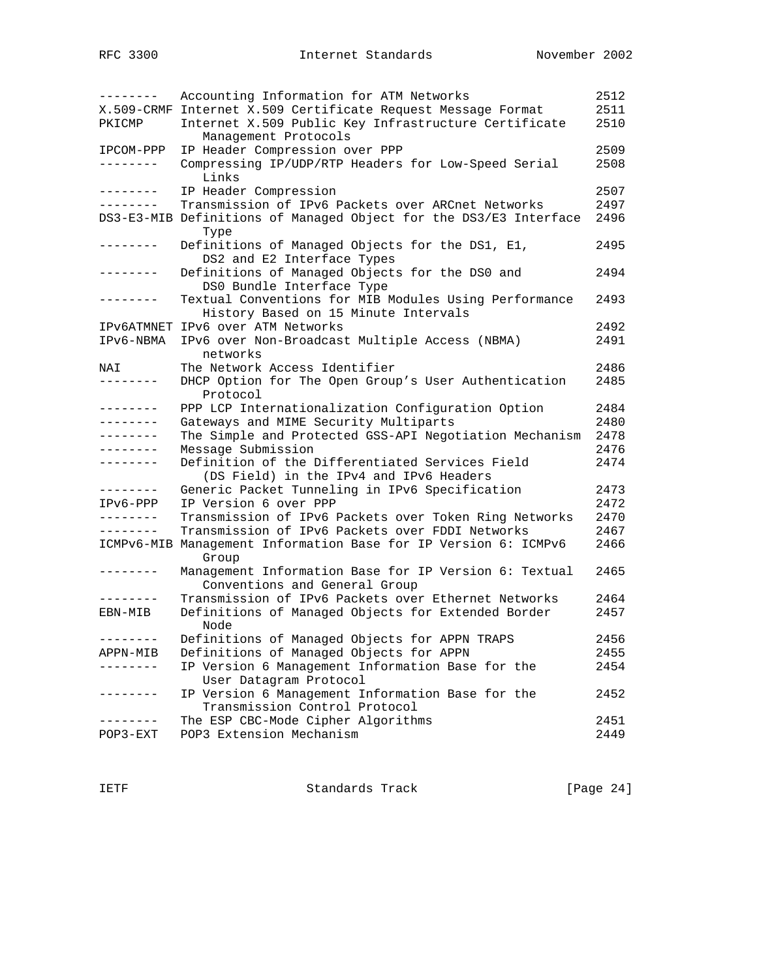| --------          | Accounting Information for ATM Networks                                                    | 2512 |
|-------------------|--------------------------------------------------------------------------------------------|------|
|                   | X.509-CRMF Internet X.509 Certificate Request Message Format                               | 2511 |
| PKICMP            | Internet X.509 Public Key Infrastructure Certificate<br>Management Protocols               | 2510 |
| IPCOM-PPP         | IP Header Compression over PPP                                                             | 2509 |
| --------          | Compressing IP/UDP/RTP Headers for Low-Speed Serial                                        | 2508 |
|                   | Links                                                                                      |      |
| --------          | IP Header Compression                                                                      | 2507 |
| --------          | Transmission of IPv6 Packets over ARCnet Networks                                          | 2497 |
|                   | DS3-E3-MIB Definitions of Managed Object for the DS3/E3 Interface<br>Type                  | 2496 |
| . _ _ _ _ _ _ _   | Definitions of Managed Objects for the DS1, E1,<br>DS2 and E2 Interface Types              | 2495 |
| --------          | Definitions of Managed Objects for the DS0 and                                             | 2494 |
|                   | DS0 Bundle Interface Type                                                                  |      |
|                   | Textual Conventions for MIB Modules Using Performance                                      | 2493 |
|                   | History Based on 15 Minute Intervals                                                       |      |
|                   | IPV6ATMNET IPV6 over ATM Networks                                                          | 2492 |
| IPv6-NBMA         | IPv6 over Non-Broadcast Multiple Access (NBMA)                                             | 2491 |
|                   | networks                                                                                   |      |
| NAI               | The Network Access Identifier                                                              | 2486 |
| --------          | DHCP Option for The Open Group's User Authentication                                       | 2485 |
|                   | Protocol                                                                                   |      |
| ---------         | PPP LCP Internationalization Configuration Option                                          | 2484 |
| .                 | Gateways and MIME Security Multiparts                                                      | 2480 |
| . <u>.</u> .      | The Simple and Protected GSS-API Negotiation Mechanism                                     | 2478 |
| $- - - - - - - -$ | Message Submission                                                                         | 2476 |
|                   | Definition of the Differentiated Services Field<br>(DS Field) in the IPv4 and IPv6 Headers | 2474 |
| --------          | Generic Packet Tunneling in IPv6 Specification                                             | 2473 |
| IPv6-PPP          | IP Version 6 over PPP                                                                      | 2472 |
| --------          | Transmission of IPv6 Packets over Token Ring Networks                                      | 2470 |
| --------          | Transmission of IPv6 Packets over FDDI Networks                                            | 2467 |
|                   | ICMPv6-MIB Management Information Base for IP Version 6: ICMPv6<br>Group                   | 2466 |
| --------          | Management Information Base for IP Version 6: Textual<br>Conventions and General Group     | 2465 |
|                   | Transmission of IPv6 Packets over Ethernet Networks                                        | 2464 |
| EBN-MIB           | Definitions of Managed Objects for Extended Border<br>Node                                 | 2457 |
| ---------         | Definitions of Managed Objects for APPN TRAPS                                              | 2456 |
| APPN-MIB          | Definitions of Managed Objects for APPN                                                    | 2455 |
|                   | IP Version 6 Management Information Base for the<br>User Datagram Protocol                 | 2454 |
|                   | IP Version 6 Management Information Base for the<br>Transmission Control Protocol          | 2452 |
| $-- - -$          | The ESP CBC-Mode Cipher Algorithms                                                         | 2451 |
| POP3-EXT          | POP3 Extension Mechanism                                                                   | 2449 |
|                   |                                                                                            |      |

IETF Standards Track [Page 24]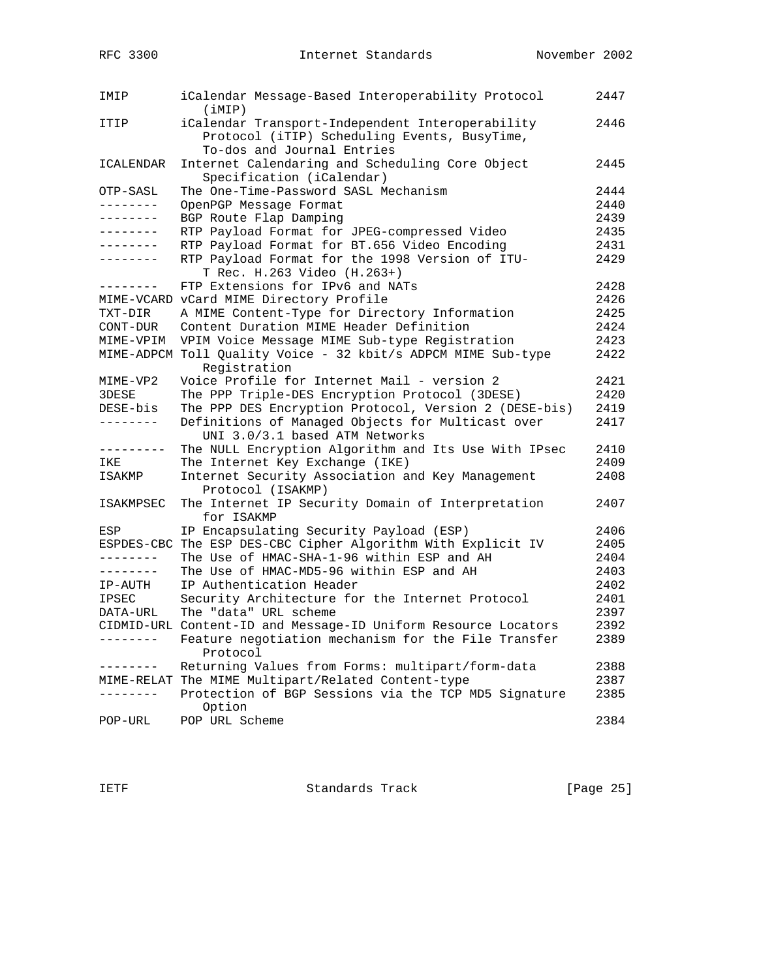| 2446<br>iCalendar Transport-Independent Interoperability<br>ITIP<br>Protocol (iTIP) Scheduling Events, BusyTime,<br>To-dos and Journal Entries<br>Internet Calendaring and Scheduling Core Object<br>ICALENDAR<br>2445<br>Specification (iCalendar)<br>The One-Time-Password SASL Mechanism<br>2444<br>OTP-SASL<br>--------<br>OpenPGP Message Format<br>2440<br>2439<br>BGP Route Flap Damping<br>. <u>.</u> .<br>RTP Payload Format for JPEG-compressed Video<br>2435<br>. _ _ _ _ _ _ _<br>RTP Payload Format for BT.656 Video Encoding<br>2431<br>. _ _ _ _ _ _ _<br>RTP Payload Format for the 1998 Version of ITU-<br>2429<br>. <u>.</u> .<br>T Rec. H.263 Video (H.263+)<br>FTP Extensions for IPv6 and NATs<br>2428<br>. <u>.</u> .<br>MIME-VCARD vCard MIME Directory Profile<br>2426<br>A MIME Content-Type for Directory Information<br>2425<br>TXT-DIR<br>Content Duration MIME Header Definition<br>2424<br>CONT-DUR<br>VPIM Voice Message MIME Sub-type Registration<br>2423<br>MIME-VPIM<br>MIME-ADPCM Toll Quality Voice - 32 kbit/s ADPCM MIME Sub-type<br>2422<br>Registration<br>Voice Profile for Internet Mail - version 2<br>2421<br>MIME-VP2<br>The PPP Triple-DES Encryption Protocol (3DESE)<br>2420<br>3DESE<br>The PPP DES Encryption Protocol, Version 2 (DESE-bis)<br>2419<br>DESE-bis<br>Definitions of Managed Objects for Multicast over<br>2417<br>---------<br>UNI 3.0/3.1 based ATM Networks<br>The NULL Encryption Algorithm and Its Use With IPsec<br>----------<br>2410<br>2409<br>The Internet Key Exchange (IKE)<br>IKE<br>2408<br>Internet Security Association and Key Management<br>ISAKMP<br>Protocol (ISAKMP)<br>The Internet IP Security Domain of Interpretation<br>2407<br>ISAKMPSEC<br>for ISAKMP<br>ESP<br>IP Encapsulating Security Payload (ESP)<br>2406<br>The ESP DES-CBC Cipher Algorithm With Explicit IV<br>ESPDES-CBC<br>2405<br>The Use of HMAC-SHA-1-96 within ESP and AH<br>2404<br>. <u>.</u> .<br>The Use of HMAC-MD5-96 within ESP and AH<br>2403<br>--------<br>IP Authentication Header<br>2402<br>IP-AUTH<br>Security Architecture for the Internet Protocol<br>2401<br><b>IPSEC</b><br>2397<br>DATA-URL<br>The "data" URL scheme<br>CIDMID-URL Content-ID and Message-ID Uniform Resource Locators<br>2392<br>Feature negotiation mechanism for the File Transfer<br>2389<br>--------<br>Protocol<br>Returning Values from Forms: multipart/form-data<br>2388<br>2387<br>MIME-RELAT The MIME Multipart/Related Content-type<br>Protection of BGP Sessions via the TCP MD5 Signature<br>2385<br>--------<br>Option<br>POP URL Scheme<br>2384<br>POP-URL | IMIP | iCalendar Message-Based Interoperability Protocol<br>(iMIP) | 2447 |
|----------------------------------------------------------------------------------------------------------------------------------------------------------------------------------------------------------------------------------------------------------------------------------------------------------------------------------------------------------------------------------------------------------------------------------------------------------------------------------------------------------------------------------------------------------------------------------------------------------------------------------------------------------------------------------------------------------------------------------------------------------------------------------------------------------------------------------------------------------------------------------------------------------------------------------------------------------------------------------------------------------------------------------------------------------------------------------------------------------------------------------------------------------------------------------------------------------------------------------------------------------------------------------------------------------------------------------------------------------------------------------------------------------------------------------------------------------------------------------------------------------------------------------------------------------------------------------------------------------------------------------------------------------------------------------------------------------------------------------------------------------------------------------------------------------------------------------------------------------------------------------------------------------------------------------------------------------------------------------------------------------------------------------------------------------------------------------------------------------------------------------------------------------------------------------------------------------------------------------------------------------------------------------------------------------------------------------------------------------------------------------------------------------------------------------------------------------------------------------------------------------------------------------------------------------------------------------------------------------------------------|------|-------------------------------------------------------------|------|
|                                                                                                                                                                                                                                                                                                                                                                                                                                                                                                                                                                                                                                                                                                                                                                                                                                                                                                                                                                                                                                                                                                                                                                                                                                                                                                                                                                                                                                                                                                                                                                                                                                                                                                                                                                                                                                                                                                                                                                                                                                                                                                                                                                                                                                                                                                                                                                                                                                                                                                                                                                                                                            |      |                                                             |      |
|                                                                                                                                                                                                                                                                                                                                                                                                                                                                                                                                                                                                                                                                                                                                                                                                                                                                                                                                                                                                                                                                                                                                                                                                                                                                                                                                                                                                                                                                                                                                                                                                                                                                                                                                                                                                                                                                                                                                                                                                                                                                                                                                                                                                                                                                                                                                                                                                                                                                                                                                                                                                                            |      |                                                             |      |
|                                                                                                                                                                                                                                                                                                                                                                                                                                                                                                                                                                                                                                                                                                                                                                                                                                                                                                                                                                                                                                                                                                                                                                                                                                                                                                                                                                                                                                                                                                                                                                                                                                                                                                                                                                                                                                                                                                                                                                                                                                                                                                                                                                                                                                                                                                                                                                                                                                                                                                                                                                                                                            |      |                                                             |      |
|                                                                                                                                                                                                                                                                                                                                                                                                                                                                                                                                                                                                                                                                                                                                                                                                                                                                                                                                                                                                                                                                                                                                                                                                                                                                                                                                                                                                                                                                                                                                                                                                                                                                                                                                                                                                                                                                                                                                                                                                                                                                                                                                                                                                                                                                                                                                                                                                                                                                                                                                                                                                                            |      |                                                             |      |
|                                                                                                                                                                                                                                                                                                                                                                                                                                                                                                                                                                                                                                                                                                                                                                                                                                                                                                                                                                                                                                                                                                                                                                                                                                                                                                                                                                                                                                                                                                                                                                                                                                                                                                                                                                                                                                                                                                                                                                                                                                                                                                                                                                                                                                                                                                                                                                                                                                                                                                                                                                                                                            |      |                                                             |      |
|                                                                                                                                                                                                                                                                                                                                                                                                                                                                                                                                                                                                                                                                                                                                                                                                                                                                                                                                                                                                                                                                                                                                                                                                                                                                                                                                                                                                                                                                                                                                                                                                                                                                                                                                                                                                                                                                                                                                                                                                                                                                                                                                                                                                                                                                                                                                                                                                                                                                                                                                                                                                                            |      |                                                             |      |
|                                                                                                                                                                                                                                                                                                                                                                                                                                                                                                                                                                                                                                                                                                                                                                                                                                                                                                                                                                                                                                                                                                                                                                                                                                                                                                                                                                                                                                                                                                                                                                                                                                                                                                                                                                                                                                                                                                                                                                                                                                                                                                                                                                                                                                                                                                                                                                                                                                                                                                                                                                                                                            |      |                                                             |      |
|                                                                                                                                                                                                                                                                                                                                                                                                                                                                                                                                                                                                                                                                                                                                                                                                                                                                                                                                                                                                                                                                                                                                                                                                                                                                                                                                                                                                                                                                                                                                                                                                                                                                                                                                                                                                                                                                                                                                                                                                                                                                                                                                                                                                                                                                                                                                                                                                                                                                                                                                                                                                                            |      |                                                             |      |
|                                                                                                                                                                                                                                                                                                                                                                                                                                                                                                                                                                                                                                                                                                                                                                                                                                                                                                                                                                                                                                                                                                                                                                                                                                                                                                                                                                                                                                                                                                                                                                                                                                                                                                                                                                                                                                                                                                                                                                                                                                                                                                                                                                                                                                                                                                                                                                                                                                                                                                                                                                                                                            |      |                                                             |      |
|                                                                                                                                                                                                                                                                                                                                                                                                                                                                                                                                                                                                                                                                                                                                                                                                                                                                                                                                                                                                                                                                                                                                                                                                                                                                                                                                                                                                                                                                                                                                                                                                                                                                                                                                                                                                                                                                                                                                                                                                                                                                                                                                                                                                                                                                                                                                                                                                                                                                                                                                                                                                                            |      |                                                             |      |
|                                                                                                                                                                                                                                                                                                                                                                                                                                                                                                                                                                                                                                                                                                                                                                                                                                                                                                                                                                                                                                                                                                                                                                                                                                                                                                                                                                                                                                                                                                                                                                                                                                                                                                                                                                                                                                                                                                                                                                                                                                                                                                                                                                                                                                                                                                                                                                                                                                                                                                                                                                                                                            |      |                                                             |      |
|                                                                                                                                                                                                                                                                                                                                                                                                                                                                                                                                                                                                                                                                                                                                                                                                                                                                                                                                                                                                                                                                                                                                                                                                                                                                                                                                                                                                                                                                                                                                                                                                                                                                                                                                                                                                                                                                                                                                                                                                                                                                                                                                                                                                                                                                                                                                                                                                                                                                                                                                                                                                                            |      |                                                             |      |
|                                                                                                                                                                                                                                                                                                                                                                                                                                                                                                                                                                                                                                                                                                                                                                                                                                                                                                                                                                                                                                                                                                                                                                                                                                                                                                                                                                                                                                                                                                                                                                                                                                                                                                                                                                                                                                                                                                                                                                                                                                                                                                                                                                                                                                                                                                                                                                                                                                                                                                                                                                                                                            |      |                                                             |      |
|                                                                                                                                                                                                                                                                                                                                                                                                                                                                                                                                                                                                                                                                                                                                                                                                                                                                                                                                                                                                                                                                                                                                                                                                                                                                                                                                                                                                                                                                                                                                                                                                                                                                                                                                                                                                                                                                                                                                                                                                                                                                                                                                                                                                                                                                                                                                                                                                                                                                                                                                                                                                                            |      |                                                             |      |
|                                                                                                                                                                                                                                                                                                                                                                                                                                                                                                                                                                                                                                                                                                                                                                                                                                                                                                                                                                                                                                                                                                                                                                                                                                                                                                                                                                                                                                                                                                                                                                                                                                                                                                                                                                                                                                                                                                                                                                                                                                                                                                                                                                                                                                                                                                                                                                                                                                                                                                                                                                                                                            |      |                                                             |      |
|                                                                                                                                                                                                                                                                                                                                                                                                                                                                                                                                                                                                                                                                                                                                                                                                                                                                                                                                                                                                                                                                                                                                                                                                                                                                                                                                                                                                                                                                                                                                                                                                                                                                                                                                                                                                                                                                                                                                                                                                                                                                                                                                                                                                                                                                                                                                                                                                                                                                                                                                                                                                                            |      |                                                             |      |
|                                                                                                                                                                                                                                                                                                                                                                                                                                                                                                                                                                                                                                                                                                                                                                                                                                                                                                                                                                                                                                                                                                                                                                                                                                                                                                                                                                                                                                                                                                                                                                                                                                                                                                                                                                                                                                                                                                                                                                                                                                                                                                                                                                                                                                                                                                                                                                                                                                                                                                                                                                                                                            |      |                                                             |      |
|                                                                                                                                                                                                                                                                                                                                                                                                                                                                                                                                                                                                                                                                                                                                                                                                                                                                                                                                                                                                                                                                                                                                                                                                                                                                                                                                                                                                                                                                                                                                                                                                                                                                                                                                                                                                                                                                                                                                                                                                                                                                                                                                                                                                                                                                                                                                                                                                                                                                                                                                                                                                                            |      |                                                             |      |
|                                                                                                                                                                                                                                                                                                                                                                                                                                                                                                                                                                                                                                                                                                                                                                                                                                                                                                                                                                                                                                                                                                                                                                                                                                                                                                                                                                                                                                                                                                                                                                                                                                                                                                                                                                                                                                                                                                                                                                                                                                                                                                                                                                                                                                                                                                                                                                                                                                                                                                                                                                                                                            |      |                                                             |      |
|                                                                                                                                                                                                                                                                                                                                                                                                                                                                                                                                                                                                                                                                                                                                                                                                                                                                                                                                                                                                                                                                                                                                                                                                                                                                                                                                                                                                                                                                                                                                                                                                                                                                                                                                                                                                                                                                                                                                                                                                                                                                                                                                                                                                                                                                                                                                                                                                                                                                                                                                                                                                                            |      |                                                             |      |
|                                                                                                                                                                                                                                                                                                                                                                                                                                                                                                                                                                                                                                                                                                                                                                                                                                                                                                                                                                                                                                                                                                                                                                                                                                                                                                                                                                                                                                                                                                                                                                                                                                                                                                                                                                                                                                                                                                                                                                                                                                                                                                                                                                                                                                                                                                                                                                                                                                                                                                                                                                                                                            |      |                                                             |      |
|                                                                                                                                                                                                                                                                                                                                                                                                                                                                                                                                                                                                                                                                                                                                                                                                                                                                                                                                                                                                                                                                                                                                                                                                                                                                                                                                                                                                                                                                                                                                                                                                                                                                                                                                                                                                                                                                                                                                                                                                                                                                                                                                                                                                                                                                                                                                                                                                                                                                                                                                                                                                                            |      |                                                             |      |
|                                                                                                                                                                                                                                                                                                                                                                                                                                                                                                                                                                                                                                                                                                                                                                                                                                                                                                                                                                                                                                                                                                                                                                                                                                                                                                                                                                                                                                                                                                                                                                                                                                                                                                                                                                                                                                                                                                                                                                                                                                                                                                                                                                                                                                                                                                                                                                                                                                                                                                                                                                                                                            |      |                                                             |      |
|                                                                                                                                                                                                                                                                                                                                                                                                                                                                                                                                                                                                                                                                                                                                                                                                                                                                                                                                                                                                                                                                                                                                                                                                                                                                                                                                                                                                                                                                                                                                                                                                                                                                                                                                                                                                                                                                                                                                                                                                                                                                                                                                                                                                                                                                                                                                                                                                                                                                                                                                                                                                                            |      |                                                             |      |
|                                                                                                                                                                                                                                                                                                                                                                                                                                                                                                                                                                                                                                                                                                                                                                                                                                                                                                                                                                                                                                                                                                                                                                                                                                                                                                                                                                                                                                                                                                                                                                                                                                                                                                                                                                                                                                                                                                                                                                                                                                                                                                                                                                                                                                                                                                                                                                                                                                                                                                                                                                                                                            |      |                                                             |      |
|                                                                                                                                                                                                                                                                                                                                                                                                                                                                                                                                                                                                                                                                                                                                                                                                                                                                                                                                                                                                                                                                                                                                                                                                                                                                                                                                                                                                                                                                                                                                                                                                                                                                                                                                                                                                                                                                                                                                                                                                                                                                                                                                                                                                                                                                                                                                                                                                                                                                                                                                                                                                                            |      |                                                             |      |
|                                                                                                                                                                                                                                                                                                                                                                                                                                                                                                                                                                                                                                                                                                                                                                                                                                                                                                                                                                                                                                                                                                                                                                                                                                                                                                                                                                                                                                                                                                                                                                                                                                                                                                                                                                                                                                                                                                                                                                                                                                                                                                                                                                                                                                                                                                                                                                                                                                                                                                                                                                                                                            |      |                                                             |      |
|                                                                                                                                                                                                                                                                                                                                                                                                                                                                                                                                                                                                                                                                                                                                                                                                                                                                                                                                                                                                                                                                                                                                                                                                                                                                                                                                                                                                                                                                                                                                                                                                                                                                                                                                                                                                                                                                                                                                                                                                                                                                                                                                                                                                                                                                                                                                                                                                                                                                                                                                                                                                                            |      |                                                             |      |
|                                                                                                                                                                                                                                                                                                                                                                                                                                                                                                                                                                                                                                                                                                                                                                                                                                                                                                                                                                                                                                                                                                                                                                                                                                                                                                                                                                                                                                                                                                                                                                                                                                                                                                                                                                                                                                                                                                                                                                                                                                                                                                                                                                                                                                                                                                                                                                                                                                                                                                                                                                                                                            |      |                                                             |      |
|                                                                                                                                                                                                                                                                                                                                                                                                                                                                                                                                                                                                                                                                                                                                                                                                                                                                                                                                                                                                                                                                                                                                                                                                                                                                                                                                                                                                                                                                                                                                                                                                                                                                                                                                                                                                                                                                                                                                                                                                                                                                                                                                                                                                                                                                                                                                                                                                                                                                                                                                                                                                                            |      |                                                             |      |
|                                                                                                                                                                                                                                                                                                                                                                                                                                                                                                                                                                                                                                                                                                                                                                                                                                                                                                                                                                                                                                                                                                                                                                                                                                                                                                                                                                                                                                                                                                                                                                                                                                                                                                                                                                                                                                                                                                                                                                                                                                                                                                                                                                                                                                                                                                                                                                                                                                                                                                                                                                                                                            |      |                                                             |      |
|                                                                                                                                                                                                                                                                                                                                                                                                                                                                                                                                                                                                                                                                                                                                                                                                                                                                                                                                                                                                                                                                                                                                                                                                                                                                                                                                                                                                                                                                                                                                                                                                                                                                                                                                                                                                                                                                                                                                                                                                                                                                                                                                                                                                                                                                                                                                                                                                                                                                                                                                                                                                                            |      |                                                             |      |
|                                                                                                                                                                                                                                                                                                                                                                                                                                                                                                                                                                                                                                                                                                                                                                                                                                                                                                                                                                                                                                                                                                                                                                                                                                                                                                                                                                                                                                                                                                                                                                                                                                                                                                                                                                                                                                                                                                                                                                                                                                                                                                                                                                                                                                                                                                                                                                                                                                                                                                                                                                                                                            |      |                                                             |      |
|                                                                                                                                                                                                                                                                                                                                                                                                                                                                                                                                                                                                                                                                                                                                                                                                                                                                                                                                                                                                                                                                                                                                                                                                                                                                                                                                                                                                                                                                                                                                                                                                                                                                                                                                                                                                                                                                                                                                                                                                                                                                                                                                                                                                                                                                                                                                                                                                                                                                                                                                                                                                                            |      |                                                             |      |
|                                                                                                                                                                                                                                                                                                                                                                                                                                                                                                                                                                                                                                                                                                                                                                                                                                                                                                                                                                                                                                                                                                                                                                                                                                                                                                                                                                                                                                                                                                                                                                                                                                                                                                                                                                                                                                                                                                                                                                                                                                                                                                                                                                                                                                                                                                                                                                                                                                                                                                                                                                                                                            |      |                                                             |      |
|                                                                                                                                                                                                                                                                                                                                                                                                                                                                                                                                                                                                                                                                                                                                                                                                                                                                                                                                                                                                                                                                                                                                                                                                                                                                                                                                                                                                                                                                                                                                                                                                                                                                                                                                                                                                                                                                                                                                                                                                                                                                                                                                                                                                                                                                                                                                                                                                                                                                                                                                                                                                                            |      |                                                             |      |
|                                                                                                                                                                                                                                                                                                                                                                                                                                                                                                                                                                                                                                                                                                                                                                                                                                                                                                                                                                                                                                                                                                                                                                                                                                                                                                                                                                                                                                                                                                                                                                                                                                                                                                                                                                                                                                                                                                                                                                                                                                                                                                                                                                                                                                                                                                                                                                                                                                                                                                                                                                                                                            |      |                                                             |      |

IETF Standards Track [Page 25]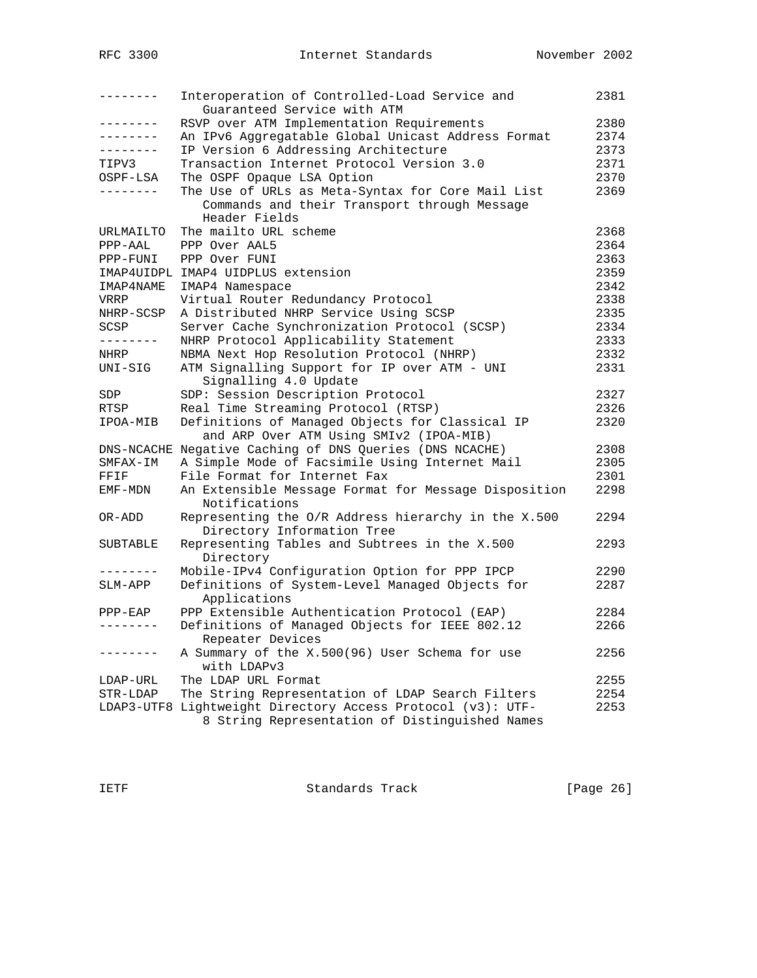| --------        | Interoperation of Controlled-Load Service and<br>Guaranteed Service with ATM | 2381 |
|-----------------|------------------------------------------------------------------------------|------|
| . <u>.</u> .    | RSVP over ATM Implementation Requirements                                    | 2380 |
| --------        | An IPv6 Aggregatable Global Unicast Address Format                           | 2374 |
| --------        | IP Version 6 Addressing Architecture                                         | 2373 |
| TIPV3           | Transaction Internet Protocol Version 3.0                                    | 2371 |
| OSPF-LSA        | The OSPF Opaque LSA Option                                                   | 2370 |
| --------        | The Use of URLs as Meta-Syntax for Core Mail List                            | 2369 |
|                 | Commands and their Transport through Message                                 |      |
|                 | Header Fields                                                                |      |
| URLMAILTO       | The mailto URL scheme                                                        | 2368 |
| PPP-AAL         | PPP Over AAL5                                                                | 2364 |
| PPP-FUNI        | PPP Over FUNI                                                                | 2363 |
|                 | IMAP4UIDPL IMAP4 UIDPLUS extension                                           | 2359 |
| IMAP4NAME       | IMAP4 Namespace                                                              | 2342 |
| <b>VRRP</b>     | Virtual Router Redundancy Protocol                                           | 2338 |
| NHRP-SCSP       | A Distributed NHRP Service Using SCSP                                        | 2335 |
|                 | Server Cache Synchronization Protocol (SCSP)                                 |      |
| SCSP            |                                                                              | 2334 |
| --------        | NHRP Protocol Applicability Statement                                        | 2333 |
| NHRP            | NBMA Next Hop Resolution Protocol (NHRP)                                     | 2332 |
| UNI-SIG         | ATM Signalling Support for IP over ATM - UNI<br>Signalling 4.0 Update        | 2331 |
| SDP             | SDP: Session Description Protocol                                            | 2327 |
| RTSP            | Real Time Streaming Protocol (RTSP)                                          | 2326 |
| IPOA-MIB        | Definitions of Managed Objects for Classical IP                              | 2320 |
|                 | and ARP Over ATM Using SMIv2 (IPOA-MIB)                                      |      |
|                 | DNS-NCACHE Negative Caching of DNS Queries (DNS NCACHE)                      | 2308 |
| SMFAX-IM        | A Simple Mode of Facsimile Using Internet Mail                               | 2305 |
| FFIF            | File Format for Internet Fax                                                 | 2301 |
| EMF-MDN         | An Extensible Message Format for Message Disposition                         | 2298 |
|                 | Notifications                                                                |      |
| OR-ADD          | Representing the O/R Address hierarchy in the X.500                          | 2294 |
|                 | Directory Information Tree                                                   |      |
| SUBTABLE        | Representing Tables and Subtrees in the X.500<br>Directory                   | 2293 |
| --------        | Mobile-IPv4 Configuration Option for PPP IPCP                                | 2290 |
| SLM-APP         | Definitions of System-Level Managed Objects for<br>Applications              | 2287 |
| $PPP-EAP$       | PPP Extensible Authentication Protocol (EAP)                                 | 2284 |
| -------         | Definitions of Managed Objects for IEEE 802.12                               | 2266 |
|                 | Repeater Devices                                                             |      |
| . – – – – – – – | A Summary of the X.500(96) User Schema for use                               | 2256 |
|                 | with LDAPv3                                                                  |      |
| LDAP-URL        | The LDAP URL Format                                                          | 2255 |
| STR-LDAP        | The String Representation of LDAP Search Filters                             | 2254 |
|                 | LDAP3-UTF8 Lightweight Directory Access Protocol (v3): UTF-                  | 2253 |
|                 | 8 String Representation of Distinguished Names                               |      |

IETF Standards Track [Page 26]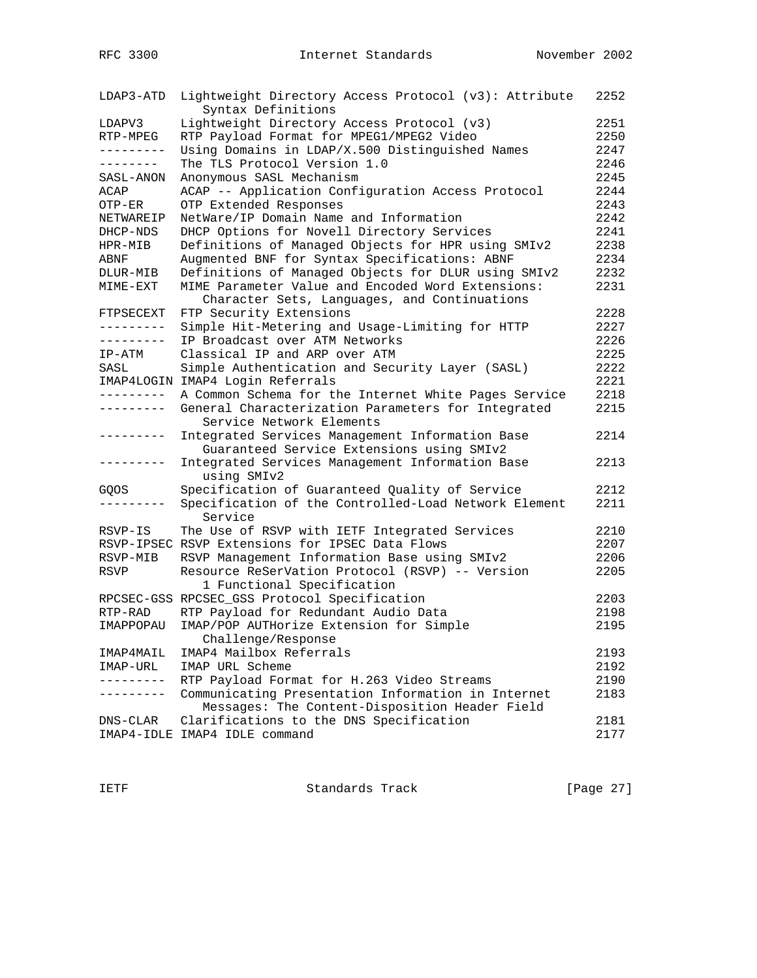| LDAP3-ATD         | Lightweight Directory Access Protocol (v3): Attribute<br>Syntax Definitions                          | 2252 |
|-------------------|------------------------------------------------------------------------------------------------------|------|
| LDAPV3            | Lightweight Directory Access Protocol (v3)                                                           | 2251 |
| RTP-MPEG          | RTP Payload Format for MPEG1/MPEG2 Video                                                             | 2250 |
| ---------         | Using Domains in LDAP/X.500 Distinguished Names                                                      | 2247 |
| --------          | The TLS Protocol Version 1.0                                                                         | 2246 |
| SASL-ANON         | Anonymous SASL Mechanism                                                                             | 2245 |
| ACAP              | ACAP -- Application Configuration Access Protocol                                                    | 2244 |
| OTP-ER            | OTP Extended Responses                                                                               | 2243 |
| NETWAREIP         | NetWare/IP Domain Name and Information                                                               | 2242 |
| DHCP-NDS          | DHCP Options for Novell Directory Services                                                           | 2241 |
| HPR-MIB           | Definitions of Managed Objects for HPR using SMIv2                                                   | 2238 |
| ABNF              | Augmented BNF for Syntax Specifications: ABNF                                                        | 2234 |
| DLUR-MIB          | Definitions of Managed Objects for DLUR using SMIv2                                                  | 2232 |
| MIME-EXT          | MIME Parameter Value and Encoded Word Extensions:                                                    | 2231 |
|                   | Character Sets, Languages, and Continuations                                                         |      |
| FTPSECEXT         | FTP Security Extensions                                                                              | 2228 |
| ---------         | Simple Hit-Metering and Usage-Limiting for HTTP                                                      | 2227 |
| ---------         | IP Broadcast over ATM Networks                                                                       | 2226 |
| IP-ATM            | Classical IP and ARP over ATM                                                                        | 2225 |
| SASL              | Simple Authentication and Security Layer (SASL)                                                      | 2222 |
|                   | IMAP4LOGIN IMAP4 Login Referrals                                                                     | 2221 |
| ---------         | A Common Schema for the Internet White Pages Service                                                 | 2218 |
| $- - - - - - - -$ | General Characterization Parameters for Integrated<br>Service Network Elements                       | 2215 |
| ---------         | Integrated Services Management Information Base                                                      | 2214 |
|                   | Guaranteed Service Extensions using SMIv2                                                            |      |
|                   | Integrated Services Management Information Base<br>using SMIv2                                       | 2213 |
| GQOS              | Specification of Guaranteed Quality of Service                                                       | 2212 |
|                   | Specification of the Controlled-Load Network Element<br>Service                                      | 2211 |
| RSVP-IS           | The Use of RSVP with IETF Integrated Services                                                        | 2210 |
|                   | RSVP-IPSEC RSVP Extensions for IPSEC Data Flows                                                      | 2207 |
| RSVP-MIB          | RSVP Management Information Base using SMIv2                                                         | 2206 |
| RSVP              | Resource ReSerVation Protocol (RSVP) -- Version                                                      | 2205 |
|                   | 1 Functional Specification                                                                           |      |
|                   | RPCSEC-GSS RPCSEC_GSS Protocol Specification                                                         | 2203 |
| RTP-RAD           | RTP Payload for Redundant Audio Data                                                                 | 2198 |
| IMAPPOPAU         | IMAP/POP AUTHorize Extension for Simple                                                              | 2195 |
|                   | Challenge/Response                                                                                   |      |
| IMAP4MAIL         | IMAP4 Mailbox Referrals                                                                              | 2193 |
| IMAP-URL          | IMAP URL Scheme                                                                                      | 2192 |
|                   | RTP Payload Format for H.263 Video Streams                                                           | 2190 |
|                   | Communicating Presentation Information in Internet<br>Messages: The Content-Disposition Header Field | 2183 |
| DNS-CLAR          | Clarifications to the DNS Specification                                                              | 2181 |
| IMAP4-IDLE        | IMAP4 IDLE command                                                                                   | 2177 |

IETF Standards Track [Page 27]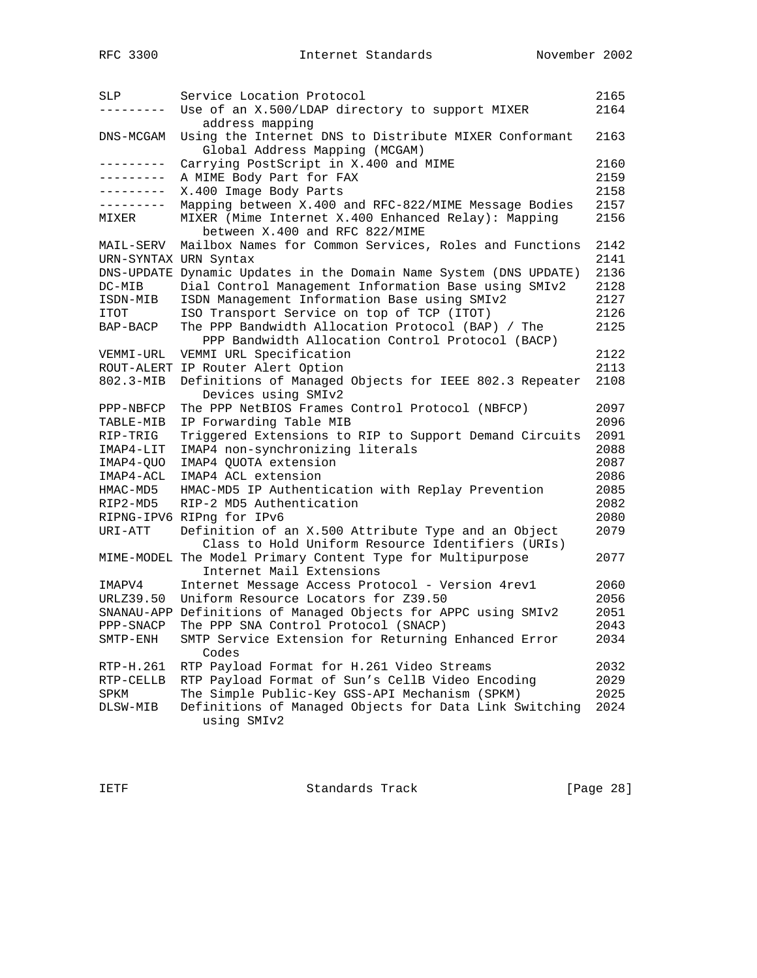| SLP               | Service Location Protocol                                                               | 2165 |
|-------------------|-----------------------------------------------------------------------------------------|------|
|                   | Use of an X.500/LDAP directory to support MIXER                                         | 2164 |
|                   | address mapping                                                                         |      |
| DNS-MCGAM         | Using the Internet DNS to Distribute MIXER Conformant<br>Global Address Mapping (MCGAM) | 2163 |
| . _ _ _ _ _ _ _ _ | Carrying PostScript in X.400 and MIME                                                   | 2160 |
| ---------         | A MIME Body Part for FAX                                                                | 2159 |
| . <u>.</u> .      | X.400 Image Body Parts                                                                  | 2158 |
| ---------         | Mapping between X.400 and RFC-822/MIME Message Bodies                                   | 2157 |
| MIXER             | MIXER (Mime Internet X.400 Enhanced Relay): Mapping<br>between X.400 and RFC 822/MIME   | 2156 |
| MAIL-SERV         | Mailbox Names for Common Services, Roles and Functions                                  | 2142 |
|                   | URN-SYNTAX URN Syntax                                                                   | 2141 |
|                   | DNS-UPDATE Dynamic Updates in the Domain Name System (DNS UPDATE)                       | 2136 |
| DC-MIB            | Dial Control Management Information Base using SMIv2                                    | 2128 |
| ISDN-MIB          | ISDN Management Information Base using SMIv2                                            | 2127 |
| ITOT              | ISO Transport Service on top of TCP (ITOT)                                              | 2126 |
| BAP-BACP          | The PPP Bandwidth Allocation Protocol (BAP) / The                                       | 2125 |
|                   | PPP Bandwidth Allocation Control Protocol (BACP)                                        |      |
| VEMMI-URL         | VEMMI URL Specification                                                                 | 2122 |
|                   | ROUT-ALERT IP Router Alert Option                                                       | 2113 |
| 802.3-MIB         | Definitions of Managed Objects for IEEE 802.3 Repeater                                  | 2108 |
|                   | Devices using SMIv2                                                                     |      |
| PPP-NBFCP         | The PPP NetBIOS Frames Control Protocol (NBFCP)                                         | 2097 |
| TABLE-MIB         | IP Forwarding Table MIB                                                                 | 2096 |
| RIP-TRIG          | Triggered Extensions to RIP to Support Demand Circuits                                  | 2091 |
| IMAP4-LIT         | IMAP4 non-synchronizing literals                                                        | 2088 |
| IMAP4-QUO         | IMAP4 QUOTA extension                                                                   | 2087 |
| IMAP4-ACL         | IMAP4 ACL extension                                                                     | 2086 |
| HMAC-MD5          | HMAC-MD5 IP Authentication with Replay Prevention                                       | 2085 |
| RIP2-MD5          | RIP-2 MD5 Authentication                                                                | 2082 |
|                   | RIPNG-IPV6 RIPng for IPv6                                                               | 2080 |
| URI-ATT           | Definition of an X.500 Attribute Type and an Object                                     | 2079 |
|                   | Class to Hold Uniform Resource Identifiers (URIs)                                       |      |
|                   | MIME-MODEL The Model Primary Content Type for Multipurpose                              | 2077 |
|                   | Internet Mail Extensions                                                                |      |
| IMAPV4            | Internet Message Access Protocol - Version 4revl                                        | 2060 |
| URLZ39.50         | Uniform Resource Locators for Z39.50                                                    | 2056 |
| SNANAU-APP        | Definitions of Managed Objects for APPC using SMIv2                                     | 2051 |
| PPP-SNACP         | The PPP SNA Control Protocol (SNACP)                                                    | 2043 |
| SMTP-ENH          | SMTP Service Extension for Returning Enhanced Error<br>Codes                            | 2034 |
| RTP-H.261         | RTP Payload Format for H.261 Video Streams                                              | 2032 |
| $RTP-CELLB$       | RTP Payload Format of Sun's CellB Video Encoding                                        | 2029 |
| SPKM              | The Simple Public-Key GSS-API Mechanism (SPKM)                                          | 2025 |
| DLSW-MIB          | Definitions of Managed Objects for Data Link Switching                                  | 2024 |
|                   | using SMIv2                                                                             |      |

IETF Standards Track [Page 28]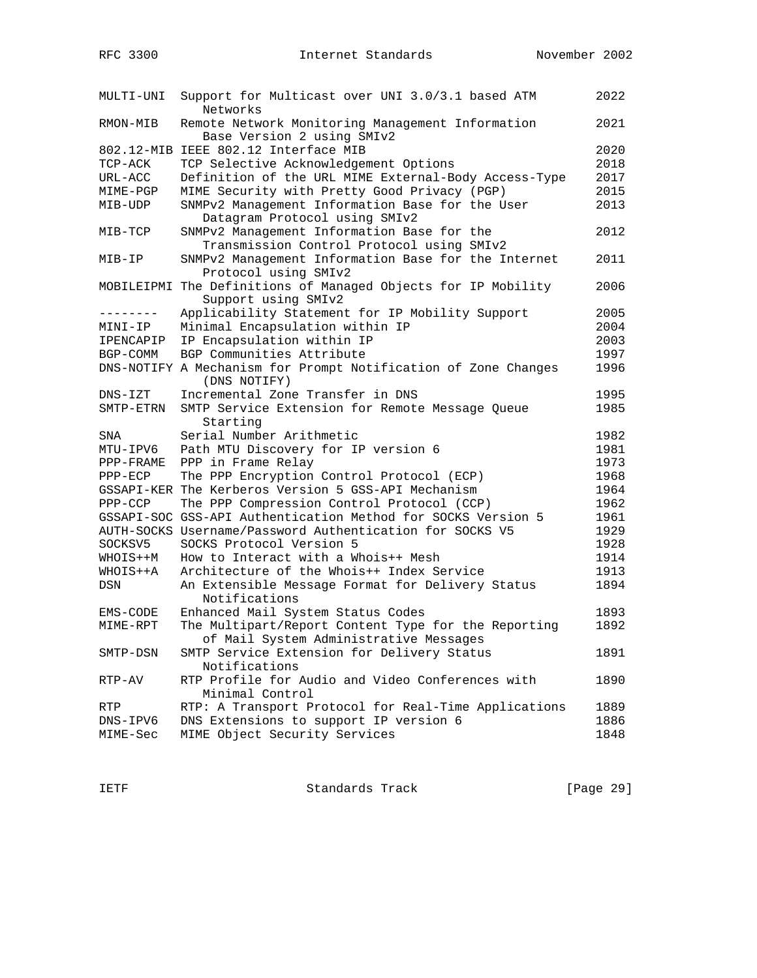| MULTI-UNI   | Support for Multicast over UNI 3.0/3.1 based ATM<br>Networks                                  | 2022 |
|-------------|-----------------------------------------------------------------------------------------------|------|
| RMON-MIB    | Remote Network Monitoring Management Information<br>Base Version 2 using SMIv2                | 2021 |
|             | 802.12-MIB IEEE 802.12 Interface MIB                                                          | 2020 |
| TCP-ACK     | TCP Selective Acknowledgement Options                                                         | 2018 |
| URL-ACC     | Definition of the URL MIME External-Body Access-Type                                          | 2017 |
| MIME-PGP    | MIME Security with Pretty Good Privacy (PGP)                                                  | 2015 |
| MIB-UDP     | SNMPv2 Management Information Base for the User<br>Datagram Protocol using SMIv2              | 2013 |
| MIB-TCP     | SNMPv2 Management Information Base for the<br>Transmission Control Protocol using SMIv2       | 2012 |
| MIB-IP      | SNMPv2 Management Information Base for the Internet<br>Protocol using SMIv2                   | 2011 |
|             | MOBILEIPMI The Definitions of Managed Objects for IP Mobility<br>Support using SMIv2          | 2006 |
| --------    | Applicability Statement for IP Mobility Support                                               | 2005 |
| MINI-IP     | Minimal Encapsulation within IP                                                               | 2004 |
| IPENCAPIP   | IP Encapsulation within IP                                                                    | 2003 |
| BGP-COMM    | BGP Communities Attribute                                                                     | 1997 |
|             | DNS-NOTIFY A Mechanism for Prompt Notification of Zone Changes<br>(DNS NOTIFY)                | 1996 |
| $DNS - IZT$ | Incremental Zone Transfer in DNS                                                              | 1995 |
| SMTP-ETRN   | SMTP Service Extension for Remote Message Queue<br>Starting                                   | 1985 |
| SNA         | Serial Number Arithmetic                                                                      | 1982 |
| MTU-IPV6    | Path MTU Discovery for IP version 6                                                           | 1981 |
| PPP-FRAME   | PPP in Frame Relay                                                                            | 1973 |
| $PPP-ECP$   | The PPP Encryption Control Protocol (ECP)                                                     | 1968 |
|             | GSSAPI-KER The Kerberos Version 5 GSS-API Mechanism                                           | 1964 |
| PPP-CCP     | The PPP Compression Control Protocol (CCP)                                                    | 1962 |
|             | GSSAPI-SOC GSS-API Authentication Method for SOCKS Version 5                                  | 1961 |
|             | AUTH-SOCKS Username/Password Authentication for SOCKS V5                                      | 1929 |
| SOCKSV5     | SOCKS Protocol Version 5                                                                      | 1928 |
| WHOIS++M    | How to Interact with a Whois++ Mesh                                                           | 1914 |
| WHOIS++A    | Architecture of the Whois++ Index Service                                                     | 1913 |
| DSN         | An Extensible Message Format for Delivery Status<br>Notifications                             | 1894 |
| EMS-CODE    | Enhanced Mail System Status Codes                                                             | 1893 |
| MIME-RPT    | The Multipart/Report Content Type for the Reporting<br>of Mail System Administrative Messages | 1892 |
| SMTP-DSN    | SMTP Service Extension for Delivery Status<br>Notifications                                   | 1891 |
| RTP-AV      | RTP Profile for Audio and Video Conferences with<br>Minimal Control                           | 1890 |
| <b>RTP</b>  | RTP: A Transport Protocol for Real-Time Applications                                          | 1889 |
| DNS-IPV6    | DNS Extensions to support IP version 6                                                        | 1886 |
| MIME-Sec    | MIME Object Security Services                                                                 | 1848 |

IETF Standards Track [Page 29]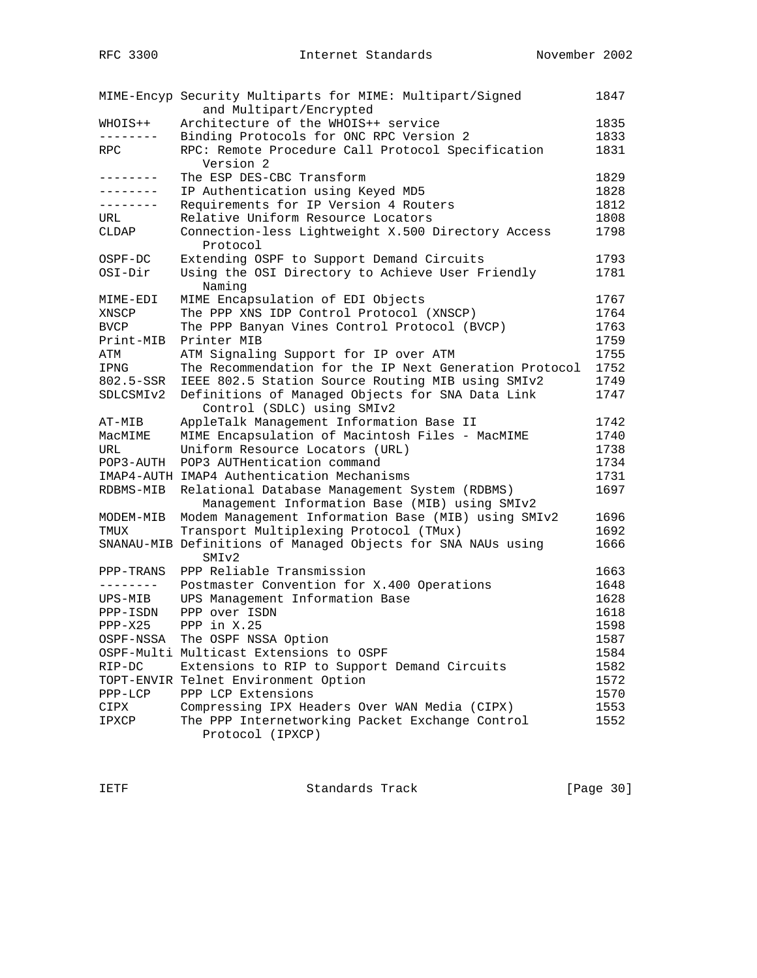|             | MIME-Encyp Security Multiparts for MIME: Multipart/Signed<br>and Multipart/Encrypted           | 1847 |
|-------------|------------------------------------------------------------------------------------------------|------|
| WHOIS++     | Architecture of the WHOIS++ service                                                            | 1835 |
| --------    | Binding Protocols for ONC RPC Version 2                                                        | 1833 |
| RPC         | RPC: Remote Procedure Call Protocol Specification<br>Version 2                                 | 1831 |
| ---------   | The ESP DES-CBC Transform                                                                      | 1829 |
| --------    | IP Authentication using Keyed MD5                                                              | 1828 |
| --------    | Requirements for IP Version 4 Routers                                                          | 1812 |
| URL         | Relative Uniform Resource Locators                                                             | 1808 |
| CLDAP       | Connection-less Lightweight X.500 Directory Access<br>Protocol                                 | 1798 |
| OSPF-DC     | Extending OSPF to Support Demand Circuits                                                      | 1793 |
| OSI-Dir     | Using the OSI Directory to Achieve User Friendly<br>Naming                                     | 1781 |
| MIME-EDI    | MIME Encapsulation of EDI Objects                                                              | 1767 |
| XNSCP       | The PPP XNS IDP Control Protocol (XNSCP)                                                       | 1764 |
| <b>BVCP</b> | The PPP Banyan Vines Control Protocol (BVCP)                                                   | 1763 |
| Print-MIB   | Printer MIB                                                                                    | 1759 |
| ATM         | ATM Signaling Support for IP over ATM                                                          | 1755 |
| IPNG        | The Recommendation for the IP Next Generation Protocol                                         | 1752 |
| 802.5-SSR   | IEEE 802.5 Station Source Routing MIB using SMIv2                                              | 1749 |
| SDLCSMIv2   | Definitions of Managed Objects for SNA Data Link<br>Control (SDLC) using SMIv2                 | 1747 |
| AT-MIB      | AppleTalk Management Information Base II                                                       | 1742 |
| MacMIME     | MIME Encapsulation of Macintosh Files - MacMIME                                                | 1740 |
| URL         | Uniform Resource Locators (URL)                                                                | 1738 |
| POP3-AUTH   | POP3 AUTHentication command                                                                    | 1734 |
|             | IMAP4-AUTH IMAP4 Authentication Mechanisms                                                     | 1731 |
| RDBMS-MIB   | Relational Database Management System (RDBMS)<br>Management Information Base (MIB) using SMIv2 | 1697 |
| MODEM-MIB   | Modem Management Information Base (MIB) using SMIv2                                            | 1696 |
| TMUX        | Transport Multiplexing Protocol (TMux)                                                         | 1692 |
|             | SNANAU-MIB Definitions of Managed Objects for SNA NAUs using<br>SMIv2                          | 1666 |
| PPP-TRANS   | PPP Reliable Transmission                                                                      | 1663 |
| ---------   | Postmaster Convention for X.400 Operations                                                     | 1648 |
| UPS-MIB     | UPS Management Information Base                                                                | 1628 |
| PPP-ISDN    | PPP over ISDN                                                                                  | 1618 |
| $PPP-X25$   | PPP in X.25                                                                                    | 1598 |
| OSPF-NSSA   | The OSPF NSSA Option                                                                           | 1587 |
|             | OSPF-Multi Multicast Extensions to OSPF                                                        | 1584 |
| RIP-DC      | Extensions to RIP to Support Demand Circuits                                                   | 1582 |
|             | TOPT-ENVIR Telnet Environment Option                                                           | 1572 |
| $PPP-LCP$   | PPP LCP Extensions                                                                             | 1570 |
| CIPX        | Compressing IPX Headers Over WAN Media (CIPX)                                                  | 1553 |
| IPXCP       | The PPP Internetworking Packet Exchange Control<br>Protocol (IPXCP)                            | 1552 |

IETF Standards Track [Page 30]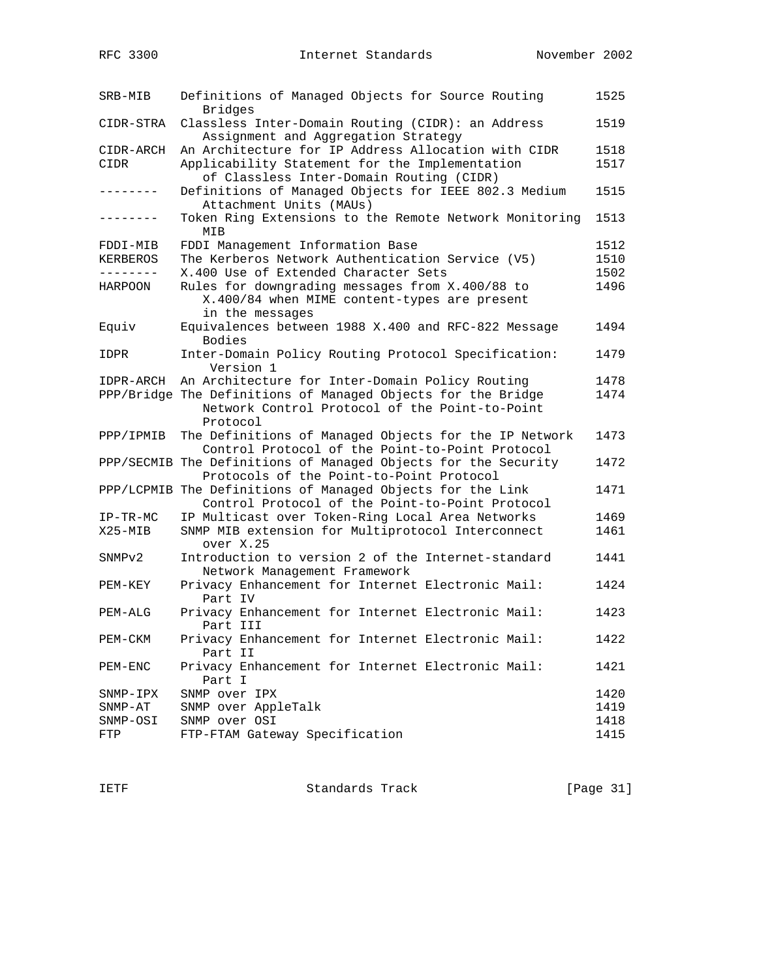| SRB-MIB         | Definitions of Managed Objects for Source Routing<br><b>Bridges</b>                      | 1525 |
|-----------------|------------------------------------------------------------------------------------------|------|
| CIDR-STRA       | Classless Inter-Domain Routing (CIDR): an Address<br>Assignment and Aggregation Strategy | 1519 |
| CIDR-ARCH       | An Architecture for IP Address Allocation with CIDR                                      | 1518 |
| <b>CIDR</b>     | Applicability Statement for the Implementation                                           | 1517 |
|                 | of Classless Inter-Domain Routing (CIDR)                                                 |      |
| $- - - - - - -$ | Definitions of Managed Objects for IEEE 802.3 Medium<br>Attachment Units (MAUs)          | 1515 |
| .               | Token Ring Extensions to the Remote Network Monitoring<br>MIB                            | 1513 |
| FDDI-MIB        | FDDI Management Information Base                                                         | 1512 |
| KERBEROS        | The Kerberos Network Authentication Service (V5)                                         | 1510 |
| -------         | X.400 Use of Extended Character Sets                                                     | 1502 |
| HARPOON         | Rules for downgrading messages from X.400/88 to                                          | 1496 |
|                 | X.400/84 when MIME content-types are present<br>in the messages                          |      |
| Equiv           | Equivalences between 1988 X.400 and RFC-822 Message<br>Bodies                            | 1494 |
| IDPR            | Inter-Domain Policy Routing Protocol Specification:                                      | 1479 |
|                 | Version 1                                                                                |      |
| IDPR-ARCH       | An Architecture for Inter-Domain Policy Routing                                          | 1478 |
|                 | PPP/Bridge The Definitions of Managed Objects for the Bridge                             | 1474 |
|                 | Network Control Protocol of the Point-to-Point<br>Protocol                               |      |
| PPP/IPMIB       | The Definitions of Managed Objects for the IP Network                                    | 1473 |
|                 | Control Protocol of the Point-to-Point Protocol                                          |      |
|                 | PPP/SECMIB The Definitions of Managed Objects for the Security                           | 1472 |
|                 | Protocols of the Point-to-Point Protocol                                                 |      |
|                 | PPP/LCPMIB The Definitions of Managed Objects for the Link                               | 1471 |
|                 | Control Protocol of the Point-to-Point Protocol                                          |      |
| $IP-TR-MC$      | IP Multicast over Token-Ring Local Area Networks                                         | 1469 |
| $X25 - MIB$     | SNMP MIB extension for Multiprotocol Interconnect                                        | 1461 |
|                 | over X.25                                                                                |      |
| SNMPv2          | Introduction to version 2 of the Internet-standard                                       | 1441 |
|                 |                                                                                          |      |
|                 | Network Management Framework                                                             | 1424 |
| PEM-KEY         | Privacy Enhancement for Internet Electronic Mail:                                        |      |
|                 | Part IV                                                                                  |      |
| PEM-ALG         | Privacy Enhancement for Internet Electronic Mail:                                        | 1423 |
|                 | Part III                                                                                 |      |
| PEM-CKM         | Privacy Enhancement for Internet Electronic Mail:                                        | 1422 |
|                 | Part II                                                                                  |      |
| PEM-ENC         | Privacy Enhancement for Internet Electronic Mail:                                        | 1421 |
|                 | Part I                                                                                   |      |
| SNMP-IPX        | SNMP over IPX                                                                            | 1420 |
| SNMP-AT         | SNMP over AppleTalk                                                                      | 1419 |
| SNMP-OSI        | SNMP over OSI                                                                            | 1418 |
| FTP             | FTP-FTAM Gateway Specification                                                           | 1415 |

IETF Standards Track [Page 31]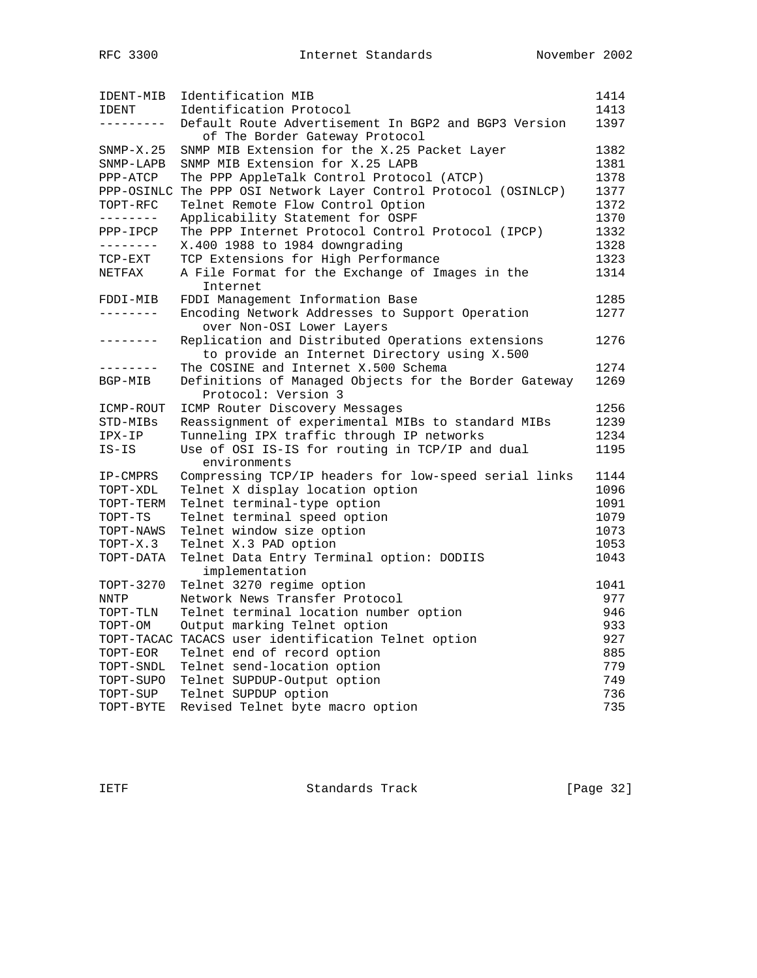| IDENT-MIB    | Identification MIB                                              | 1414 |
|--------------|-----------------------------------------------------------------|------|
| <b>IDENT</b> | Identification Protocol                                         | 1413 |
| ---------    | Default Route Advertisement In BGP2 and BGP3 Version            | 1397 |
|              | of The Border Gateway Protocol                                  |      |
| $SNMP-X.25$  | SNMP MIB Extension for the X.25 Packet Layer                    | 1382 |
| SNMP-LAPB    | SNMP MIB Extension for X.25 LAPB                                | 1381 |
| $PPP-ATCP$   | The PPP AppleTalk Control Protocol (ATCP)                       | 1378 |
|              | PPP-OSINLC The PPP OSI Network Layer Control Protocol (OSINLCP) | 1377 |
| TOPT-RFC     | Telnet Remote Flow Control Option                               | 1372 |
| --------     | Applicability Statement for OSPF                                | 1370 |
| $PPP-IPCP$   | The PPP Internet Protocol Control Protocol (IPCP)               | 1332 |
| --------     | X.400 1988 to 1984 downgrading                                  | 1328 |
| TCP-EXT      | TCP Extensions for High Performance                             | 1323 |
| NETFAX       | A File Format for the Exchange of Images in the                 | 1314 |
|              | Internet                                                        |      |
| FDDI-MIB     | FDDI Management Information Base                                | 1285 |
| --------     | Encoding Network Addresses to Support Operation                 | 1277 |
|              | over Non-OSI Lower Layers                                       |      |
| --------     | Replication and Distributed Operations extensions               | 1276 |
|              | to provide an Internet Directory using X.500                    |      |
| ---------    | The COSINE and Internet X.500 Schema                            | 1274 |
| BGP-MIB      | Definitions of Managed Objects for the Border Gateway           | 1269 |
|              | Protocol: Version 3                                             |      |
| ICMP-ROUT    | ICMP Router Discovery Messages                                  | 1256 |
| STD-MIBs     | Reassignment of experimental MIBs to standard MIBs              | 1239 |
| IPX-IP       | Tunneling IPX traffic through IP networks                       | 1234 |
| $IS-IS$      | Use of OSI IS-IS for routing in TCP/IP and dual                 | 1195 |
|              | environments                                                    |      |
| IP-CMPRS     | Compressing TCP/IP headers for low-speed serial links           | 1144 |
| TOPT-XDL     | Telnet X display location option                                | 1096 |
| TOPT-TERM    | Telnet terminal-type option                                     | 1091 |
| TOPT-TS      | Telnet terminal speed option                                    | 1079 |
| TOPT-NAWS    | Telnet window size option                                       | 1073 |
| TOPT-X.3     | Telnet X.3 PAD option                                           | 1053 |
| TOPT-DATA    | Telnet Data Entry Terminal option: DODIIS                       | 1043 |
|              | implementation                                                  |      |
| TOPT-3270    | Telnet 3270 regime option                                       | 1041 |
| NNTP         | Network News Transfer Protocol                                  | 977  |
| TOPT-TLN     | Telnet terminal location number option                          | 946  |
| TOPT-OM      | Output marking Telnet option                                    | 933  |
|              | TOPT-TACAC TACACS user identification Telnet option             | 927  |
| TOPT-EOR     | Telnet end of record option                                     | 885  |
| TOPT-SNDL    | Telnet send-location option                                     | 779  |
| TOPT-SUPO    | Telnet SUPDUP-Output option                                     | 749  |
| TOPT-SUP     | Telnet SUPDUP option                                            | 736  |
| TOPT-BYTE    | Revised Telnet byte macro option                                | 735  |

IETF Standards Track [Page 32]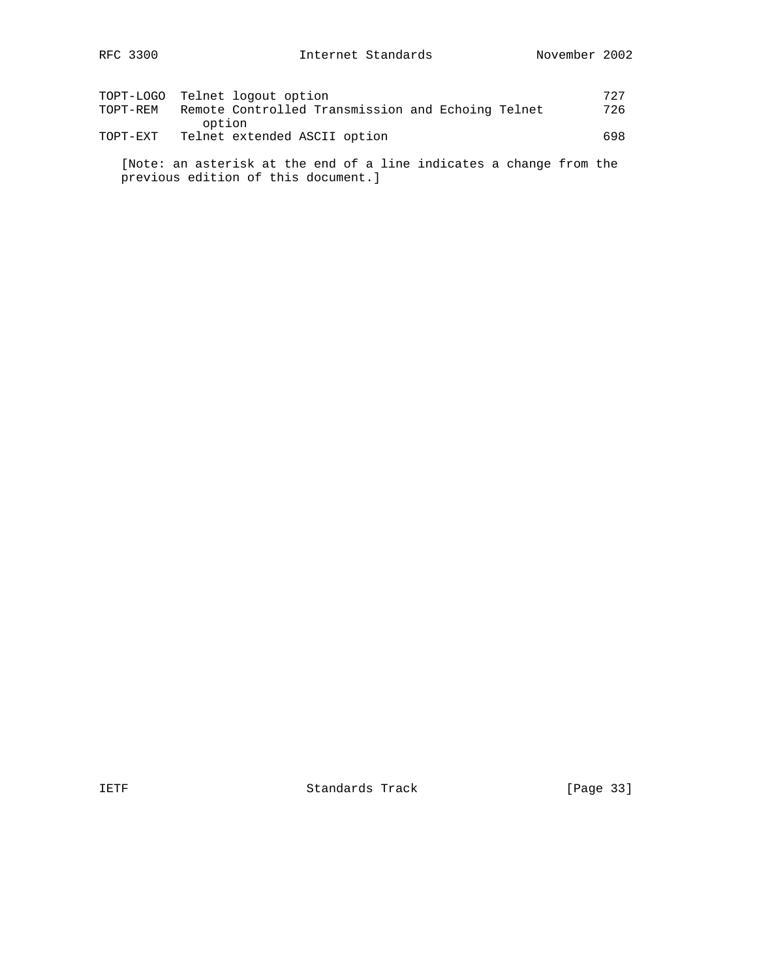|          | TOPT-LOGO Telnet logout option                    | 727 |
|----------|---------------------------------------------------|-----|
| TOPT-REM | Remote Controlled Transmission and Echoing Telnet | 726 |
|          | option                                            |     |
| TOPT-EXT | Telnet extended ASCII option                      | 698 |

 [Note: an asterisk at the end of a line indicates a change from the previous edition of this document.]

IETF Standards Track [Page 33]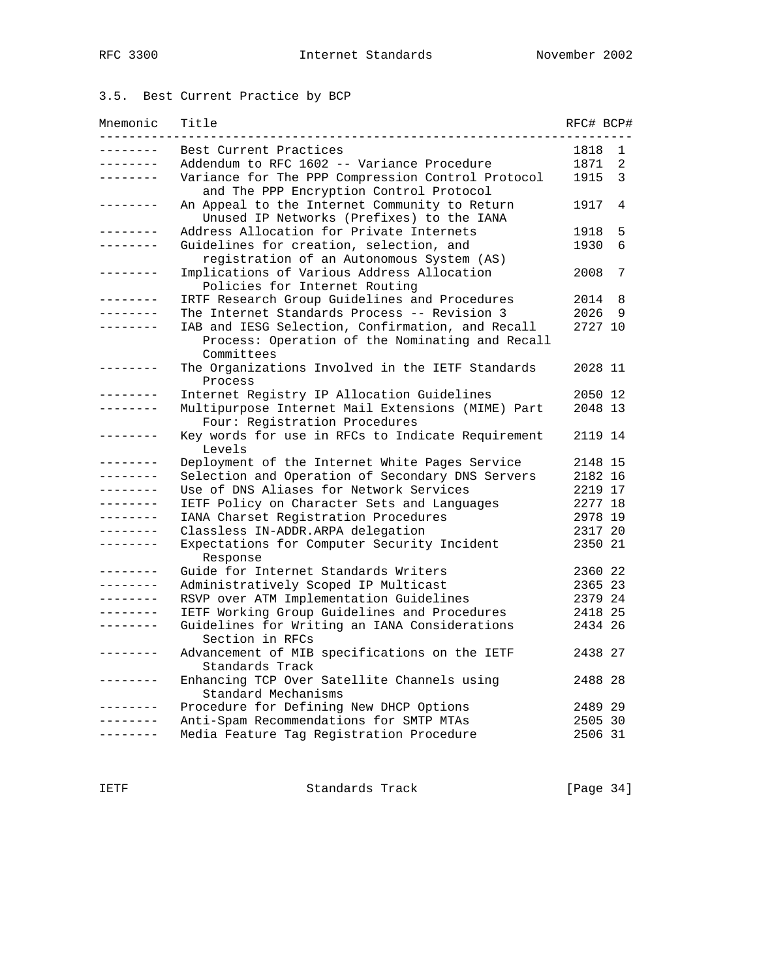# 3.5. Best Current Practice by BCP

| Mnemonic            | Title                                                                                                             | RFC# BCP# |                |
|---------------------|-------------------------------------------------------------------------------------------------------------------|-----------|----------------|
| -------             | Best Current Practices                                                                                            | 1818      | 1              |
| -------             | Addendum to RFC 1602 -- Variance Procedure                                                                        | 1871      | $\overline{2}$ |
| . _ _ _ _ _ _ _     | Variance for The PPP Compression Control Protocol<br>and The PPP Encryption Control Protocol                      | 1915      | 3              |
| $- - - - - - - - -$ | An Appeal to the Internet Community to Return<br>Unused IP Networks (Prefixes) to the IANA                        | 1917      | 4              |
|                     | Address Allocation for Private Internets                                                                          | 1918      | 5              |
| -------             | Guidelines for creation, selection, and<br>registration of an Autonomous System (AS)                              | 1930      | 6              |
| -------             | Implications of Various Address Allocation<br>Policies for Internet Routing                                       | 2008      | 7              |
|                     | IRTF Research Group Guidelines and Procedures                                                                     | 2014      | 8              |
| -------             | The Internet Standards Process -- Revision 3                                                                      | 2026      | 9              |
|                     | IAB and IESG Selection, Confirmation, and Recall<br>Process: Operation of the Nominating and Recall<br>Committees | 2727 10   |                |
| $- - - - - - -$     | The Organizations Involved in the IETF Standards<br>Process                                                       | 2028 11   |                |
| $- - - - - - -$     | Internet Registry IP Allocation Guidelines                                                                        | 2050 12   |                |
| -------             | Multipurpose Internet Mail Extensions (MIME) Part<br>Four: Registration Procedures                                | 2048 13   |                |
|                     | Key words for use in RFCs to Indicate Requirement<br>Levels                                                       | 2119 14   |                |
| . _ _ _ _ _ _ _     | Deployment of the Internet White Pages Service                                                                    | 2148 15   |                |
| . _ _ _ _ _ _ _     | Selection and Operation of Secondary DNS Servers                                                                  | 2182 16   |                |
| . _ _ _ _ _ _ _     | Use of DNS Aliases for Network Services                                                                           | 2219 17   |                |
|                     | IETF Policy on Character Sets and Languages                                                                       | 2277 18   |                |
| . _ _ _ _ _ _ _     | IANA Charset Registration Procedures                                                                              | 2978 19   |                |
| -------             | Classless IN-ADDR.ARPA delegation                                                                                 | 2317 20   |                |
| .                   | Expectations for Computer Security Incident<br>Response                                                           | 2350 21   |                |
|                     | Guide for Internet Standards Writers                                                                              | 2360 22   |                |
| . <u>.</u>          | Administratively Scoped IP Multicast                                                                              | 2365 23   |                |
|                     | RSVP over ATM Implementation Guidelines                                                                           | 2379 24   |                |
| . _ _ _ _ _ _ _     | IETF Working Group Guidelines and Procedures                                                                      | 2418 25   |                |
| .                   | Guidelines for Writing an IANA Considerations<br>Section in RFCs                                                  | 2434 26   |                |
|                     | Advancement of MIB specifications on the IETF<br>Standards Track                                                  | 2438 27   |                |
|                     | Enhancing TCP Over Satellite Channels using<br>Standard Mechanisms                                                | 2488 28   |                |
|                     | Procedure for Defining New DHCP Options                                                                           | 2489 29   |                |
|                     | Anti-Spam Recommendations for SMTP MTAs                                                                           | 2505 30   |                |
|                     | Media Feature Tag Registration Procedure                                                                          | 2506 31   |                |

IETF Standards Track [Page 34]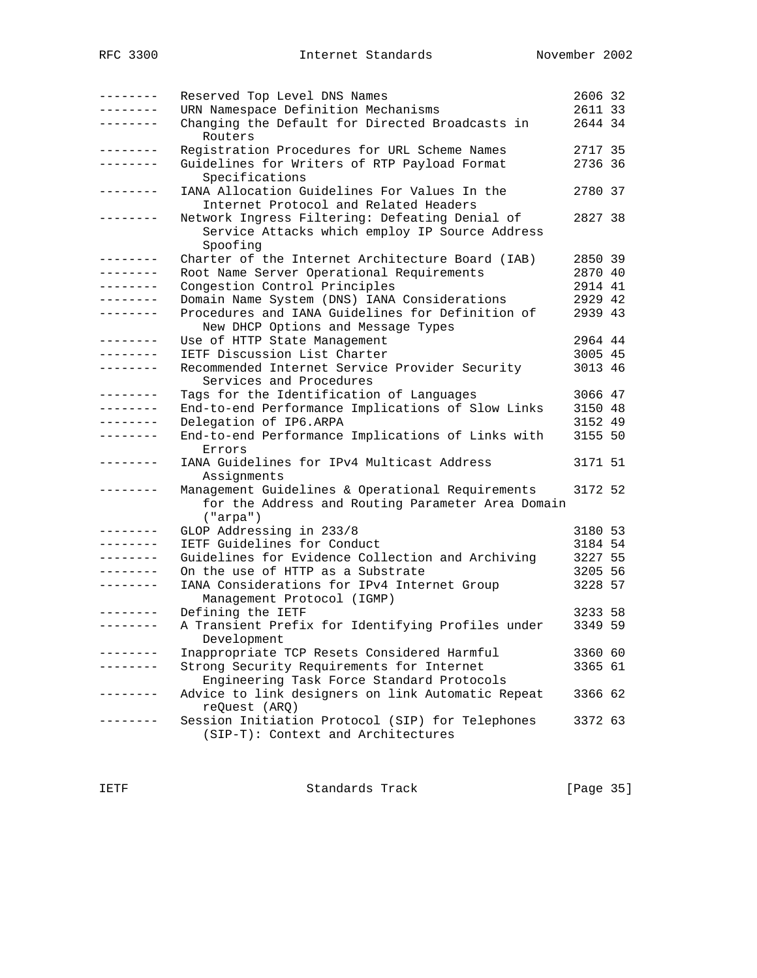| --------          | Reserved Top Level DNS Names                                                                                      | 2606 32 |  |
|-------------------|-------------------------------------------------------------------------------------------------------------------|---------|--|
|                   | URN Namespace Definition Mechanisms                                                                               | 2611 33 |  |
| . <u>.</u>        | Changing the Default for Directed Broadcasts in<br>Routers                                                        | 2644 34 |  |
| .                 | Registration Procedures for URL Scheme Names                                                                      | 2717 35 |  |
| --------          | Guidelines for Writers of RTP Payload Format<br>Specifications                                                    | 2736 36 |  |
| --------          | IANA Allocation Guidelines For Values In the<br>Internet Protocol and Related Headers                             | 2780 37 |  |
| . - - - - - - -   | Network Ingress Filtering: Defeating Denial of<br>Service Attacks which employ IP Source Address<br>Spoofing      | 2827 38 |  |
| --------          | Charter of the Internet Architecture Board (IAB)                                                                  | 2850 39 |  |
| .                 | Root Name Server Operational Requirements                                                                         | 2870 40 |  |
| . _ _ _ _ _ _ _   | Congestion Control Principles                                                                                     | 2914 41 |  |
| --------          | Domain Name System (DNS) IANA Considerations                                                                      | 2929 42 |  |
| --------          | Procedures and IANA Guidelines for Definition of                                                                  | 2939 43 |  |
|                   | New DHCP Options and Message Types                                                                                |         |  |
| --------          | Use of HTTP State Management                                                                                      | 2964 44 |  |
| - - - - - - - -   | IETF Discussion List Charter                                                                                      | 3005 45 |  |
| --------          | Recommended Internet Service Provider Security<br>Services and Procedures                                         | 3013 46 |  |
| --------          | Tags for the Identification of Languages                                                                          | 3066 47 |  |
| - - - - - - - - - | End-to-end Performance Implications of Slow Links                                                                 | 3150 48 |  |
| . <u>.</u> .      | Delegation of IP6.ARPA                                                                                            | 3152 49 |  |
| .                 | End-to-end Performance Implications of Links with<br>Errors                                                       | 3155 50 |  |
| . <u>.</u>        | IANA Guidelines for IPv4 Multicast Address<br>Assignments                                                         | 3171 51 |  |
| - - - - - - - -   | Management Guidelines & Operational Requirements<br>for the Address and Routing Parameter Area Domain<br>("arpa") | 3172 52 |  |
| - - - - - - - -   | GLOP Addressing in 233/8                                                                                          | 3180 53 |  |
| --------          | IETF Guidelines for Conduct                                                                                       | 3184 54 |  |
| --------          | Guidelines for Evidence Collection and Archiving                                                                  | 3227 55 |  |
| --------          | On the use of HTTP as a Substrate                                                                                 | 3205 56 |  |
| --------          | IANA Considerations for IPv4 Internet Group<br>Management Protocol (IGMP)                                         | 3228 57 |  |
| --------          | Defining the IETF                                                                                                 | 3233 58 |  |
| --------          | A Transient Prefix for Identifying Profiles under<br>Development                                                  | 3349 59 |  |
| . - - - - - - -   | Inappropriate TCP Resets Considered Harmful                                                                       | 3360 60 |  |
|                   | Strong Security Requirements for Internet<br>Engineering Task Force Standard Protocols                            | 3365 61 |  |
|                   | Advice to link designers on link Automatic Repeat<br>reQuest (ARQ)                                                | 3366 62 |  |
|                   | Session Initiation Protocol (SIP) for Telephones<br>(SIP-T): Context and Architectures                            | 3372 63 |  |

IETF Standards Track [Page 35]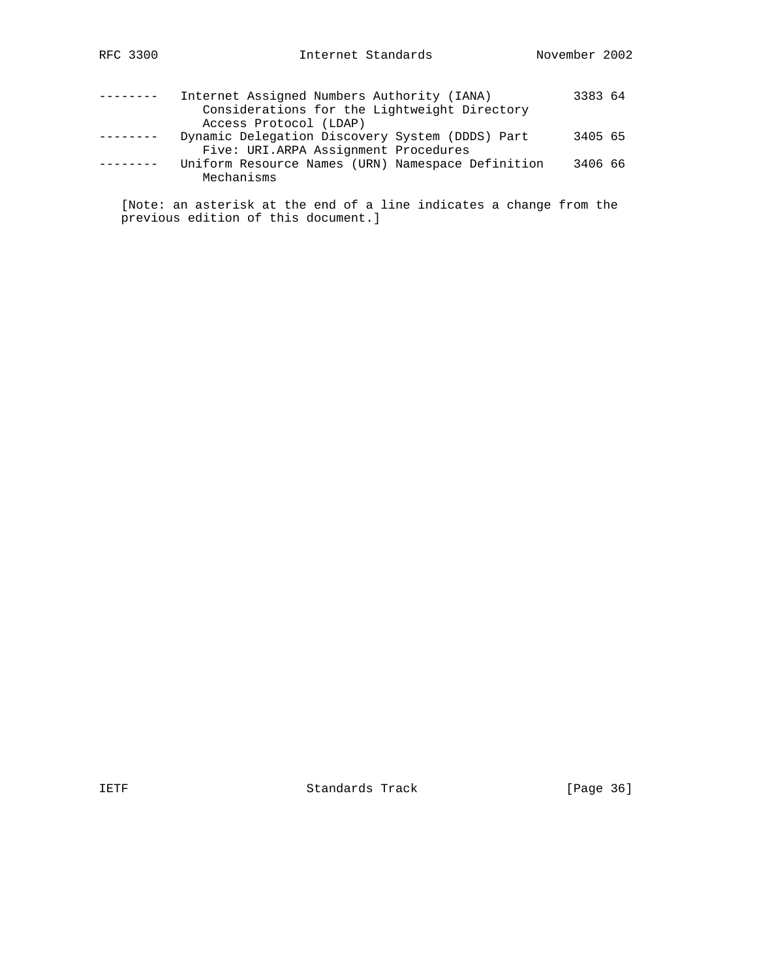| Internet Assigned Numbers Authority (IANA)<br>Considerations for the Lightweight Directory | 3383 64 |  |
|--------------------------------------------------------------------------------------------|---------|--|
| Access Protocol (LDAP)                                                                     |         |  |
| Dynamic Delegation Discovery System (DDDS) Part<br>Five: URI.ARPA Assignment Procedures    | 3405 65 |  |
| Uniform Resource Names (URN) Namespace Definition<br>Mechanisms                            | 3406 66 |  |

 [Note: an asterisk at the end of a line indicates a change from the previous edition of this document.]

IETF Standards Track [Page 36]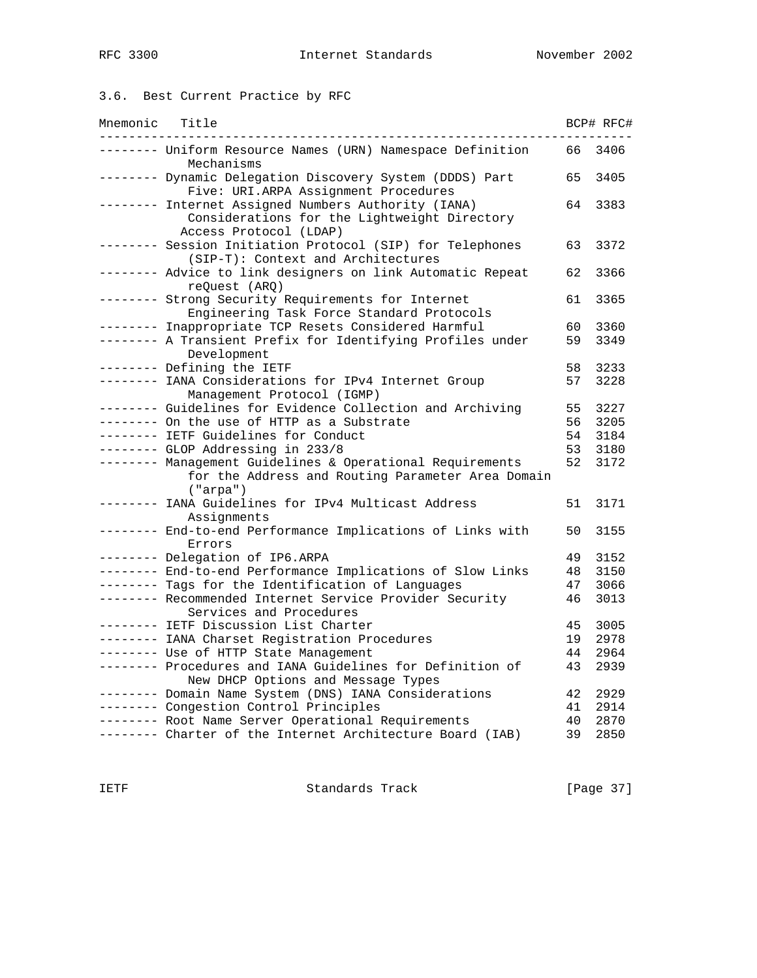# 3.6. Best Current Practice by RFC

| Mnemonic | Title                                                                                                                        |    | BCP# RFC# |
|----------|------------------------------------------------------------------------------------------------------------------------------|----|-----------|
|          | ------- Uniform Resource Names (URN) Namespace Definition<br>Mechanisms                                                      | 66 | 3406      |
|          | ------- Dynamic Delegation Discovery System (DDDS) Part<br>Five: URI.ARPA Assignment Procedures                              | 65 | 3405      |
|          | ------- Internet Assigned Numbers Authority (IANA)<br>Considerations for the Lightweight Directory<br>Access Protocol (LDAP) | 64 | 3383      |
|          | ------- Session Initiation Protocol (SIP) for Telephones<br>(SIP-T): Context and Architectures                               | 63 | 3372      |
|          | ------- Advice to link designers on link Automatic Repeat<br>reQuest (ARQ)                                                   | 62 | 3366      |
|          | ------- Strong Security Requirements for Internet<br>Engineering Task Force Standard Protocols                               | 61 | 3365      |
|          | -------- Inappropriate TCP Resets Considered Harmful                                                                         | 60 | 3360      |
|          | -------- A Transient Prefix for Identifying Profiles under<br>Development                                                    | 59 | 3349      |
|          | -------- Defining the IETF                                                                                                   | 58 | 3233      |
|          | -------- IANA Considerations for IPv4 Internet Group<br>Management Protocol (IGMP)                                           | 57 | 3228      |
|          | -------- Guidelines for Evidence Collection and Archiving                                                                    | 55 | 3227      |
|          | -------- On the use of HTTP as a Substrate                                                                                   | 56 | 3205      |
|          | -------- IETF Guidelines for Conduct                                                                                         | 54 | 3184      |
|          | -------- GLOP Addressing in 233/8                                                                                            | 53 | 3180      |
|          | -------- Management Guidelines & Operational Requirements<br>for the Address and Routing Parameter Area Domain<br>("arpa")   | 52 | 3172      |
|          | -------- IANA Guidelines for IPv4 Multicast Address<br>Assignments                                                           | 51 | 3171      |
|          | -------- End-to-end Performance Implications of Links with<br>Errors                                                         | 50 | 3155      |
|          | -------- Delegation of IP6.ARPA                                                                                              | 49 | 3152      |
|          | -------- End-to-end Performance Implications of Slow Links                                                                   | 48 | 3150      |
|          | -------- Tags for the Identification of Languages                                                                            | 47 | 3066      |
|          | -------- Recommended Internet Service Provider Security<br>Services and Procedures                                           | 46 | 3013      |
|          | -------- IETF Discussion List Charter                                                                                        | 45 | 3005      |
|          | -------- IANA Charset Registration Procedures                                                                                | 19 | 2978      |
|          | -------- Use of HTTP State Management                                                                                        | 44 | 2964      |
|          | -------- Procedures and IANA Guidelines for Definition of<br>New DHCP Options and Message Types                              | 43 | 2939      |
|          | -------- Domain Name System (DNS) IANA Considerations                                                                        | 42 | 2929      |
|          | -------- Congestion Control Principles                                                                                       | 41 | 2914      |
|          | -------- Root Name Server Operational Requirements                                                                           | 40 | 2870      |
|          | -------- Charter of the Internet Architecture Board (IAB)                                                                    | 39 | 2850      |

IETF Standards Track [Page 37]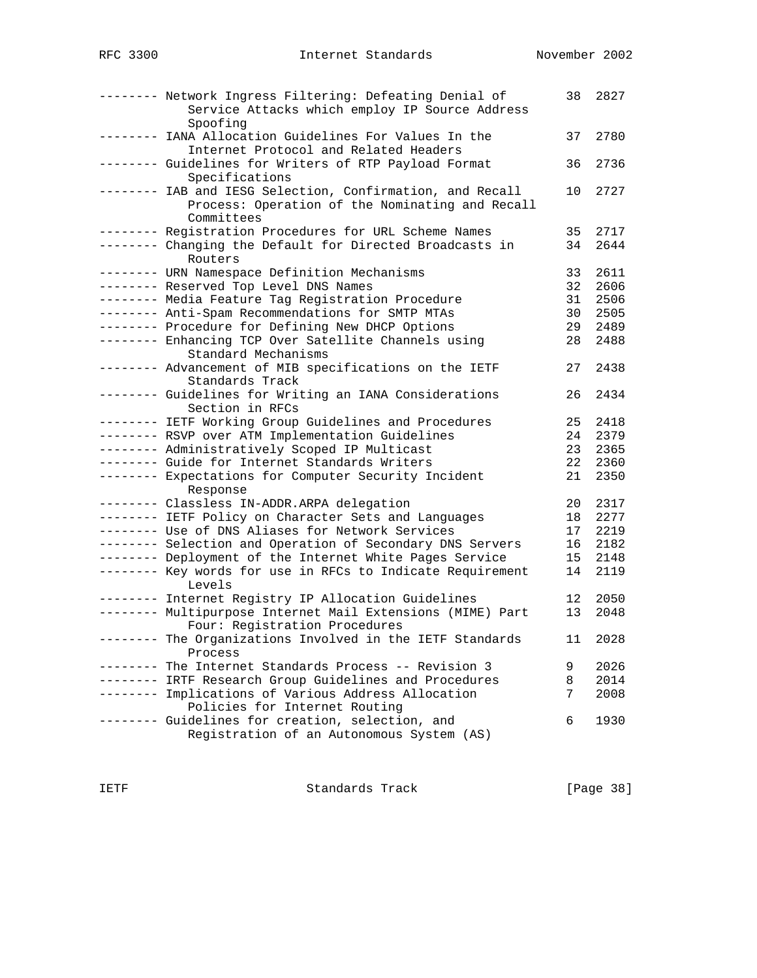| -------- Network Ingress Filtering: Defeating Denial of<br>Service Attacks which employ IP Source Address                     | 38 | 2827 |
|-------------------------------------------------------------------------------------------------------------------------------|----|------|
| Spoofing<br>-------- IANA Allocation Guidelines For Values In the                                                             | 37 | 2780 |
| Internet Protocol and Related Headers<br>-------- Guidelines for Writers of RTP Payload Format                                | 36 | 2736 |
| Specifications<br>------- IAB and IESG Selection, Confirmation, and Recall<br>Process: Operation of the Nominating and Recall | 10 | 2727 |
| Committees                                                                                                                    |    |      |
| -------- Registration Procedures for URL Scheme Names                                                                         | 35 | 2717 |
| -------- Changing the Default for Directed Broadcasts in<br>Routers                                                           | 34 | 2644 |
| -------- URN Namespace Definition Mechanisms                                                                                  | 33 | 2611 |
| -------- Reserved Top Level DNS Names                                                                                         | 32 | 2606 |
| -------- Media Feature Tag Registration Procedure                                                                             | 31 | 2506 |
| -------- Anti-Spam Recommendations for SMTP MTAs                                                                              | 30 | 2505 |
| -------- Procedure for Defining New DHCP Options                                                                              | 29 | 2489 |
| -------- Enhancing TCP Over Satellite Channels using<br>Standard Mechanisms                                                   | 28 | 2488 |
| -------- Advancement of MIB specifications on the IETF<br>Standards Track                                                     | 27 | 2438 |
| -------- Guidelines for Writing an IANA Considerations<br>Section in RFCs                                                     | 26 | 2434 |
| -------- IETF Working Group Guidelines and Procedures                                                                         | 25 | 2418 |
| -------- RSVP over ATM Implementation Guidelines                                                                              | 24 | 2379 |
| -------- Administratively Scoped IP Multicast                                                                                 | 23 | 2365 |
| -------- Guide for Internet Standards Writers                                                                                 | 22 | 2360 |
| -------- Expectations for Computer Security Incident<br>Response                                                              | 21 | 2350 |
| -------- Classless IN-ADDR.ARPA delegation                                                                                    | 20 | 2317 |
| -------- IETF Policy on Character Sets and Languages                                                                          | 18 | 2277 |
| -------- Use of DNS Aliases for Network Services                                                                              | 17 | 2219 |
| -------- Selection and Operation of Secondary DNS Servers                                                                     | 16 | 2182 |
| -------- Deployment of the Internet White Pages Service                                                                       | 15 | 2148 |
| -------- Key words for use in RFCs to Indicate Requirement<br>Levels                                                          | 14 | 2119 |
| -------- Internet Registry IP Allocation Guidelines                                                                           | 12 | 2050 |
| -------- Multipurpose Internet Mail Extensions (MIME) Part<br>Four: Registration Procedures                                   | 13 | 2048 |
| -------- The Organizations Involved in the IETF Standards<br>Process                                                          | 11 | 2028 |
| The Internet Standards Process -- Revision 3                                                                                  | 9  | 2026 |
| IRTF Research Group Guidelines and Procedures                                                                                 | 8  | 2014 |
| Implications of Various Address Allocation<br>Policies for Internet Routing                                                   | 7  | 2008 |
| Guidelines for creation, selection, and<br>Registration of an Autonomous System (AS)                                          | 6  | 1930 |

IETF Standards Track [Page 38]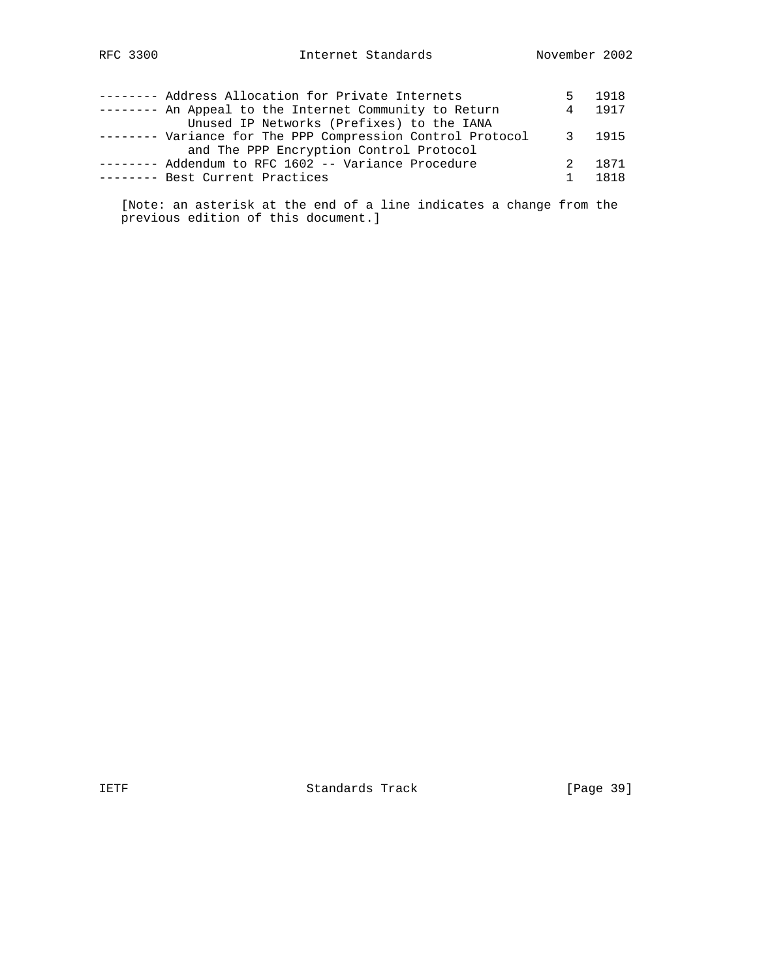| -------- Address Allocation for Private Internets          | 5.  | 1918   |
|------------------------------------------------------------|-----|--------|
| -------- An Appeal to the Internet Community to Return     | 4   | 1917   |
| Unused IP Networks (Prefixes) to the IANA                  |     |        |
| -------- Variance for The PPP Compression Control Protocol |     | 3 1915 |
| and The PPP Encryption Control Protocol                    |     |        |
| -------- Addendum to RFC 1602 -- Variance Procedure        | -2. | 1871   |
| -------- Best Current Practices                            |     | 1818   |
|                                                            |     |        |

 [Note: an asterisk at the end of a line indicates a change from the previous edition of this document.]

IETF Standards Track [Page 39]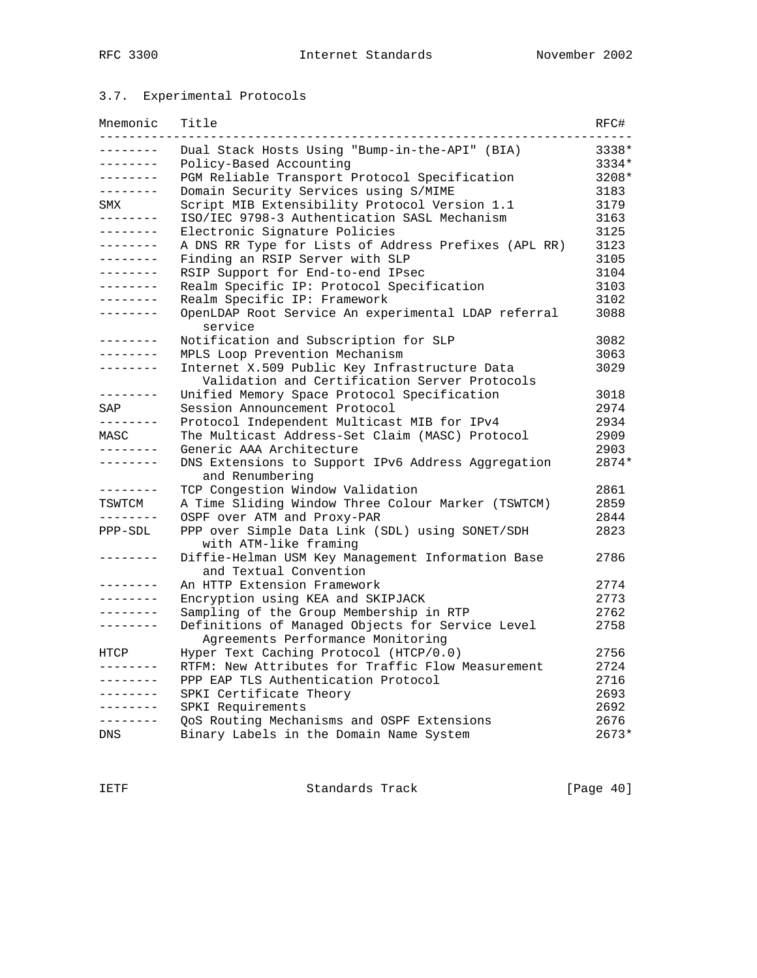### 3.7. Experimental Protocols

| Mnemonic            | Title                                                                       |         |  |  |  |  |  |  |
|---------------------|-----------------------------------------------------------------------------|---------|--|--|--|--|--|--|
| $- - - - - - -$     | Dual Stack Hosts Using "Bump-in-the-API" (BIA)                              |         |  |  |  |  |  |  |
| . <u>.</u> .        | Policy-Based Accounting                                                     | 3334*   |  |  |  |  |  |  |
| .                   | PGM Reliable Transport Protocol Specification                               | 3208*   |  |  |  |  |  |  |
|                     | Domain Security Services using S/MIME                                       | 3183    |  |  |  |  |  |  |
| SMX                 | Script MIB Extensibility Protocol Version 1.1                               | 3179    |  |  |  |  |  |  |
| --------            | ISO/IEC 9798-3 Authentication SASL Mechanism                                | 3163    |  |  |  |  |  |  |
| ---------           | Electronic Signature Policies                                               | 3125    |  |  |  |  |  |  |
| . <u>.</u> .        | A DNS RR Type for Lists of Address Prefixes (APL RR)                        | 3123    |  |  |  |  |  |  |
| . _ _ _ _ _ _ _     | Finding an RSIP Server with SLP                                             | 3105    |  |  |  |  |  |  |
| --------            | RSIP Support for End-to-end IPsec                                           | 3104    |  |  |  |  |  |  |
| . _ _ _ _ _ _ _     | Realm Specific IP: Protocol Specification                                   | 3103    |  |  |  |  |  |  |
| . _ _ _ _ _ _ _     | Realm Specific IP: Framework                                                | 3102    |  |  |  |  |  |  |
| .                   | OpenLDAP Root Service An experimental LDAP referral<br>service              | 3088    |  |  |  |  |  |  |
| - - - - - - - -     | Notification and Subscription for SLP                                       | 3082    |  |  |  |  |  |  |
| --------            | MPLS Loop Prevention Mechanism                                              | 3063    |  |  |  |  |  |  |
| $- - - - - - -$     | Internet X.509 Public Key Infrastructure Data                               | 3029    |  |  |  |  |  |  |
|                     | Validation and Certification Server Protocols                               |         |  |  |  |  |  |  |
| - - - - - - - -     | Unified Memory Space Protocol Specification                                 | 3018    |  |  |  |  |  |  |
| SAP                 | Session Announcement Protocol                                               | 2974    |  |  |  |  |  |  |
| --------            | Protocol Independent Multicast MIB for IPv4                                 | 2934    |  |  |  |  |  |  |
| MASC                | The Multicast Address-Set Claim (MASC) Protocol                             | 2909    |  |  |  |  |  |  |
| --------            | Generic AAA Architecture                                                    | 2903    |  |  |  |  |  |  |
| --------            | DNS Extensions to Support IPv6 Address Aggregation<br>and Renumbering       | 2874*   |  |  |  |  |  |  |
| . <u>.</u> .        | TCP Congestion Window Validation                                            | 2861    |  |  |  |  |  |  |
| TSWTCM              | A Time Sliding Window Three Colour Marker (TSWTCM)                          | 2859    |  |  |  |  |  |  |
| --------            | OSPF over ATM and Proxy-PAR                                                 | 2844    |  |  |  |  |  |  |
| PPP-SDL             | PPP over Simple Data Link (SDL) using SONET/SDH<br>with ATM-like framing    | 2823    |  |  |  |  |  |  |
|                     | Diffie-Helman USM Key Management Information Base<br>and Textual Convention | 2786    |  |  |  |  |  |  |
| $- - - - - - - - -$ | An HTTP Extension Framework                                                 | 2774    |  |  |  |  |  |  |
|                     | Encryption using KEA and SKIPJACK                                           | 2773    |  |  |  |  |  |  |
|                     | Sampling of the Group Membership in RTP                                     | 2762    |  |  |  |  |  |  |
|                     | Definitions of Managed Objects for Service Level                            | 2758    |  |  |  |  |  |  |
|                     | Agreements Performance Monitoring                                           |         |  |  |  |  |  |  |
| HTCP                | Hyper Text Caching Protocol (HTCP/0.0)                                      | 2756    |  |  |  |  |  |  |
|                     | RTFM: New Attributes for Traffic Flow Measurement                           | 2724    |  |  |  |  |  |  |
| $- - - - - - - - -$ | PPP EAP TLS Authentication Protocol                                         | 2716    |  |  |  |  |  |  |
| . _ _ _ _ _ _ _     | SPKI Certificate Theory                                                     | 2693    |  |  |  |  |  |  |
| --------            | SPKI Requirements                                                           | 2692    |  |  |  |  |  |  |
| --------            | QoS Routing Mechanisms and OSPF Extensions                                  | 2676    |  |  |  |  |  |  |
| DNS                 | Binary Labels in the Domain Name System                                     | $2673*$ |  |  |  |  |  |  |

IETF Standards Track [Page 40]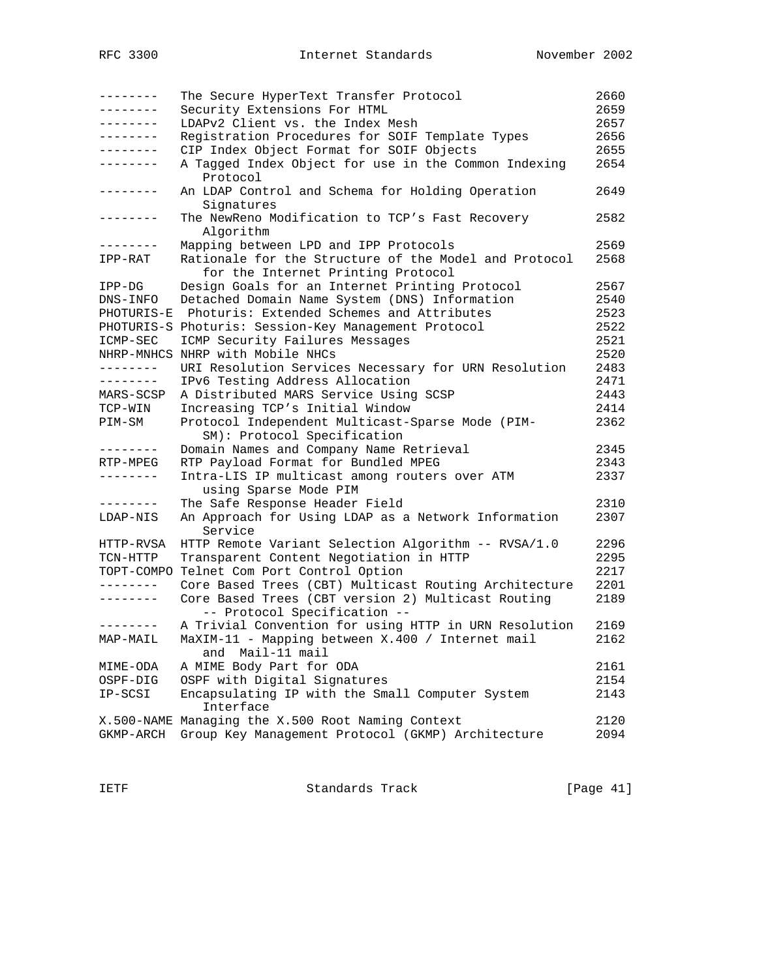| -------           | The Secure HyperText Transfer Protocol                                                      | 2660 |
|-------------------|---------------------------------------------------------------------------------------------|------|
| .                 | Security Extensions For HTML                                                                | 2659 |
| --------          | LDAPv2 Client vs. the Index Mesh                                                            | 2657 |
| --------          | Registration Procedures for SOIF Template Types                                             | 2656 |
| --------          | CIP Index Object Format for SOIF Objects                                                    | 2655 |
| --------          | A Tagged Index Object for use in the Common Indexing<br>Protocol                            | 2654 |
| --------          | An LDAP Control and Schema for Holding Operation<br>Signatures                              | 2649 |
| --------          | The NewReno Modification to TCP's Fast Recovery<br>Algorithm                                | 2582 |
| --------          | Mapping between LPD and IPP Protocols                                                       | 2569 |
| IPP-RAT           | Rationale for the Structure of the Model and Protocol<br>for the Internet Printing Protocol | 2568 |
| IPP-DG            | Design Goals for an Internet Printing Protocol                                              | 2567 |
| DNS-INFO          | Detached Domain Name System (DNS) Information                                               | 2540 |
| PHOTURIS-E        | Photuris: Extended Schemes and Attributes                                                   | 2523 |
|                   | PHOTURIS-S Photuris: Session-Key Management Protocol                                        | 2522 |
| ICMP-SEC          | ICMP Security Failures Messages                                                             | 2521 |
|                   | NHRP-MNHCS NHRP with Mobile NHCs                                                            | 2520 |
| ---------         | URI Resolution Services Necessary for URN Resolution                                        | 2483 |
| --------          | IPv6 Testing Address Allocation                                                             | 2471 |
| MARS-SCSP         | A Distributed MARS Service Using SCSP                                                       | 2443 |
| TCP-WIN           | Increasing TCP's Initial Window                                                             | 2414 |
| PIM-SM            | Protocol Independent Multicast-Sparse Mode (PIM-<br>SM): Protocol Specification             | 2362 |
| $- - - - - - - -$ | Domain Names and Company Name Retrieval                                                     | 2345 |
| RTP-MPEG          | RTP Payload Format for Bundled MPEG                                                         | 2343 |
| --------          | Intra-LIS IP multicast among routers over ATM<br>using Sparse Mode PIM                      | 2337 |
| --------          | The Safe Response Header Field                                                              | 2310 |
| LDAP-NIS          | An Approach for Using LDAP as a Network Information<br>Service                              | 2307 |
| HTTP-RVSA         | HTTP Remote Variant Selection Algorithm -- RVSA/1.0                                         | 2296 |
| TCN-HTTP          | Transparent Content Negotiation in HTTP                                                     | 2295 |
| TOPT-COMPO        | Telnet Com Port Control Option                                                              | 2217 |
| . – – – – – – –   | Core Based Trees (CBT) Multicast Routing Architecture                                       | 2201 |
| --------          | Core Based Trees (CBT version 2) Multicast Routing<br>-- Protocol Specification --          | 2189 |
| --------          | A Trivial Convention for using HTTP in URN Resolution                                       | 2169 |
| MAP-MAIL          | MaXIM-11 - Mapping between X.400 / Internet mail<br>Mail-11 mail<br>and                     | 2162 |
| MIME-ODA          | A MIME Body Part for ODA                                                                    | 2161 |
| OSPF-DIG          | OSPF with Digital Signatures                                                                | 2154 |
| IP-SCSI           | Encapsulating IP with the Small Computer System<br>Interface                                | 2143 |
|                   | X.500-NAME Managing the X.500 Root Naming Context                                           | 2120 |
| GKMP-ARCH         | Group Key Management Protocol (GKMP) Architecture                                           | 2094 |

IETF Standards Track [Page 41]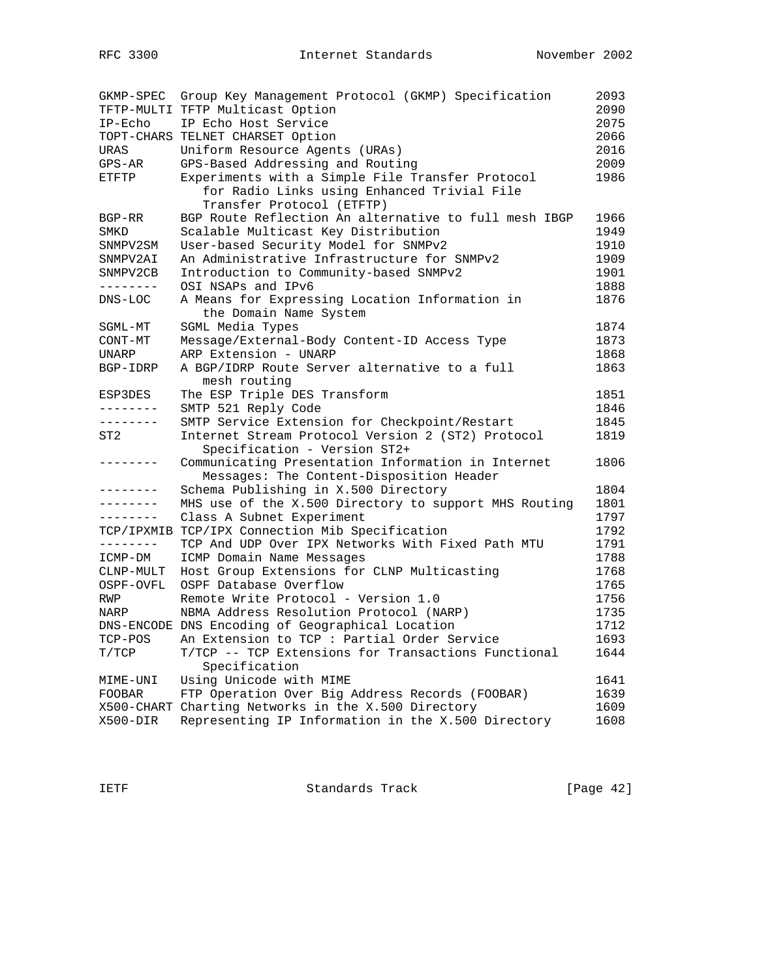| GKMP-SPEC             | Group Key Management Protocol (GKMP) Specification    | 2093 |
|-----------------------|-------------------------------------------------------|------|
|                       | TFTP-MULTI TFTP Multicast Option                      | 2090 |
| $IP-ECho$             | IP Echo Host Service                                  | 2075 |
|                       | TOPT-CHARS TELNET CHARSET Option                      | 2066 |
| URAS                  | Uniform Resource Agents (URAs)                        | 2016 |
| GPS-AR                | GPS-Based Addressing and Routing                      | 2009 |
| ETFTP                 | Experiments with a Simple File Transfer Protocol      | 1986 |
|                       | for Radio Links using Enhanced Trivial File           |      |
|                       | Transfer Protocol (ETFTP)                             |      |
| $BGP-RR$              | BGP Route Reflection An alternative to full mesh IBGP | 1966 |
| SMKD                  | Scalable Multicast Key Distribution                   | 1949 |
| SNMPV2SM              | User-based Security Model for SNMPv2                  | 1910 |
| SNMPV2AI              |                                                       | 1909 |
|                       | An Administrative Infrastructure for SNMPv2           | 1901 |
| SNMPV2CB<br>--------- | Introduction to Community-based SNMPv2                |      |
|                       | OSI NSAPs and IPv6                                    | 1888 |
| $DNS-LOC$             | A Means for Expressing Location Information in        | 1876 |
|                       | the Domain Name System                                |      |
| SGML-MT               | SGML Media Types                                      | 1874 |
| CONT-MT               | Message/External-Body Content-ID Access Type          | 1873 |
| UNARP                 | ARP Extension - UNARP                                 | 1868 |
| BGP-IDRP              | A BGP/IDRP Route Server alternative to a full         | 1863 |
|                       | mesh routing                                          | 1851 |
| ESP3DES               | The ESP Triple DES Transform                          |      |
| --------              | SMTP 521 Reply Code                                   | 1846 |
| --------              | SMTP Service Extension for Checkpoint/Restart         | 1845 |
| ST <sub>2</sub>       | Internet Stream Protocol Version 2 (ST2) Protocol     | 1819 |
|                       | Specification - Version ST2+                          |      |
| -------               | Communicating Presentation Information in Internet    | 1806 |
|                       | Messages: The Content-Disposition Header              |      |
| --------              | Schema Publishing in X.500 Directory                  | 1804 |
| --------              | MHS use of the X.500 Directory to support MHS Routing | 1801 |
| --------              | Class A Subnet Experiment                             | 1797 |
| TCP/IPXMIB            | TCP/IPX Connection Mib Specification                  | 1792 |
| --------              | TCP And UDP Over IPX Networks With Fixed Path MTU     | 1791 |
| ICMP-DM               | ICMP Domain Name Messages                             | 1788 |
| CLNP-MULT             | Host Group Extensions for CLNP Multicasting           | 1768 |
| OSPF-OVFL             | OSPF Database Overflow                                | 1765 |
| RWP                   | Remote Write Protocol - Version 1.0                   | 1756 |
| NARP                  | NBMA Address Resolution Protocol (NARP)               | 1735 |
|                       | DNS-ENCODE DNS Encoding of Geographical Location      | 1712 |
| TCP-POS               | An Extension to TCP : Partial Order Service           | 1693 |
| T/TCP                 | T/TCP -- TCP Extensions for Transactions Functional   | 1644 |
|                       | Specification                                         |      |
| MIME-UNI              | Using Unicode with MIME                               | 1641 |
| <b>FOOBAR</b>         | FTP Operation Over Big Address Records (FOOBAR)       | 1639 |
|                       | X500-CHART Charting Networks in the X.500 Directory   | 1609 |
| X500-DIR              | Representing IP Information in the X.500 Directory    | 1608 |
|                       |                                                       |      |

IETF Standards Track [Page 42]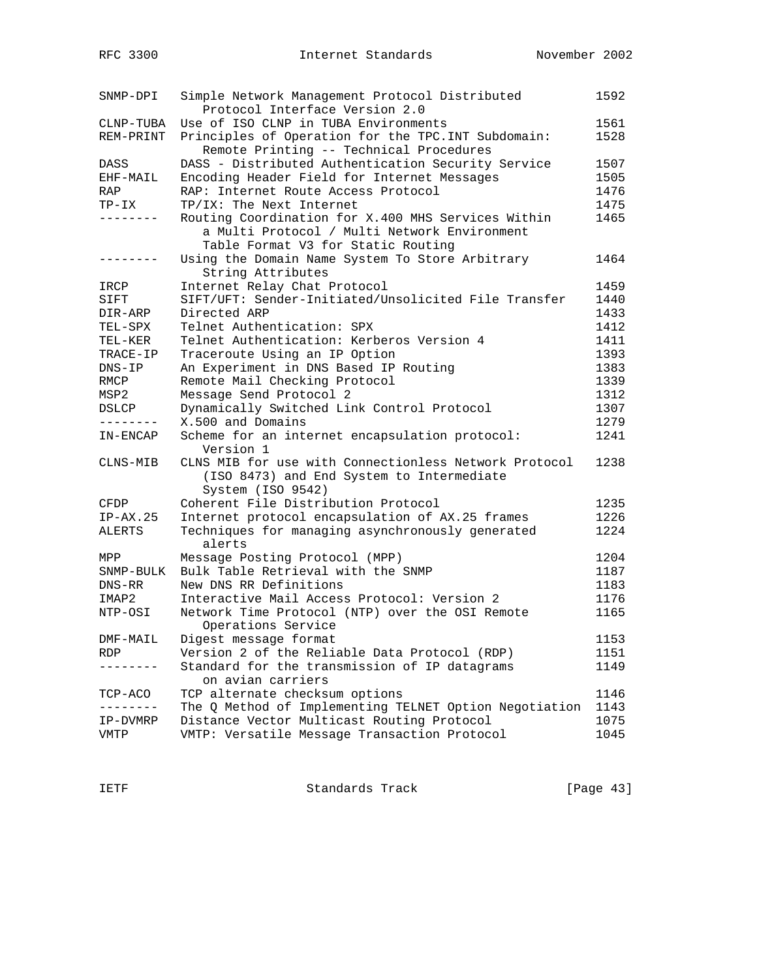| SNMP-DPI      | Simple Network Management Protocol Distributed<br>Protocol Interface Version 2.0                                        | 1592 |
|---------------|-------------------------------------------------------------------------------------------------------------------------|------|
| CLNP-TUBA     | Use of ISO CLNP in TUBA Environments                                                                                    | 1561 |
| REM-PRINT     | Principles of Operation for the TPC. INT Subdomain:<br>Remote Printing -- Technical Procedures                          | 1528 |
| DASS          | DASS - Distributed Authentication Security Service                                                                      | 1507 |
| EHF-MAIL      | Encoding Header Field for Internet Messages                                                                             | 1505 |
| RAP           | RAP: Internet Route Access Protocol                                                                                     | 1476 |
| TP-IX         | TP/IX: The Next Internet                                                                                                | 1475 |
| --------      | Routing Coordination for X.400 MHS Services Within                                                                      | 1465 |
|               | a Multi Protocol / Multi Network Environment                                                                            |      |
|               | Table Format V3 for Static Routing                                                                                      |      |
| --------      | Using the Domain Name System To Store Arbitrary<br>String Attributes                                                    | 1464 |
| IRCP          | Internet Relay Chat Protocol                                                                                            | 1459 |
| SIFT          | SIFT/UFT: Sender-Initiated/Unsolicited File Transfer                                                                    | 1440 |
| DIR-ARP       | Directed ARP                                                                                                            | 1433 |
| TEL-SPX       | Telnet Authentication: SPX                                                                                              | 1412 |
| TEL-KER       | Telnet Authentication: Kerberos Version 4                                                                               | 1411 |
| TRACE-IP      | Traceroute Using an IP Option                                                                                           | 1393 |
| $DNS-IP$      | An Experiment in DNS Based IP Routing                                                                                   | 1383 |
| RMCP          | Remote Mail Checking Protocol                                                                                           | 1339 |
| MSP2          | Message Send Protocol 2                                                                                                 | 1312 |
| <b>DSLCP</b>  | Dynamically Switched Link Control Protocol                                                                              | 1307 |
|               | X.500 and Domains                                                                                                       | 1279 |
| IN-ENCAP      | Scheme for an internet encapsulation protocol:<br>Version 1                                                             | 1241 |
| CLNS-MIB      | CLNS MIB for use with Connectionless Network Protocol<br>(ISO 8473) and End System to Intermediate<br>System (ISO 9542) | 1238 |
| CFDP          | Coherent File Distribution Protocol                                                                                     | 1235 |
| $IP-AX.25$    | Internet protocol encapsulation of AX.25 frames                                                                         | 1226 |
| <b>ALERTS</b> | Techniques for managing asynchronously generated<br>alerts                                                              | 1224 |
| MPP           | Message Posting Protocol (MPP)                                                                                          | 1204 |
| SNMP-BULK     | Bulk Table Retrieval with the SNMP                                                                                      | 1187 |
| DNS-RR        | New DNS RR Definitions                                                                                                  | 1183 |
| IMAP2         | Interactive Mail Access Protocol: Version 2                                                                             | 1176 |
| NTP-OSI       | Network Time Protocol (NTP) over the OSI Remote<br>Operations Service                                                   | 1165 |
| DMF-MAIL      | Digest message format                                                                                                   | 1153 |
| RDP           | Version 2 of the Reliable Data Protocol (RDP)                                                                           | 1151 |
|               | Standard for the transmission of IP datagrams<br>on avian carriers                                                      | 1149 |
| TCP-ACO       | TCP alternate checksum options                                                                                          | 1146 |
|               | The Q Method of Implementing TELNET Option Negotiation                                                                  | 1143 |
| IP-DVMRP      | Distance Vector Multicast Routing Protocol                                                                              | 1075 |
| VMTP          | VMTP: Versatile Message Transaction Protocol                                                                            | 1045 |

IETF Standards Track [Page 43]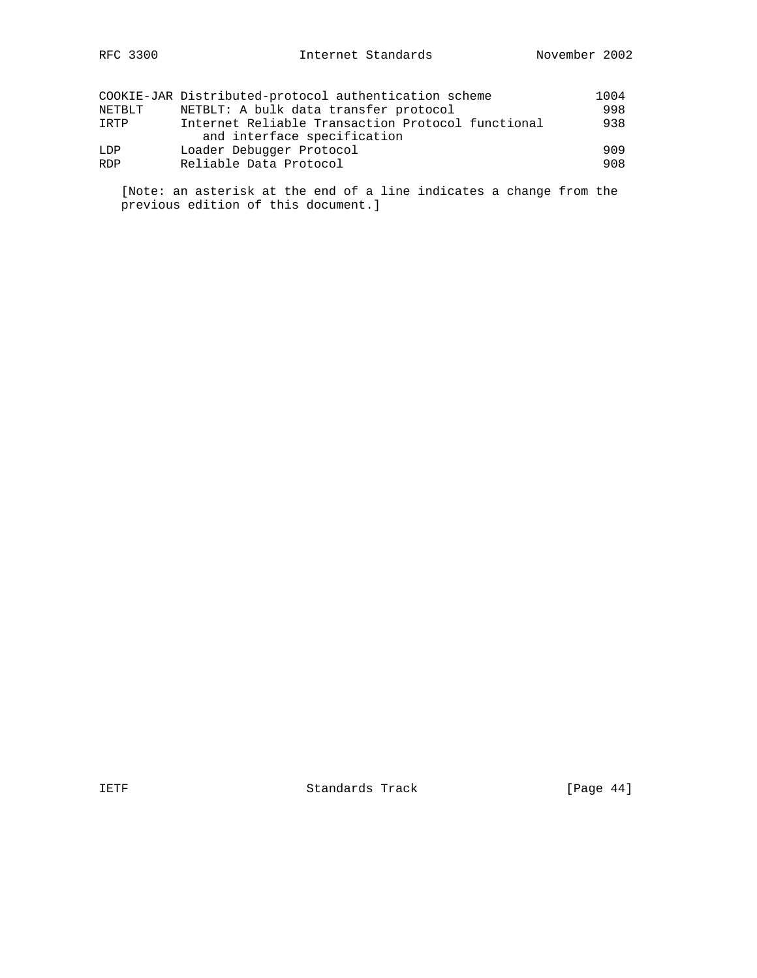|        | COOKIE-JAR Distributed-protocol authentication scheme |     |  |  |  |  |  |
|--------|-------------------------------------------------------|-----|--|--|--|--|--|
| NETBLT | NETBLT: A bulk data transfer protocol                 | 998 |  |  |  |  |  |
| TRTP   | Internet Reliable Transaction Protocol functional     | 938 |  |  |  |  |  |
|        | and interface specification                           |     |  |  |  |  |  |
| LDP    | Loader Debugger Protocol                              | 909 |  |  |  |  |  |
| RDP    | Reliable Data Protocol                                | 908 |  |  |  |  |  |

 [Note: an asterisk at the end of a line indicates a change from the previous edition of this document.]

IETF Standards Track [Page 44]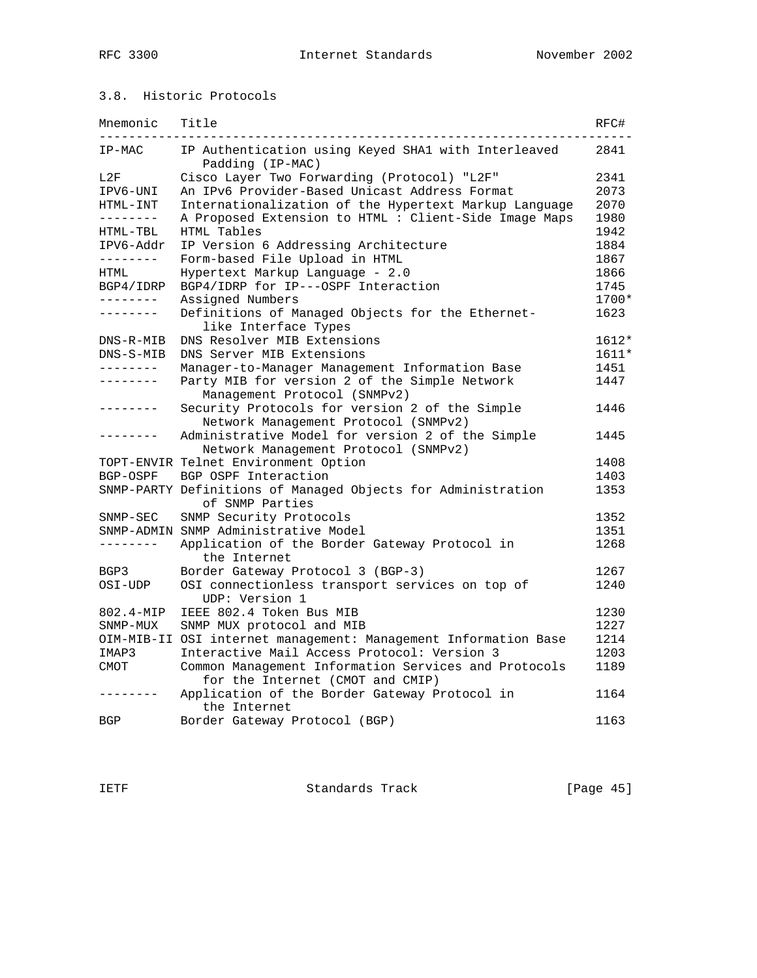### 3.8. Historic Protocols

| Mnemonic        | Title                                                                                    | RFC#    |
|-----------------|------------------------------------------------------------------------------------------|---------|
| IP-MAC          | IP Authentication using Keyed SHA1 with Interleaved<br>Padding (IP-MAC)                  | 2841    |
| L2F             | Cisco Layer Two Forwarding (Protocol) "L2F"                                              | 2341    |
| IPV6-UNI        | An IPv6 Provider-Based Unicast Address Format                                            | 2073    |
| HTML-INT        | Internationalization of the Hypertext Markup Language                                    | 2070    |
| --------        | A Proposed Extension to HTML : Client-Side Image Maps                                    | 1980    |
| HTML-TBL        | HTML Tables                                                                              | 1942    |
| IPV6-Addr       | IP Version 6 Addressing Architecture                                                     | 1884    |
| --------        | Form-based File Upload in HTML                                                           | 1867    |
| HTML            | Hypertext Markup Language - 2.0                                                          | 1866    |
| BGP4/IDRP       | BGP4/IDRP for IP---OSPF Interaction                                                      | 1745    |
| --------        | Assigned Numbers                                                                         | 1700*   |
| --------        | Definitions of Managed Objects for the Ethernet-<br>like Interface Types                 | 1623    |
| DNS-R-MIB       | DNS Resolver MIB Extensions                                                              | 1612*   |
| DNS-S-MIB       | DNS Server MIB Extensions                                                                | $1611*$ |
| --------        | Manager-to-Manager Management Information Base                                           | 1451    |
| - - - - - - - - | Party MIB for version 2 of the Simple Network<br>Management Protocol (SNMPv2)            | 1447    |
| $- - - - - - -$ | Security Protocols for version 2 of the Simple<br>Network Management Protocol (SNMPv2)   | 1446    |
|                 | Administrative Model for version 2 of the Simple<br>Network Management Protocol (SNMPv2) | 1445    |
|                 | TOPT-ENVIR Telnet Environment Option                                                     | 1408    |
| BGP-OSPF        | BGP OSPF Interaction                                                                     | 1403    |
|                 | SNMP-PARTY Definitions of Managed Objects for Administration<br>of SNMP Parties          | 1353    |
| $SNMP-SEC$      | SNMP Security Protocols                                                                  | 1352    |
|                 | SNMP-ADMIN SNMP Administrative Model                                                     | 1351    |
| --------        | Application of the Border Gateway Protocol in<br>the Internet                            | 1268    |
| BGP3            | Border Gateway Protocol 3 (BGP-3)                                                        | 1267    |
| OSI-UDP         | OSI connectionless transport services on top of<br>UDP: Version 1                        | 1240    |
| 802.4-MIP       | IEEE 802.4 Token Bus MIB                                                                 | 1230    |
| SNMP-MUX        | SNMP MUX protocol and MIB                                                                | 1227    |
|                 | OIM-MIB-II OSI internet management: Management Information Base                          | 1214    |
| IMAP3           | Interactive Mail Access Protocol: Version 3                                              | 1203    |
| CMOT            | Common Management Information Services and Protocols<br>for the Internet (CMOT and CMIP) | 1189    |
|                 | Application of the Border Gateway Protocol in<br>the Internet                            | 1164    |
| <b>BGP</b>      | Border Gateway Protocol (BGP)                                                            | 1163    |
|                 |                                                                                          |         |

IETF Standards Track [Page 45]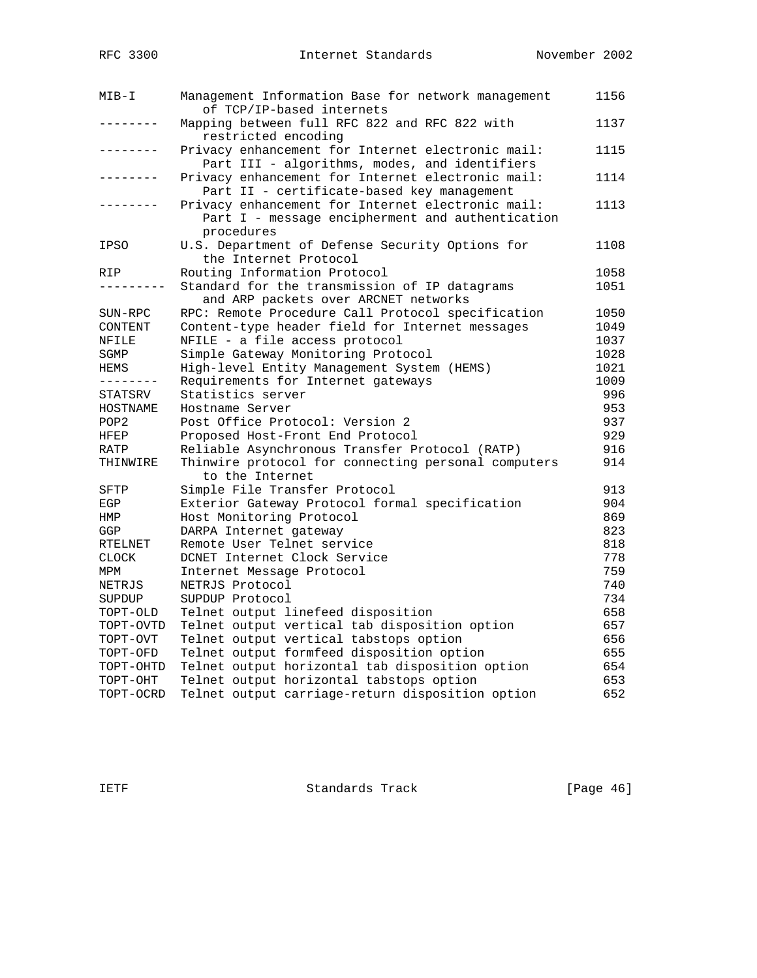| $MIB-I$      | Management Information Base for network management<br>of TCP/IP-based internets | 1156 |
|--------------|---------------------------------------------------------------------------------|------|
|              | Mapping between full RFC 822 and RFC 822 with<br>restricted encoding            | 1137 |
|              | Privacy enhancement for Internet electronic mail:                               | 1115 |
|              | Part III - algorithms, modes, and identifiers                                   |      |
|              | Privacy enhancement for Internet electronic mail:                               | 1114 |
|              | Part II - certificate-based key management                                      |      |
|              | Privacy enhancement for Internet electronic mail:                               | 1113 |
|              | Part I - message encipherment and authentication                                |      |
|              | procedures                                                                      |      |
| IPSO         | U.S. Department of Defense Security Options for                                 | 1108 |
|              | the Internet Protocol                                                           |      |
| RIP          | Routing Information Protocol                                                    | 1058 |
|              | Standard for the transmission of IP datagrams                                   | 1051 |
|              | and ARP packets over ARCNET networks                                            |      |
| SUN-RPC      | RPC: Remote Procedure Call Protocol specification                               | 1050 |
| CONTENT      | Content-type header field for Internet messages                                 | 1049 |
| NFILE        | NFILE - a file access protocol                                                  | 1037 |
| SGMP         | Simple Gateway Monitoring Protocol                                              | 1028 |
| HEMS         | High-level Entity Management System (HEMS)                                      | 1021 |
| --------     | Requirements for Internet gateways                                              | 1009 |
| STATSRV      | Statistics server                                                               | 996  |
| HOSTNAME     | Hostname Server                                                                 | 953  |
| POP2         | Post Office Protocol: Version 2                                                 | 937  |
| HFEP         | Proposed Host-Front End Protocol                                                | 929  |
| RATP         | Reliable Asynchronous Transfer Protocol (RATP)                                  | 916  |
| THINWIRE     | Thinwire protocol for connecting personal computers<br>to the Internet          | 914  |
| SFTP         | Simple File Transfer Protocol                                                   | 913  |
| EGP          | Exterior Gateway Protocol formal specification                                  | 904  |
| HMP          | Host Monitoring Protocol                                                        | 869  |
| GGP          | DARPA Internet gateway                                                          | 823  |
| RTELNET      | Remote User Telnet service                                                      | 818  |
| <b>CLOCK</b> | DCNET Internet Clock Service                                                    | 778  |
| MPM          | Internet Message Protocol                                                       | 759  |
| NETRJS       | NETRJS Protocol                                                                 | 740  |
| SUPDUP       | SUPDUP Protocol                                                                 | 734  |
| TOPT-OLD     | Telnet output linefeed disposition                                              | 658  |
| TOPT-OVTD    | Telnet output vertical tab disposition option                                   | 657  |
| TOPT-OVT     | Telnet output vertical tabstops option                                          | 656  |
| TOPT-OFD     | Telnet output formfeed disposition option                                       | 655  |
| TOPT-OHTD    | Telnet output horizontal tab disposition option                                 | 654  |
| TOPT-OHT     | Telnet output horizontal tabstops option                                        | 653  |
| TOPT-OCRD    | Telnet output carriage-return disposition option                                | 652  |

IETF Standards Track [Page 46]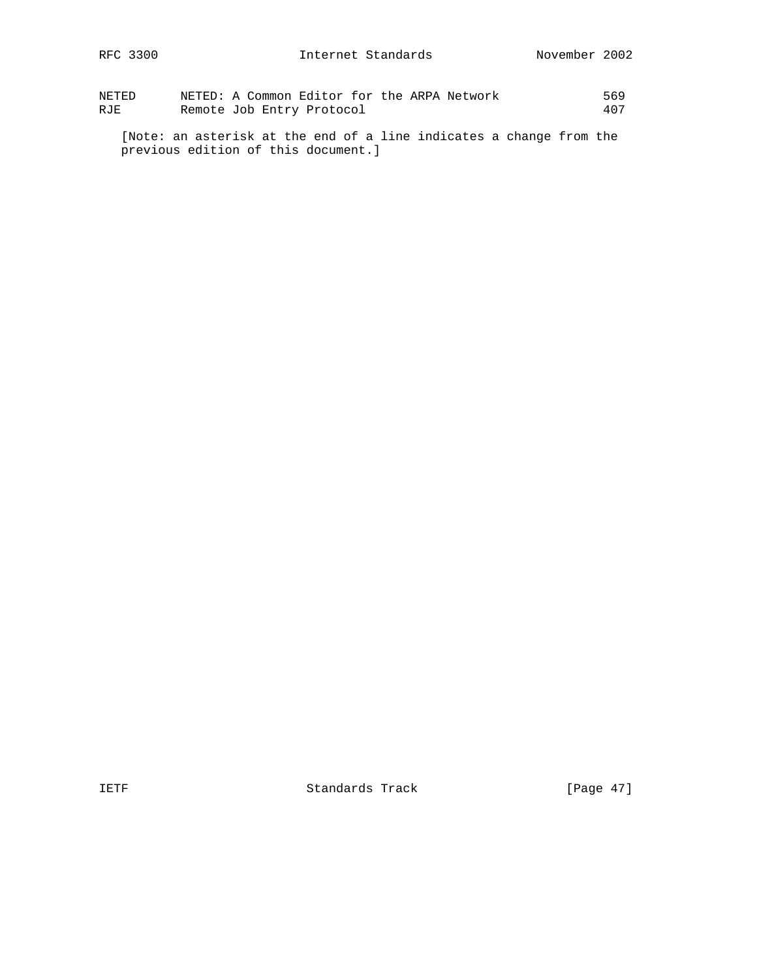| NETED |                           |  |  |  | NETED: A Common Editor for the ARPA Network | 569 |
|-------|---------------------------|--|--|--|---------------------------------------------|-----|
| RJE   | Remote Job Entry Protocol |  |  |  |                                             | 407 |

 [Note: an asterisk at the end of a line indicates a change from the previous edition of this document.]

IETF Standards Track [Page 47]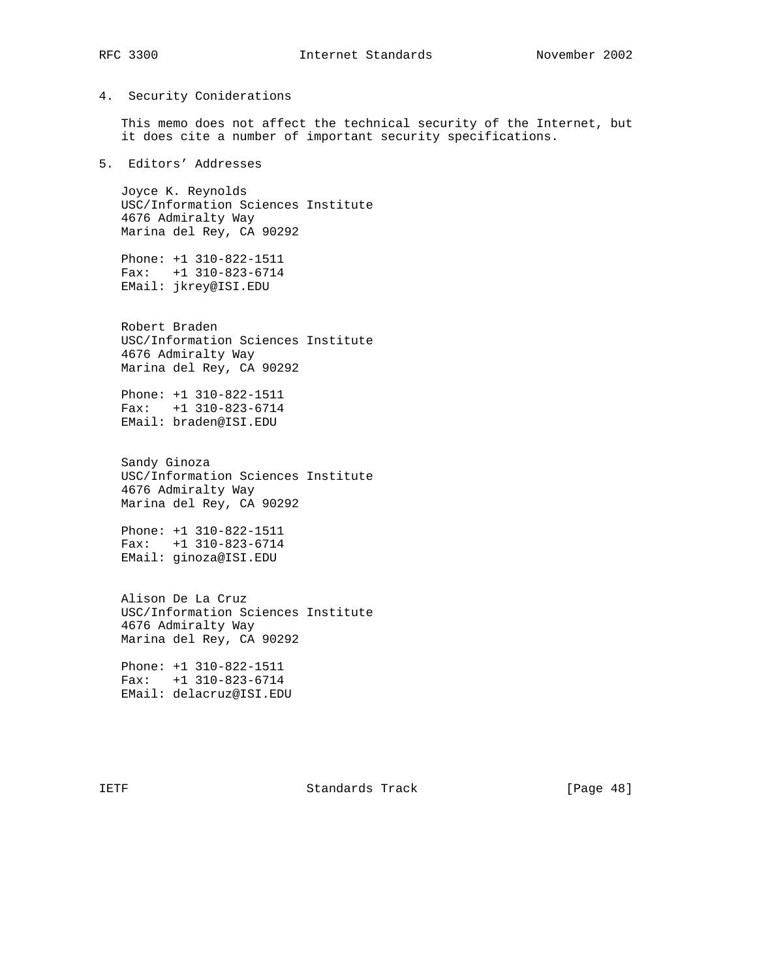#### 4. Security Coniderations

 This memo does not affect the technical security of the Internet, but it does cite a number of important security specifications.

5. Editors' Addresses

 Joyce K. Reynolds USC/Information Sciences Institute 4676 Admiralty Way Marina del Rey, CA 90292

 Phone: +1 310-822-1511 Fax: +1 310-823-6714 EMail: jkrey@ISI.EDU

 Robert Braden USC/Information Sciences Institute 4676 Admiralty Way Marina del Rey, CA 90292

 Phone: +1 310-822-1511 Fax: +1 310-823-6714 EMail: braden@ISI.EDU

 Sandy Ginoza USC/Information Sciences Institute 4676 Admiralty Way Marina del Rey, CA 90292

 Phone: +1 310-822-1511 Fax: +1 310-823-6714 EMail: ginoza@ISI.EDU

 Alison De La Cruz USC/Information Sciences Institute 4676 Admiralty Way Marina del Rey, CA 90292

 Phone: +1 310-822-1511 Fax: +1 310-823-6714 EMail: delacruz@ISI.EDU

IETF Standards Track [Page 48]